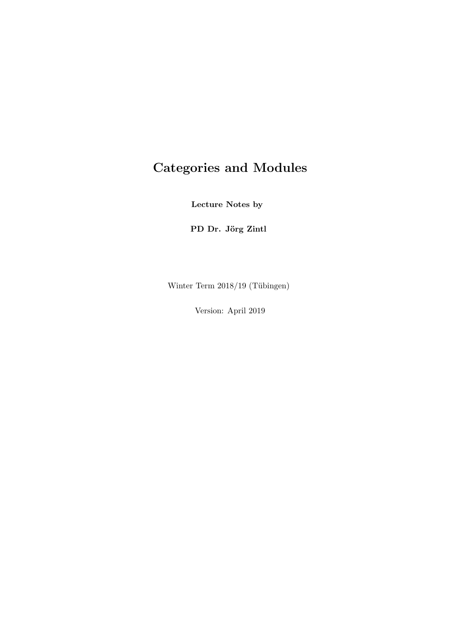# Categories and Modules

Lecture Notes by

PD Dr. Jörg Zintl

Winter Term 2018/19 (Tübingen)

Version: April 2019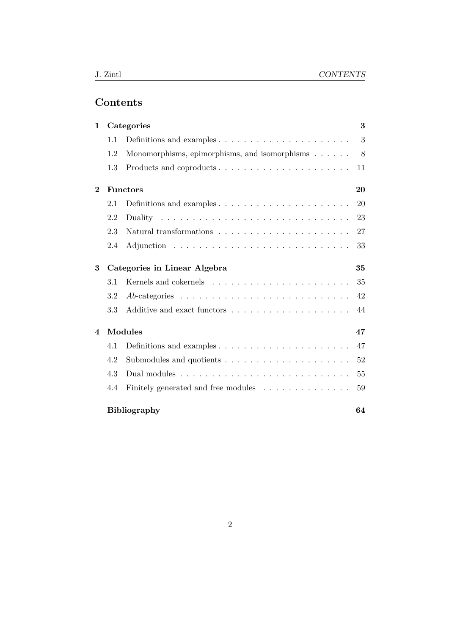## Contents

| $\mathbf{1}$   |         | Categories                                                                                                     | 3  |
|----------------|---------|----------------------------------------------------------------------------------------------------------------|----|
|                | 1.1     | Definitions and examples $\dots \dots \dots \dots \dots \dots \dots \dots$                                     | 3  |
|                | 1.2     | Monomorphisms, epimorphisms, and isomorphisms                                                                  | 8  |
|                | 1.3     | Products and coproducts                                                                                        | 11 |
| $\overline{2}$ |         | <b>Functors</b>                                                                                                | 20 |
|                | 2.1     | Definitions and examples $\dots \dots \dots \dots \dots \dots \dots \dots$                                     | 20 |
|                | 2.2     |                                                                                                                | 23 |
|                | 2.3     |                                                                                                                | 27 |
|                | 2.4     |                                                                                                                | 33 |
| 3              |         | Categories in Linear Algebra                                                                                   | 35 |
|                | $3.1\,$ |                                                                                                                | 35 |
|                | 3.2     | $Ab\text{-categories}\dots\dots\dots\dots\dots\dots\dots\dots\dots\dots\dots\dots$                             | 42 |
|                | 3.3     |                                                                                                                | 44 |
| 4              |         | <b>Modules</b>                                                                                                 | 47 |
|                | 4.1     |                                                                                                                | 47 |
|                | 4.2     |                                                                                                                | 52 |
|                | 4.3     |                                                                                                                | 55 |
|                | 4.4     | Finitely generated and free modules $\hfill\ldots$ $\hfill\ldots$ $\hfill\ldots$ $\hfill\ldots$ $\hfill\ldots$ | 59 |
|                |         | <b>Bibliography</b>                                                                                            | 64 |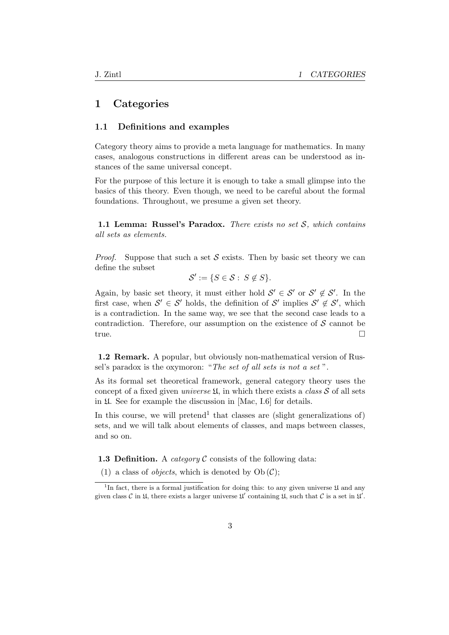## 1 Categories

### 1.1 Definitions and examples

Category theory aims to provide a meta language for mathematics. In many cases, analogous constructions in different areas can be understood as instances of the same universal concept.

For the purpose of this lecture it is enough to take a small glimpse into the basics of this theory. Even though, we need to be careful about the formal foundations. Throughout, we presume a given set theory.

1.1 Lemma: Russel's Paradox. There exists no set  $S$ , which contains all sets as elements.

*Proof.* Suppose that such a set S exists. Then by basic set theory we can define the subset

$$
\mathcal{S}' := \{ S \in \mathcal{S} : \ S \notin S \}.
$$

Again, by basic set theory, it must either hold  $\mathcal{S}' \in \mathcal{S}'$  or  $\mathcal{S}' \notin \mathcal{S}'$ . In the first case, when  $\mathcal{S}' \in \mathcal{S}'$  holds, the definition of  $\mathcal{S}'$  implies  $\mathcal{S}' \notin \mathcal{S}'$ , which is a contradiction. In the same way, we see that the second case leads to a contradiction. Therefore, our assumption on the existence of  $\mathcal S$  cannot be true.

1.2 Remark. A popular, but obviously non-mathematical version of Russel's paradox is the oxymoron: "The set of all sets is not a set ".

As its formal set theoretical framework, general category theory uses the concept of a fixed given *universe*  $\mathfrak{U}$ , in which there exists a *class*  $S$  of all sets in U. See for example the discussion in [Mac, I.6] for details.

In this course, we will pretend<sup>1</sup> that classes are (slight generalizations of) sets, and we will talk about elements of classes, and maps between classes, and so on.

**1.3 Definition.** A *category*  $\mathcal C$  consists of the following data:

(1) a class of *objects*, which is denoted by  $Ob(\mathcal{C})$ ;

<sup>&</sup>lt;sup>1</sup>In fact, there is a formal justification for doing this: to any given universe  $\mathfrak U$  and any given class C in U, there exists a larger universe  $\mathfrak{U}'$  containing U, such that C is a set in  $\mathfrak{U}'$ .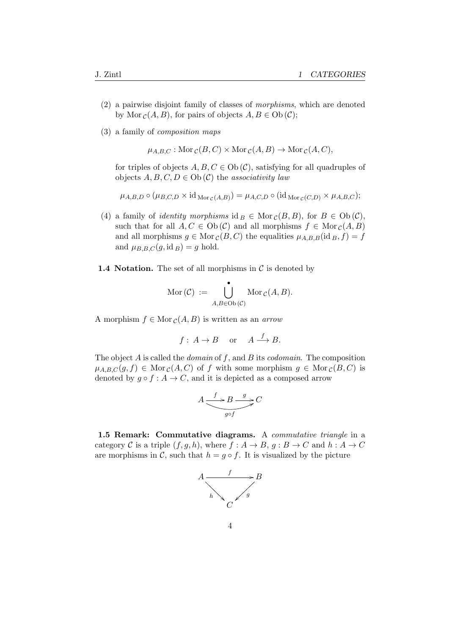- (2) a pairwise disjoint family of classes of morphisms, which are denoted by Mor  $c(A, B)$ , for pairs of objects  $A, B \in Ob(\mathcal{C})$ ;
- (3) a family of composition maps

$$
\mu_{A,B,C} : \text{Mor}_{\mathcal{C}}(B,C) \times \text{Mor}_{\mathcal{C}}(A,B) \to \text{Mor}_{\mathcal{C}}(A,C),
$$

for triples of objects  $A, B, C \in Ob(\mathcal{C})$ , satisfying for all quadruples of objects  $A, B, C, D \in Ob(\mathcal{C})$  the associativity law

$$
\mu_{A,B,D} \circ (\mu_{B,C,D} \times id_{\mathrm{Mor}_{\mathcal{C}}(A,B)}) = \mu_{A,C,D} \circ (id_{\mathrm{Mor}_{\mathcal{C}}(C,D)} \times \mu_{A,B,C});
$$

- (4) a family of *identity morphisms* id  $B \in \text{Mor}_{\mathcal{C}}(B, B)$ , for  $B \in \text{Ob}(\mathcal{C})$ , such that for all  $A, C \in Ob(\mathcal{C})$  and all morphisms  $f \in Mor_{\mathcal{C}}(A, B)$ and all morphisms  $g \in \text{Mor}_{\mathcal{C}}(B, C)$  the equalities  $\mu_{A,B,B}(\text{id}_B, f) = f$ and  $\mu_{B,B,C}(g,\mathrm{id}_B) = g$  hold.
- **1.4 Notation.** The set of all morphisms in  $\mathcal{C}$  is denoted by

$$
\mathrm{Mor}(\mathcal{C}) := \bigcup_{A,B \in \mathrm{Ob}(\mathcal{C})} \mathrm{Mor}_{\mathcal{C}}(A,B).
$$

A morphism  $f \in \text{Mor}_{\mathcal{C}}(A, B)$  is written as an *arrow* 

$$
f: A \to B
$$
 or  $A \xrightarrow{f} B$ .

The object A is called the *domain* of f, and B its *codomain*. The composition  $\mu_{A,B,C}(g, f) \in \text{Mor}_{\mathcal{C}}(A, C)$  of f with some morphism  $g \in \text{Mor}_{\mathcal{C}}(B, C)$  is denoted by  $g \circ f : A \to C$ , and it is depicted as a composed arrow

$$
A \xrightarrow{f} B \xrightarrow{g} C
$$

$$
\underbrace{g \circ f} C
$$

1.5 Remark: Commutative diagrams. A commutative triangle in a category C is a triple  $(f, g, h)$ , where  $f : A \to B$ ,  $g : B \to C$  and  $h : A \to C$ are morphisms in C, such that  $h = g \circ f$ . It is visualized by the picture

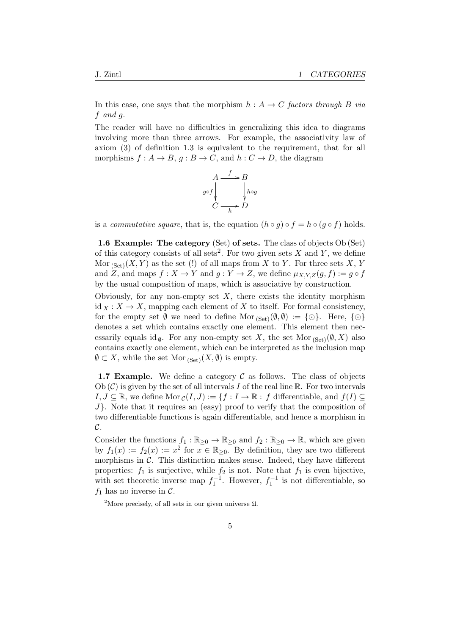In this case, one says that the morphism  $h : A \rightarrow C$  factors through B via f and g.

The reader will have no difficulties in generalizing this idea to diagrams involving more than three arrows. For example, the associativity law of axiom (3) of definition 1.3 is equivalent to the requirement, that for all morphisms  $f : A \to B$ ,  $g : B \to C$ , and  $h : C \to D$ , the diagram



is a *commutative square*, that is, the equation  $(h \circ g) \circ f = h \circ (g \circ f)$  holds.

1.6 Example: The category (Set) of sets. The class of objects Ob (Set) of this category consists of all sets<sup>2</sup>. For two given sets  $X$  and  $Y$ , we define Mor  $_{(Set)}(X, Y)$  as the set (!) of all maps from X to Y. For three sets X, Y and Z, and maps  $f: X \to Y$  and  $g: Y \to Z$ , we define  $\mu_{X,Y,Z}(g, f) := g \circ f$ by the usual composition of maps, which is associative by construction.

Obviously, for any non-empty set  $X$ , there exists the identity morphism id  $_X: X \to X$ , mapping each element of X to itself. For formal consistency, for the empty set  $\emptyset$  we need to define Mor  $_{(Set)}(\emptyset, \emptyset) := \{\odot\}.$  Here,  $\{\odot\}$ denotes a set which contains exactly one element. This element then necessarily equals id  $\phi$ . For any non-empty set X, the set Mor  $_{(Set)}(\emptyset, X)$  also contains exactly one element, which can be interpreted as the inclusion map  $\emptyset \subset X$ , while the set Mor <sub>(Set)</sub> $(X, \emptyset)$  is empty.

**1.7 Example.** We define a category  $\mathcal C$  as follows. The class of objects Ob  $(C)$  is given by the set of all intervals I of the real line R. For two intervals  $I, J \subseteq \mathbb{R}$ , we define Mor  $c(I, J) := \{f : I \to \mathbb{R} : f \text{ differentiable, and } f(I) \subseteq$ J}. Note that it requires an (easy) proof to verify that the composition of two differentiable functions is again differentiable, and hence a morphism in  $\mathcal{C}.$ 

Consider the functions  $f_1 : \mathbb{R}_{\geq 0} \to \mathbb{R}_{\geq 0}$  and  $f_2 : \mathbb{R}_{\geq 0} \to \mathbb{R}$ , which are given by  $f_1(x) := f_2(x) := x^2$  for  $x \in \mathbb{R}_{\geq 0}$ . By definition, they are two different morphisms in  $\mathcal{C}$ . This distinction makes sense. Indeed, they have different properties:  $f_1$  is surjective, while  $f_2$  is not. Note that  $f_1$  is even bijective, with set theoretic inverse map  $f_1^{-1}$ . However,  $f_1^{-1}$  is not differentiable, so  $f_1$  has no inverse in C.

<sup>&</sup>lt;sup>2</sup>More precisely, of all sets in our given universe  $\mathfrak{U}$ .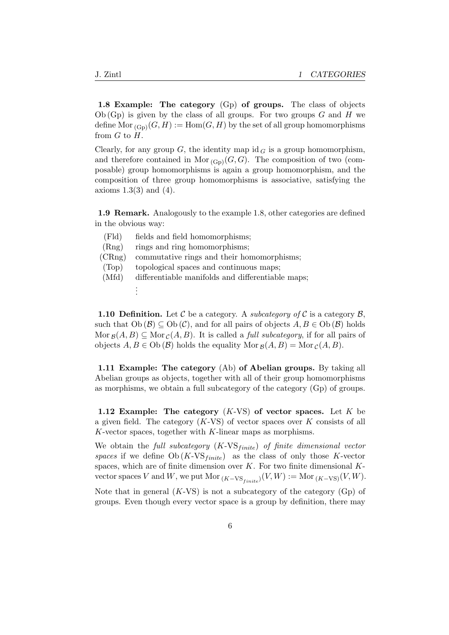1.8 Example: The category (G<sub>p</sub>) of groups. The class of objects  $Ob(Gp)$  is given by the class of all groups. For two groups G and H we define Mor  $_{(G_p)}(G, H) := \text{Hom}(G, H)$  by the set of all group homomorphisms from  $G$  to  $H$ .

Clearly, for any group  $G$ , the identity map id  $G$  is a group homomorphism, and therefore contained in Mor  $_{(G_p)}(G, G)$ . The composition of two (composable) group homomorphisms is again a group homomorphism, and the composition of three group homomorphisms is associative, satisfying the axioms  $1.3(3)$  and  $(4)$ .

1.9 Remark. Analogously to the example 1.8, other categories are defined in the obvious way:

| (Fld)  | fields and field homomorphisms;                   |
|--------|---------------------------------------------------|
| (Rng)  | rings and ring homomorphisms;                     |
| (CRng) | commutative rings and their homomorphisms;        |
| (Top)  | topological spaces and continuous maps;           |
| (Mfd)  | differentiable manifolds and differentiable maps; |
|        |                                                   |
|        |                                                   |

**1.10 Definition.** Let C be a category. A *subcategory of* C is a category  $\mathcal{B}$ , such that  $Ob(\mathcal{B}) \subseteq Ob(\mathcal{C})$ , and for all pairs of objects  $A, B \in Ob(\mathcal{B})$  holds Mor  $g(A, B) \subseteq$  Mor  $_c(A, B)$ . It is called a *full subcategory*, if for all pairs of objects  $A, B \in Ob(\mathcal{B})$  holds the equality Mor  $g(A, B) = Mor_{\mathcal{C}}(A, B)$ .

1.11 Example: The category (Ab) of Abelian groups. By taking all Abelian groups as objects, together with all of their group homomorphisms as morphisms, we obtain a full subcategory of the category (Gp) of groups.

1.12 Example: The category  $(K-VS)$  of vector spaces. Let K be a given field. The category  $(K\text{-}VS)$  of vector spaces over K consists of all  $K$ -vector spaces, together with  $K$ -linear maps as morphisms.

We obtain the full subcategory  $(K\text{-VS}_{finite})$  of finite dimensional vector spaces if we define  $Ob(K\text{-}VS_{finite})$  as the class of only those K-vector spaces, which are of finite dimension over  $K$ . For two finite dimensional  $K$ vector spaces V and W, we put Mor  $_{(K-\text{VS}_{finite})}(V, W) := \text{Mor}_{(K-\text{VS})}(V, W)$ .

Note that in general  $(K-VS)$  is not a subcategory of the category  $(G<sub>p</sub>)$  of groups. Even though every vector space is a group by definition, there may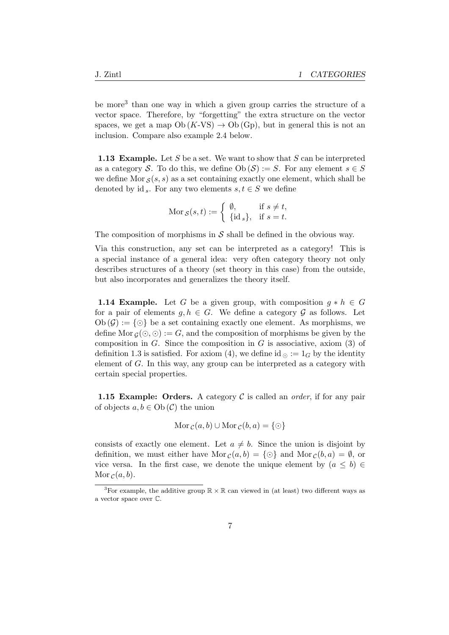be more<sup>3</sup> than one way in which a given group carries the structure of a vector space. Therefore, by "forgetting" the extra structure on the vector spaces, we get a map  $Ob(K-VS) \rightarrow Ob(Gp)$ , but in general this is not an inclusion. Compare also example 2.4 below.

**1.13 Example.** Let S be a set. We want to show that S can be interpreted as a category S. To do this, we define  $Ob(\mathcal{S}) := S$ . For any element  $s \in S$ we define Mor  $s(s, s)$  as a set containing exactly one element, which shall be denoted by id s. For any two elements  $s, t \in S$  we define

$$
\text{Mor}_{\mathcal{S}}(s,t) := \begin{cases} \emptyset, & \text{if } s \neq t, \\ \{\text{id}_s\}, & \text{if } s = t. \end{cases}
$$

The composition of morphisms in  $S$  shall be defined in the obvious way.

Via this construction, any set can be interpreted as a category! This is a special instance of a general idea: very often category theory not only describes structures of a theory (set theory in this case) from the outside, but also incorporates and generalizes the theory itself.

**1.14 Example.** Let G be a given group, with composition  $g * h \in G$ for a pair of elements  $g, h \in G$ . We define a category  $\mathcal G$  as follows. Let  $Ob(\mathcal{G}) := \{\odot\}$  be a set containing exactly one element. As morphisms, we define Mor  $g(\bigcirc, \bigcirc) := G$ , and the composition of morphisms be given by the composition in  $G$ . Since the composition in  $G$  is associative, axiom (3) of definition 1.3 is satisfied. For axiom (4), we define id  $\circ$  := 1<sub>G</sub> by the identity element of G. In this way, any group can be interpreted as a category with certain special properties.

**1.15 Example: Orders.** A category  $\mathcal C$  is called an *order*, if for any pair of objects  $a, b \in Ob(\mathcal{C})$  the union

$$
Mor_{\mathcal{C}}(a,b) \cup Mor_{\mathcal{C}}(b,a) = \{\odot\}
$$

consists of exactly one element. Let  $a \neq b$ . Since the union is disjoint by definition, we must either have  $\text{Mor}_{\mathcal{C}}(a, b) = \{\odot\}$  and  $\text{Mor}_{\mathcal{C}}(b, a) = \emptyset$ , or vice versa. In the first case, we denote the unique element by  $(a \leq b) \in$ Mor  $c(a, b)$ .

<sup>&</sup>lt;sup>3</sup>For example, the additive group  $\mathbb{R} \times \mathbb{R}$  can viewed in (at least) two different ways as a vector space over C.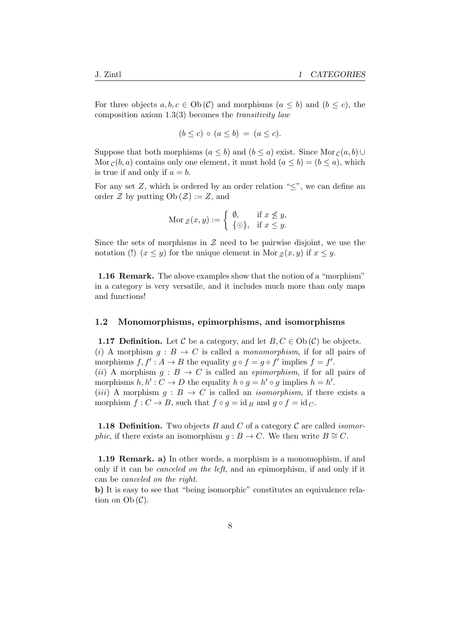For three objects  $a, b, c \in Ob(\mathcal{C})$  and morphisms  $(a \leq b)$  and  $(b \leq c)$ , the composition axiom  $1.3(3)$  becomes the *transitivity law* 

$$
(b \le c) \circ (a \le b) = (a \le c).
$$

Suppose that both morphisms  $(a \leq b)$  and  $(b \leq a)$  exist. Since Mor  $c(a, b) \cup$ Mor  $c(b, a)$  contains only one element, it must hold  $(a \leq b) = (b \leq a)$ , which is true if and only if  $a = b$ .

For any set  $Z$ , which is ordered by an order relation " $\lt$ ", we can define an order  $\mathcal Z$  by putting  $Ob(\mathcal Z) := Z$ , and

$$
\text{Mor}_{\mathcal{Z}}(x,y) := \begin{cases} \emptyset, & \text{if } x \not\leq y, \\ \{\odot\}, & \text{if } x \leq y. \end{cases}
$$

Since the sets of morphisms in  $\mathcal Z$  need to be pairwise disjoint, we use the notation (!)  $(x \leq y)$  for the unique element in Mor  $z(x, y)$  if  $x \leq y$ .

1.16 Remark. The above examples show that the notion of a "morphism" in a category is very versatile, and it includes much more than only maps and functions!

#### 1.2 Monomorphisms, epimorphisms, and isomorphisms

**1.17 Definition.** Let C be a category, and let  $B, C \in Ob(\mathcal{C})$  be objects. (i) A morphism  $g : B \to C$  is called a *monomorphism*, if for all pairs of morphisms  $f, f' : A \to B$  the equality  $g \circ f = g \circ f'$  implies  $f = f'$ . (ii) A morphism  $g : B \to C$  is called an *epimorphism*, if for all pairs of morphisms  $h, h' : C \to D$  the equality  $h \circ g = h' \circ g$  implies  $h = h'$ . (*iii*) A morphism  $q : B \to C$  is called an *isomorphism*, if there exists a morphism  $f: C \to B$ , such that  $f \circ g = id_B$  and  $g \circ f = id_C$ .

**1.18 Definition.** Two objects B and C of a category C are called *isomorphic*, if there exists an isomorphism  $g : B \to C$ . We then write  $B \cong C$ .

1.19 Remark. a) In other words, a morphism is a monomophism, if and only if it can be canceled on the left, and an epimorphism, if and only if it can be canceled on the right.

b) It is easy to see that "being isomorphic" constitutes an equivalence relation on  $Ob(\mathcal{C})$ .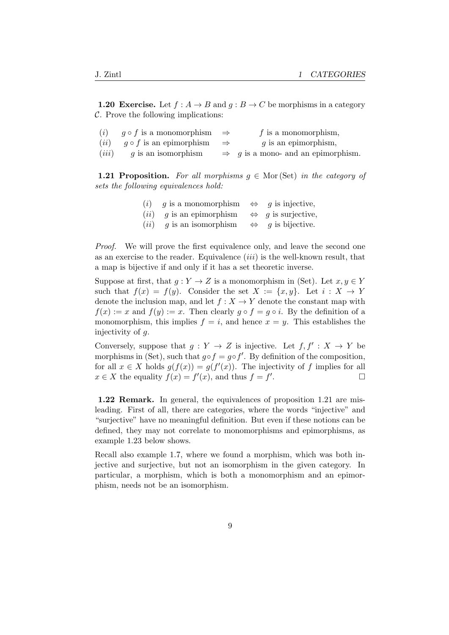**1.20 Exercise.** Let  $f : A \rightarrow B$  and  $g : B \rightarrow C$  be morphisms in a category  $C$ . Prove the following implications:

| (i)   | $q \circ f$ is a monomorphism $\Rightarrow$               | $f$ is a monomorphism,                         |
|-------|-----------------------------------------------------------|------------------------------------------------|
|       | ( <i>ii</i> ) $q \circ f$ is an epimorphism $\Rightarrow$ | $g$ is an epimorphism,                         |
| (iii) | q is an isomorphism                                       | $\Rightarrow$ g is a mono- and an epimorphism. |

**1.21 Proposition.** For all morphisms  $q \in \text{Mor}(\text{Set})$  in the category of sets the following equivalences hold:

| (i) | $q$ is a monomorphism      | $\Leftrightarrow$ | $g$ is injective,                  |
|-----|----------------------------|-------------------|------------------------------------|
|     | $(ii)$ g is an epimorphism |                   | $\Leftrightarrow$ g is surjective, |
|     | $(ii)$ g is an isomorphism | $\Leftrightarrow$ | $q$ is bijective.                  |

Proof. We will prove the first equivalence only, and leave the second one as an exercise to the reader. Equivalence  $(iii)$  is the well-known result, that a map is bijective if and only if it has a set theoretic inverse.

Suppose at first, that  $g: Y \to Z$  is a monomorphism in (Set). Let  $x, y \in Y$ such that  $f(x) = f(y)$ . Consider the set  $X := \{x, y\}$ . Let  $i : X \to Y$ denote the inclusion map, and let  $f: X \to Y$  denote the constant map with  $f(x) := x$  and  $f(y) := x$ . Then clearly  $g \circ f = g \circ i$ . By the definition of a monomorphism, this implies  $f = i$ , and hence  $x = y$ . This establishes the injectivity of  $q$ .

Conversely, suppose that  $g: Y \to Z$  is injective. Let  $f, f': X \to Y$  be morphisms in (Set), such that  $g \circ f = g \circ f'$ . By definition of the composition, for all  $x \in X$  holds  $g(f(x)) = g(f'(x))$ . The injectivity of f implies for all  $x \in X$  the equality  $f(x) = f'(x)$ , and thus  $f = f'$ .

1.22 Remark. In general, the equivalences of proposition 1.21 are misleading. First of all, there are categories, where the words "injective" and "surjective" have no meaningful definition. But even if these notions can be defined, they may not correlate to monomorphisms and epimorphisms, as example 1.23 below shows.

Recall also example 1.7, where we found a morphism, which was both injective and surjective, but not an isomorphism in the given category. In particular, a morphism, which is both a monomorphism and an epimorphism, needs not be an isomorphism.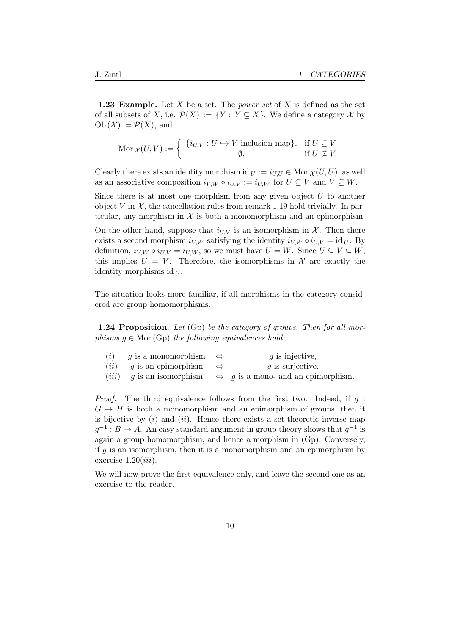**1.23 Example.** Let X be a set. The *power set* of X is defined as the set of all subsets of X, i.e.  $\mathcal{P}(X) := \{ Y : Y \subseteq X \}$ . We define a category X by  $Ob(\mathcal{X}) := \mathcal{P}(X)$ , and

$$
\text{Mor}\,\chi(U,V) := \left\{ \begin{array}{c} \{i_{U,V} : U \hookrightarrow V \text{ inclusion map} \}, & \text{if } U \subseteq V \\ \emptyset, & \text{if } U \nsubseteq V. \end{array} \right.
$$

Clearly there exists an identity morphism id  $_U := i_{U,U} \in \text{Mor } \chi(U, U)$ , as well as an associative composition  $i_{V,W} \circ i_{U,V} := i_{U,W}$  for  $U \subseteq V$  and  $V \subseteq W$ .

Since there is at most one morphism from any given object  $U$  to another object V in  $\mathcal{X}$ , the cancellation rules from remark 1.19 hold trivially. In particular, any morphism in  $\mathcal X$  is both a monomorphism and an epimorphism.

On the other hand, suppose that  $i_{UV}$  is an isomorphism in X. Then there exists a second morphism  $i_{V,W}$  satisfying the identity  $i_{V,W} \circ i_{U,V} = id_U$ . By definition,  $i_{V,W} \circ i_{U,V} = i_{U,W}$ , so we must have  $U = W$ . Since  $U \subseteq V \subseteq W$ , this implies  $U = V$ . Therefore, the isomorphisms in X are exactly the identity morphisms id  $U$ .

The situation looks more familiar, if all morphisms in the category considered are group homomorphisms.

**1.24 Proposition.** Let  $(G_p)$  be the category of groups. Then for all morphisms  $g \in \text{Mor}(\text{Gp})$  the following equivalences hold:

| ( <i>i</i> ) g is a monomorphism $\Leftrightarrow$ | $g$ is injective,                                                                     |
|----------------------------------------------------|---------------------------------------------------------------------------------------|
| $(ii)$ g is an epimorphism $\Leftrightarrow$       | q is surjective,                                                                      |
|                                                    | ( <i>iii</i> ) g is an isomorphism $\Leftrightarrow$ g is a mono- and an epimorphism. |

*Proof.* The third equivalence follows from the first two. Indeed, if  $q$ :  $G \rightarrow H$  is both a monomorphism and an epimorphism of groups, then it is bijective by  $(i)$  and  $(ii)$ . Hence there exists a set-theoretic inverse map  $g^{-1}: B \to A$ . An easy standard argument in group theory shows that  $g^{-1}$  is again a group homomorphism, and hence a morphism in (Gp). Conversely, if  $q$  is an isomorphism, then it is a monomorphism and an epimorphism by exercise  $1.20(iii)$ .

We will now prove the first equivalence only, and leave the second one as an exercise to the reader.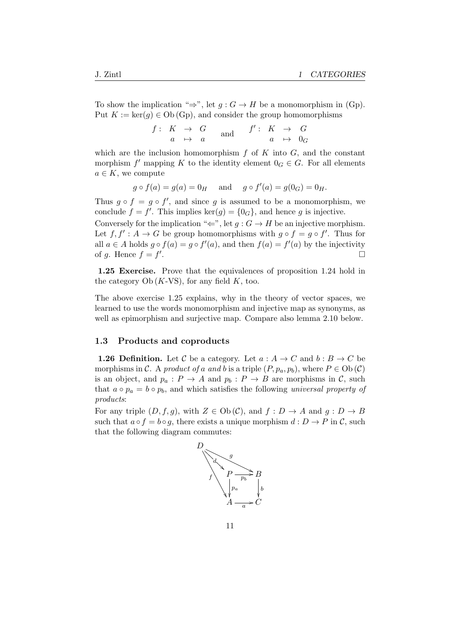To show the implication " $\Rightarrow$ ", let  $g: G \to H$  be a monomorphism in (Gp). Put  $K := \ker(g) \in Ob(\mathbb{G}_p)$ , and consider the group homomorphisms

|  | $f: K \rightarrow G$ | $f': K \rightarrow G$ |  |                     |  |
|--|----------------------|-----------------------|--|---------------------|--|
|  | $a \mapsto a$        |                       |  | $a \rightarrow 0_G$ |  |

which are the inclusion homomorphism  $f$  of  $K$  into  $G$ , and the constant morphism  $f'$  mapping K to the identity element  $0_G \in G$ . For all elements  $a \in K$ , we compute

$$
g \circ f(a) = g(a) = 0_H
$$
 and  $g \circ f'(a) = g(0_G) = 0_H$ .

Thus  $g \circ f = g \circ f'$ , and since g is assumed to be a monomorphism, we conclude  $f = f'$ . This implies ker $(g) = \{0_G\}$ , and hence g is injective.

Conversely for the implication " $\Leftarrow$ ", let  $q : G \to H$  be an injective morphism. Let  $f, f' : A \to G$  be group homomorphisms with  $g \circ f = g \circ f'$ . Thus for all  $a \in A$  holds  $g \circ f(a) = g \circ f'(a)$ , and then  $f(a) = f'(a)$  by the injectivity of g. Hence  $f = f'$ .

1.25 Exercise. Prove that the equivalences of proposition 1.24 hold in the category  $Ob(K-VS)$ , for any field K, too.

The above exercise 1.25 explains, why in the theory of vector spaces, we learned to use the words monomorphism and injective map as synonyms, as well as epimorphism and surjective map. Compare also lemma 2.10 below.

#### 1.3 Products and coproducts

**1.26 Definition.** Let C be a category. Let  $a : A \rightarrow C$  and  $b : B \rightarrow C$  be morphisms in C. A product of a and b is a triple  $(P, p_a, p_b)$ , where  $P \in Ob(\mathcal{C})$ is an object, and  $p_a: P \to A$  and  $p_b: P \to B$  are morphisms in C, such that  $a \circ p_a = b \circ p_b$ , and which satisfies the following universal property of products:

For any triple  $(D, f, g)$ , with  $Z \in Ob(\mathcal{C})$ , and  $f: D \to A$  and  $g: D \to B$ such that  $a \circ f = b \circ g$ , there exists a unique morphism  $d : D \to P$  in C, such that the following diagram commutes:

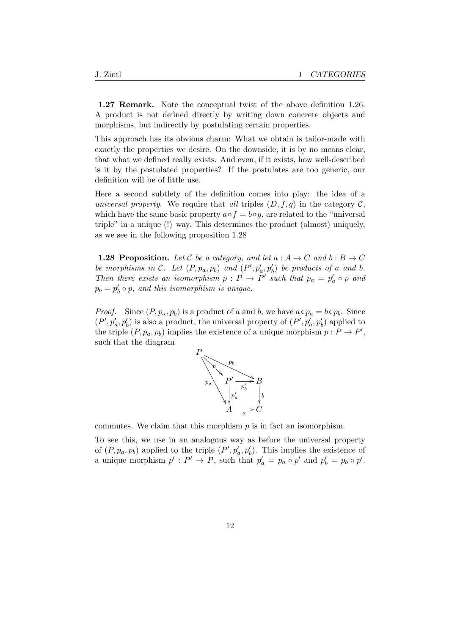1.27 Remark. Note the conceptual twist of the above definition 1.26. A product is not defined directly by writing down concrete objects and morphisms, but indirectly by postulating certain properties.

This approach has its obvious charm: What we obtain is tailor-made with exactly the properties we desire. On the downside, it is by no means clear, that what we defined really exists. And even, if it exists, how well-described is it by the postulated properties? If the postulates are too generic, our definition will be of little use.

Here a second subtlety of the definition comes into play: the idea of a universal property. We require that all triples  $(D, f, g)$  in the category C, which have the same basic property  $a \circ f = b \circ g$ , are related to the "universal triple" in a unique (!) way. This determines the product (almost) uniquely, as we see in the following proposition 1.28

**1.28 Proposition.** Let C be a category, and let  $a : A \rightarrow C$  and  $b : B \rightarrow C$ be morphisms in C. Let  $(P, p_a, p_b)$  and  $(P', p'_a, p'_b)$  be products of a and b. Then there exists an isomorphism  $p : P \to P'$  such that  $p_a = p'_a \circ p$  and  $p_b = p'_b \circ p$ , and this isomorphism is unique.

*Proof.* Since  $(P, p_a, p_b)$  is a product of a and b, we have  $a \circ p_a = b \circ p_b$ . Since  $(P', p'_a, p'_b)$  is also a product, the universal property of  $(P', p'_a, p'_b)$  applied to the triple  $(P, p_a, p_b)$  implies the existence of a unique morphism  $p : P \to P'$ , such that the diagram



commutes. We claim that this morphism  $p$  is in fact an isomorphism.

To see this, we use in an analogous way as before the universal property of  $(P, p_a, p_b)$  applied to the triple  $(P', p'_a, p'_b)$ . This implies the existence of a unique morphism  $p' : P' \to P$ , such that  $p'_a = p_a \circ p'$  and  $p'_b = p_b \circ p'$ .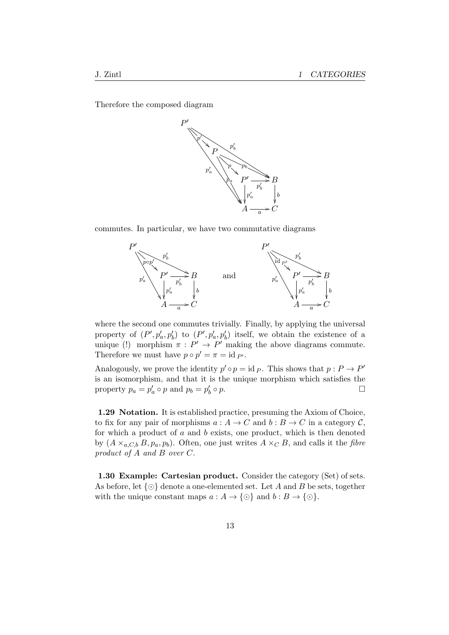Therefore the composed diagram



commutes. In particular, we have two commutative diagrams



where the second one commutes trivially. Finally, by applying the universal property of  $(P', p'_a, p'_b)$  to  $(P', p'_a, p'_b)$  itself, we obtain the existence of a unique (!) morphism  $\pi : P' \to P'$  making the above diagrams commute. Therefore we must have  $p \circ p' = \pi = \text{id }_{P'}$ .

Analogously, we prove the identity  $p' \circ p = id \, p$ . This shows that  $p : P \to P'$ is an isomorphism, and that it is the unique morphism which satisfies the property  $p_a = p'_a \circ p$  and  $p_b = p'_b$  $\circ p.$ 

1.29 Notation. It is established practice, presuming the Axiom of Choice, to fix for any pair of morphisms  $a: A \to C$  and  $b: B \to C$  in a category  $C$ , for which a product of  $a$  and  $b$  exists, one product, which is then denoted by  $(A \times_{a,C,b} B, p_a, p_b)$ . Often, one just writes  $A \times_C B$ , and calls it the *fibre* product of A and B over C.

1.30 Example: Cartesian product. Consider the category (Set) of sets. As before, let  $\{\odot\}$  denote a one-elemented set. Let A and B be sets, together with the unique constant maps  $a: A \to \{\odot\}$  and  $b: B \to \{\odot\}.$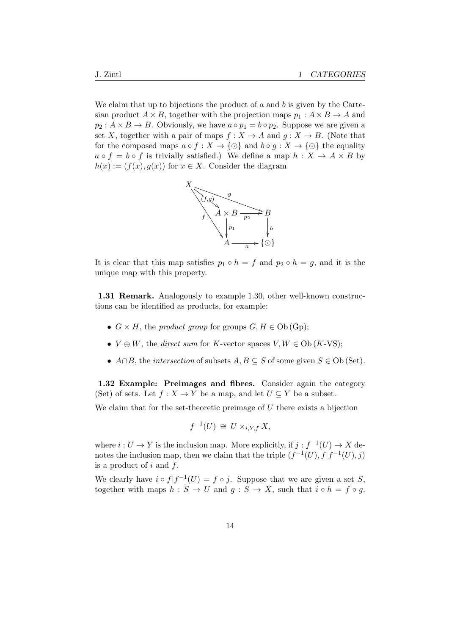We claim that up to bijections the product of  $a$  and  $b$  is given by the Cartesian product  $A \times B$ , together with the projection maps  $p_1 : A \times B \rightarrow A$  and  $p_2: A \times B \to B$ . Obviously, we have  $a \circ p_1 = b \circ p_2$ . Suppose we are given a set X, together with a pair of maps  $f: X \to A$  and  $g: X \to B$ . (Note that for the composed maps  $a \circ f : X \to \{ \odot \}$  and  $b \circ g : X \to \{ \odot \}$  the equality  $a \circ f = b \circ f$  is trivially satisfied.) We define a map  $h : X \to A \times B$  by  $h(x) := (f(x), g(x))$  for  $x \in X$ . Consider the diagram



It is clear that this map satisfies  $p_1 \circ h = f$  and  $p_2 \circ h = g$ , and it is the unique map with this property.

1.31 Remark. Analogously to example 1.30, other well-known constructions can be identified as products, for example:

- $G \times H$ , the product group for groups  $G, H \in Ob(\mathbf{Gp})$ ;
- $V \oplus W$ , the *direct sum* for K-vector spaces  $V, W \in Ob(K\text{-}VS)$ ;
- $A \cap B$ , the *intersection* of subsets  $A, B \subseteq S$  of some given  $S \in Ob$  (Set).

1.32 Example: Preimages and fibres. Consider again the category (Set) of sets. Let  $f: X \to Y$  be a map, and let  $U \subseteq Y$  be a subset.

We claim that for the set-theoretic preimage of  $U$  there exists a bijection

$$
f^{-1}(U) \cong U \times_{i,Y,f} X,
$$

where  $i: U \to Y$  is the inclusion map. More explicitly, if  $j: f^{-1}(U) \to X$  denotes the inclusion map, then we claim that the triple  $(f^{-1}(U), f | f^{-1}(U), j)$ is a product of  $i$  and  $f$ .

We clearly have  $i \circ f | f^{-1}(U) = f \circ j$ . Suppose that we are given a set S, together with maps  $h : S \to U$  and  $g : S \to X$ , such that  $i \circ h = f \circ g$ .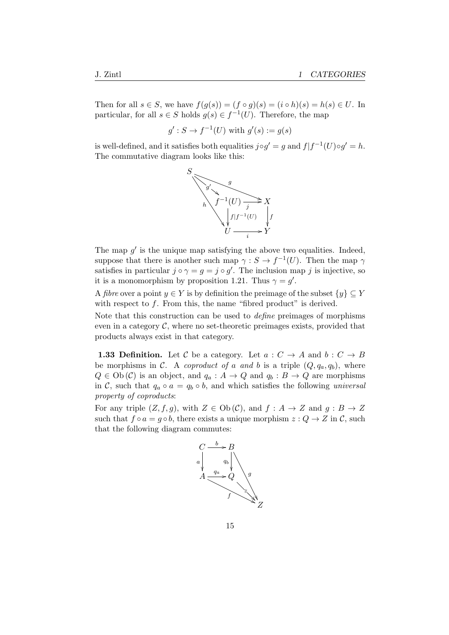Then for all  $s \in S$ , we have  $f(g(s)) = (f \circ g)(s) = (i \circ h)(s) = h(s) \in U$ . In particular, for all  $s \in S$  holds  $g(s) \in f^{-1}(U)$ . Therefore, the map

$$
g': S \to f^{-1}(U)
$$
 with  $g'(s) := g(s)$ 

is well-defined, and it satisfies both equalities  $j \circ g' = g$  and  $f | f^{-1}(U) \circ g' = h$ . The commutative diagram looks like this:



The map  $g'$  is the unique map satisfying the above two equalities. Indeed, suppose that there is another such map  $\gamma : S \to f^{-1}(U)$ . Then the map  $\gamma$ satisfies in particular  $j \circ \gamma = g = j \circ g'$ . The inclusion map j is injective, so it is a monomorphism by proposition 1.21. Thus  $\gamma = g'$ .

A *fibre* over a point  $y \in Y$  is by definition the preimage of the subset  $\{y\} \subset Y$ with respect to  $f$ . From this, the name "fibred product" is derived.

Note that this construction can be used to define preimages of morphisms even in a category  $\mathcal{C}$ , where no set-theoretic preimages exists, provided that products always exist in that category.

**1.33 Definition.** Let C be a category. Let  $a: C \rightarrow A$  and  $b: C \rightarrow B$ be morphisms in C. A coproduct of a and b is a triple  $(Q, q_a, q_b)$ , where  $Q \in Ob(\mathcal{C})$  is an object, and  $q_a : A \to Q$  and  $q_b : B \to Q$  are morphisms in C, such that  $q_a \circ a = q_b \circ b$ , and which satisfies the following universal property of coproducts:

For any triple  $(Z, f, g)$ , with  $Z \in Ob(\mathcal{C})$ , and  $f : A \to Z$  and  $g : B \to Z$ such that  $f \circ a = g \circ b$ , there exists a unique morphism  $z : Q \to Z$  in C, such that the following diagram commutes:

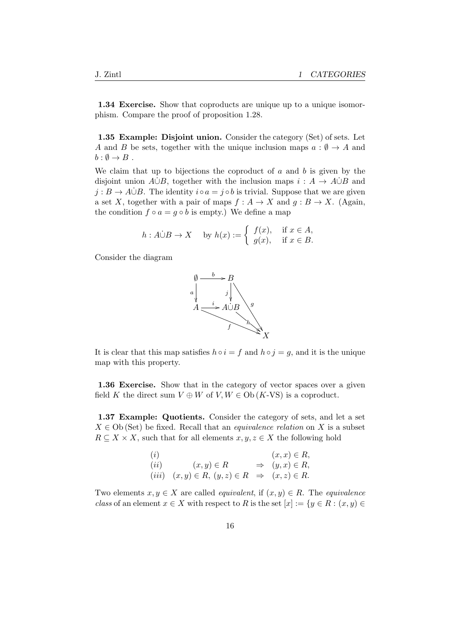1.34 Exercise. Show that coproducts are unique up to a unique isomorphism. Compare the proof of proposition 1.28.

1.35 Example: Disjoint union. Consider the category (Set) of sets. Let A and B be sets, together with the unique inclusion maps  $a : \emptyset \to A$  and  $b: \emptyset \to B$ .

We claim that up to bijections the coproduct of  $a$  and  $b$  is given by the disjoint union  $A \cup B$ , together with the inclusion maps  $i : A \rightarrow A \cup B$  and  $j : B \to A \cup B$ . The identity  $i \circ a = j \circ b$  is trivial. Suppose that we are given a set X, together with a pair of maps  $f : A \to X$  and  $g : B \to X$ . (Again, the condition  $f \circ a = g \circ b$  is empty.) We define a map

$$
h: A \dot{\cup} B \to X \quad \text{ by } h(x) := \begin{cases} f(x), & \text{if } x \in A, \\ g(x), & \text{if } x \in B. \end{cases}
$$

Consider the diagram



It is clear that this map satisfies  $h \circ i = f$  and  $h \circ j = g$ , and it is the unique map with this property.

1.36 Exercise. Show that in the category of vector spaces over a given field K the direct sum  $V \oplus W$  of  $V, W \in Ob(K\text{-}VS)$  is a coproduct.

1.37 Example: Quotients. Consider the category of sets, and let a set  $X \in Ob$  (Set) be fixed. Recall that an *equivalence relation* on X is a subset  $R \subseteq X \times X$ , such that for all elements  $x, y, z \in X$  the following hold

| (i)  |                                                                    | $(x, x) \in R$                 |
|------|--------------------------------------------------------------------|--------------------------------|
| (ii) | $(x, y) \in R$                                                     | $\Rightarrow$ $(y, x) \in R$ , |
|      | $(iii)$ $(x, y) \in R$ , $(y, z) \in R \Rightarrow (x, z) \in R$ . |                                |

Two elements  $x, y \in X$  are called *equivalent*, if  $(x, y) \in R$ . The *equivalence* class of an element  $x \in X$  with respect to R is the set  $[x] := \{y \in R : (x, y) \in$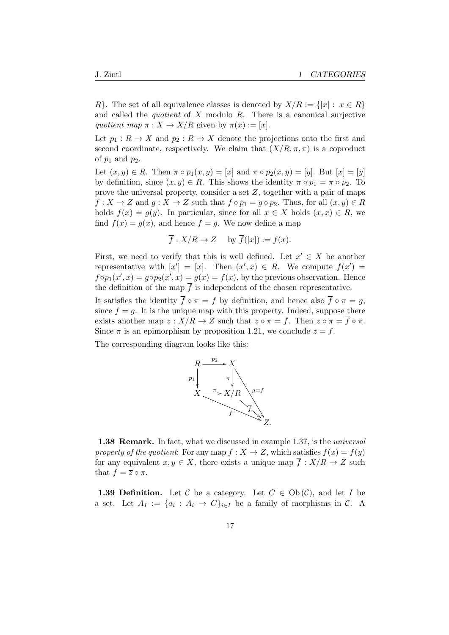R}. The set of all equivalence classes is denoted by  $X/R := \{ [x] : x \in R \}$ and called the *quotient* of  $X$  modulo  $R$ . There is a canonical surjective quotient map  $\pi : X \to X/R$  given by  $\pi(x) := [x]$ .

Let  $p_1 : R \to X$  and  $p_2 : R \to X$  denote the projections onto the first and second coordinate, respectively. We claim that  $(X/R, \pi, \pi)$  is a coproduct of  $p_1$  and  $p_2$ .

Let  $(x, y) \in R$ . Then  $\pi \circ p_1(x, y) = [x]$  and  $\pi \circ p_2(x, y) = [y]$ . But  $[x] = [y]$ by definition, since  $(x, y) \in R$ . This shows the identity  $\pi \circ p_1 = \pi \circ p_2$ . To prove the universal property, consider a set Z, together with a pair of maps  $f: X \to Z$  and  $g: X \to Z$  such that  $f \circ p_1 = g \circ p_2$ . Thus, for all  $(x, y) \in R$ holds  $f(x) = g(y)$ . In particular, since for all  $x \in X$  holds  $(x, x) \in R$ , we find  $f(x) = g(x)$ , and hence  $f = g$ . We now define a map

$$
\overline{f}: X/R \to Z
$$
 by  $\overline{f}([x]) := f(x)$ .

First, we need to verify that this is well defined. Let  $x' \in X$  be another representative with  $[x'] = [x]$ . Then  $(x', x) \in R$ . We compute  $f(x') =$  $f \circ p_1(x', x) = g \circ p_2(x', x) = g(x) = f(x)$ , by the previous observation. Hence the definition of the map  $\overline{f}$  is independent of the chosen representative.

It satisfies the identity  $\overline{f} \circ \pi = f$  by definition, and hence also  $\overline{f} \circ \pi = g$ , since  $f = q$ . It is the unique map with this property. Indeed, suppose there exists another map  $z : X/R \to Z$  such that  $z \circ \pi = f$ . Then  $z \circ \pi = \overline{f} \circ \pi$ . Since  $\pi$  is an epimorphism by proposition 1.21, we conclude  $z = \overline{f}$ .

The corresponding diagram looks like this:



1.38 Remark. In fact, what we discussed in example 1.37, is the *universal* property of the quotient: For any map  $f: X \to Z$ , which satisfies  $f(x) = f(y)$ for any equivalent  $x, y \in X$ , there exists a unique map  $\overline{f}: X/R \to Z$  such that  $f = \overline{z} \circ \pi$ .

**1.39 Definition.** Let C be a category. Let  $C \in Ob(\mathcal{C})$ , and let I be a set. Let  $A_I := \{a_i : A_i \to C\}_{i \in I}$  be a family of morphisms in C. A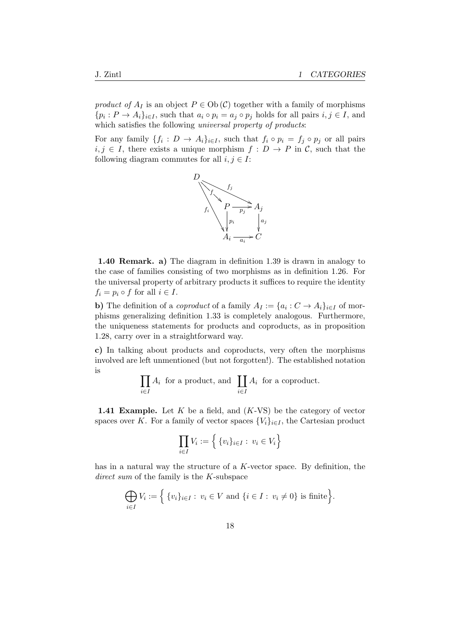product of  $A_I$  is an object  $P \in Ob(\mathcal{C})$  together with a family of morphisms  $\{p_i: P \to A_i\}_{i \in I}$ , such that  $a_i \circ p_i = a_j \circ p_j$  holds for all pairs  $i, j \in I$ , and which satisfies the following universal property of products:

For any family  $\{f_i: D \to A_i\}_{i \in I}$ , such that  $f_i \circ p_i = f_j \circ p_j$  or all pairs  $i, j \in I$ , there exists a unique morphism  $f: D \to P$  in C, such that the following diagram commutes for all  $i, j \in I$ :



1.40 Remark. a) The diagram in definition 1.39 is drawn in analogy to the case of families consisting of two morphisms as in definition 1.26. For the universal property of arbitrary products it suffices to require the identity  $f_i = p_i \circ f$  for all  $i \in I$ .

**b**) The definition of a *coproduct* of a family  $A_I := \{a_i : C \to A_i\}_{i \in I}$  of morphisms generalizing definition 1.33 is completely analogous. Furthermore, the uniqueness statements for products and coproducts, as in proposition 1.28, carry over in a straightforward way.

c) In talking about products and coproducts, very often the morphisms involved are left unmentioned (but not forgotten!). The established notation is

$$
\prod_{i \in I} A_i
$$
 for a product, and 
$$
\prod_{i \in I} A_i
$$
 for a coproduct.

**1.41 Example.** Let  $K$  be a field, and  $(K-VS)$  be the category of vector spaces over K. For a family of vector spaces  ${V_i}_{i \in I}$ , the Cartesian product

$$
\prod_{i \in I} V_i := \left\{ \{v_i\}_{i \in I} : v_i \in V_i \right\}
$$

has in a natural way the structure of a  $K$ -vector space. By definition, the direct sum of the family is the K-subspace

$$
\bigoplus_{i\in I} V_i := \Big\{ \{v_i\}_{i\in I} : v_i \in V \text{ and } \{i \in I : v_i \neq 0\} \text{ is finite} \Big\}.
$$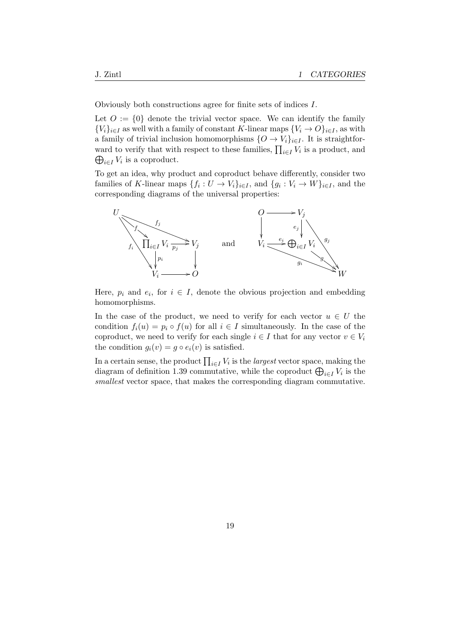Obviously both constructions agree for finite sets of indices I.

Let  $O := \{0\}$  denote the trivial vector space. We can identify the family  ${V_i}_{i\in I}$  as well with a family of constant K-linear maps  ${V_i \rightarrow O}_{i\in I}$ , as with a family of trivial inclusion homomorphisms  $\{O \to V_i\}_{i \in I}$ . It is straightforward to verify that with respect to these families,  $\prod_{i \in I} V_i$  is a product, and  $\bigoplus_{i\in I}V_i$  is a coproduct.

To get an idea, why product and coproduct behave differently, consider two families of K-linear maps  $\{f_i: U \to V_i\}_{i \in I}$ , and  $\{g_i: V_i \to W\}_{i \in I}$ , and the corresponding diagrams of the universal properties:



Here,  $p_i$  and  $e_i$ , for  $i \in I$ , denote the obvious projection and embedding homomorphisms.

In the case of the product, we need to verify for each vector  $u \in U$  the condition  $f_i(u) = p_i \circ f(u)$  for all  $i \in I$  simultaneously. In the case of the coproduct, we need to verify for each single  $i \in I$  that for any vector  $v \in V_i$ the condition  $g_i(v) = g \circ e_i(v)$  is satisfied.

In a certain sense, the product  $\prod_{i \in I} V_i$  is the *largest* vector space, making the diagram of definition 1.39 commutative, while the coproduct  $\bigoplus_{i \in I} V_i$  is the smallest vector space, that makes the corresponding diagram commutative.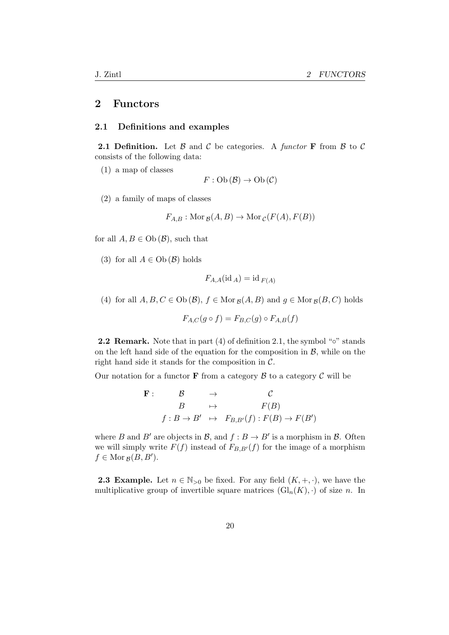## 2 Functors

#### 2.1 Definitions and examples

**2.1 Definition.** Let  $\beta$  and  $\beta$  be categories. A functor **F** from  $\beta$  to  $\beta$ consists of the following data:

(1) a map of classes

$$
F:Ob(\mathcal{B}) \to Ob(\mathcal{C})
$$

(2) a family of maps of classes

$$
F_{A,B}: \text{Mor}_{\mathcal{B}}(A, B) \to \text{Mor}_{\mathcal{C}}(F(A), F(B))
$$

for all  $A, B \in Ob(\mathcal{B})$ , such that

(3) for all  $A \in Ob(\mathcal{B})$  holds

$$
F_{A,A}(\mathrm{id}_A) = \mathrm{id}_{F(A)}
$$

(4) for all  $A, B, C \in Ob(\mathcal{B}), f \in Mor_{\mathcal{B}}(A, B)$  and  $g \in Mor_{\mathcal{B}}(B, C)$  holds

$$
F_{A,C}(g \circ f) = F_{B,C}(g) \circ F_{A,B}(f)
$$

**2.2 Remark.** Note that in part  $(4)$  of definition 2.1, the symbol " $\circ$ " stands on the left hand side of the equation for the composition in  $\mathcal{B}$ , while on the right hand side it stands for the composition in  $C$ .

Our notation for a functor **F** from a category  $\beta$  to a category  $\beta$  will be

$$
\begin{array}{cccc}\n\mathbf{F}: & \mathcal{B} & \rightarrow & \mathcal{C} \\
& B & \mapsto & F(B) \\
f: B \rightarrow B' & \mapsto & F_{B,B'}(f): F(B) \rightarrow F(B')\n\end{array}
$$

where B and B' are objects in B, and  $f : B \to B'$  is a morphism in B. Often we will simply write  $F(f)$  instead of  $F_{B,B'}(f)$  for the image of a morphism  $f \in \text{Mor}_{\mathcal{B}}(B, B').$ 

**2.3 Example.** Let  $n \in \mathbb{N}_{>0}$  be fixed. For any field  $(K, +, \cdot)$ , we have the multiplicative group of invertible square matrices  $(\mathrm{Gl}_n(K), \cdot)$  of size n. In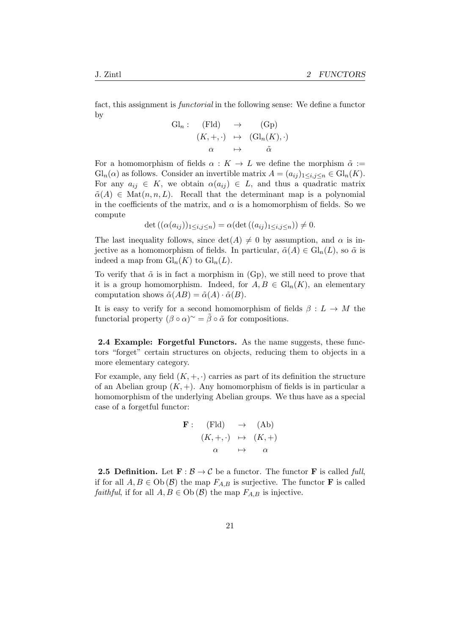fact, this assignment is functorial in the following sense: We define a functor by

$$
\begin{array}{rcl}\n\mathrm{Gl}_n: & (\mathrm{Fld}) & \to & (\mathrm{Gp}) \\
& (K, +, \cdot) & \mapsto & (\mathrm{Gl}_n(K), \cdot) \\
\alpha & \mapsto & \tilde{\alpha}\n\end{array}
$$

For a homomorphism of fields  $\alpha : K \to L$  we define the morphism  $\tilde{\alpha} :=$  $\mathrm{Gl}_n(\alpha)$  as follows. Consider an invertible matrix  $A = (a_{ij})_{1 \le i,j \le n} \in \mathrm{Gl}_n(K)$ . For any  $a_{ij} \in K$ , we obtain  $\alpha(a_{ij}) \in L$ , and thus a quadratic matrix  $\tilde{\alpha}(A) \in \text{Mat}(n, n, L)$ . Recall that the determinant map is a polynomial in the coefficients of the matrix, and  $\alpha$  is a homomorphism of fields. So we compute

$$
\det((\alpha(a_{ij}))_{1\leq i,j\leq n}) = \alpha(\det((a_{ij})_{1\leq i,j\leq n})) \neq 0.
$$

The last inequality follows, since  $\det(A) \neq 0$  by assumption, and  $\alpha$  is injective as a homomorphism of fields. In particular,  $\tilde{\alpha}(A) \in Gl_n(L)$ , so  $\tilde{\alpha}$  is indeed a map from  $\mathrm{Gl}_n(K)$  to  $\mathrm{Gl}_n(L)$ .

To verify that  $\tilde{\alpha}$  is in fact a morphism in (Gp), we still need to prove that it is a group homomorphism. Indeed, for  $A, B \in Gl_n(K)$ , an elementary computation shows  $\tilde{\alpha}(AB) = \tilde{\alpha}(A) \cdot \tilde{\alpha}(B)$ .

It is easy to verify for a second homomorphism of fields  $\beta: L \to M$  the functorial property  $(\beta \circ \alpha)^{\sim} = \tilde{\beta} \circ \tilde{\alpha}$  for compositions.

2.4 Example: Forgetful Functors. As the name suggests, these functors "forget" certain structures on objects, reducing them to objects in a more elementary category.

For example, any field  $(K, +, \cdot)$  carries as part of its definition the structure of an Abelian group  $(K, +)$ . Any homomorphism of fields is in particular a homomorphism of the underlying Abelian groups. We thus have as a special case of a forgetful functor:

$$
\begin{array}{rcl}\n\mathbf{F}: & (\mathrm{Fld}) & \rightarrow & (\mathrm{Ab}) \\
& (K, +, \cdot) & \mapsto & (K, +) \\
\alpha & \mapsto & \alpha\n\end{array}
$$

**2.5 Definition.** Let  $\mathbf{F} : \mathcal{B} \to \mathcal{C}$  be a functor. The functor **F** is called full, if for all  $A, B \in Ob (\mathcal{B})$  the map  $F_{A,B}$  is surjective. The functor **F** is called *faithful*, if for all  $A, B \in Ob(\mathcal{B})$  the map  $F_{A,B}$  is injective.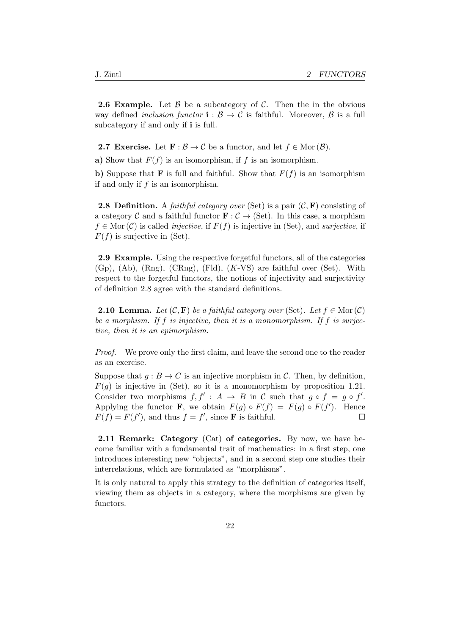**2.6 Example.** Let  $\beta$  be a subcategory of  $\beta$ . Then the in the obvious way defined *inclusion functor*  $\mathbf{i} : \mathcal{B} \to \mathcal{C}$  is faithful. Moreover,  $\mathcal{B}$  is a full subcategory if and only if **i** is full.

**2.7 Exercise.** Let  $\mathbf{F} : \mathcal{B} \to \mathcal{C}$  be a functor, and let  $f \in \text{Mor}(\mathcal{B})$ .

a) Show that  $F(f)$  is an isomorphism, if f is an isomorphism.

b) Suppose that **F** is full and faithful. Show that  $F(f)$  is an isomorphism if and only if  $f$  is an isomorphism.

**2.8 Definition.** A *faithful category over* (Set) is a pair  $(C, F)$  consisting of a category C and a faithful functor  $\mathbf{F} : C \to (\text{Set})$ . In this case, a morphism  $f \in \text{Mor}(\mathcal{C})$  is called *injective*, if  $F(f)$  is injective in (Set), and *surjective*, if  $F(f)$  is surjective in (Set).

2.9 Example. Using the respective forgetful functors, all of the categories (Gp), (Ab), (Rng), (CRng), (Fld), (K-VS) are faithful over (Set). With respect to the forgetful functors, the notions of injectivity and surjectivity of definition 2.8 agree with the standard definitions.

**2.10 Lemma.** Let  $(C, \mathbf{F})$  be a faithful category over (Set). Let  $f \in \text{Mor}(\mathcal{C})$ be a morphism. If  $f$  is injective, then it is a monomorphism. If  $f$  is surjective, then it is an epimorphism.

*Proof.* We prove only the first claim, and leave the second one to the reader as an exercise.

Suppose that  $q : B \to C$  is an injective morphism in C. Then, by definition,  $F(q)$  is injective in (Set), so it is a monomorphism by proposition 1.21. Consider two morphisms  $f, f' : A \to B$  in C such that  $g \circ f = g \circ f'$ . Applying the functor **F**, we obtain  $F(g) \circ F(f) = F(g) \circ F(f')$ . Hence  $F(f) = F(f')$ , and thus  $f = f'$ , since **F** is faithful.

2.11 Remark: Category (Cat) of categories. By now, we have become familiar with a fundamental trait of mathematics: in a first step, one introduces interesting new "objects", and in a second step one studies their interrelations, which are formulated as "morphisms".

It is only natural to apply this strategy to the definition of categories itself, viewing them as objects in a category, where the morphisms are given by functors.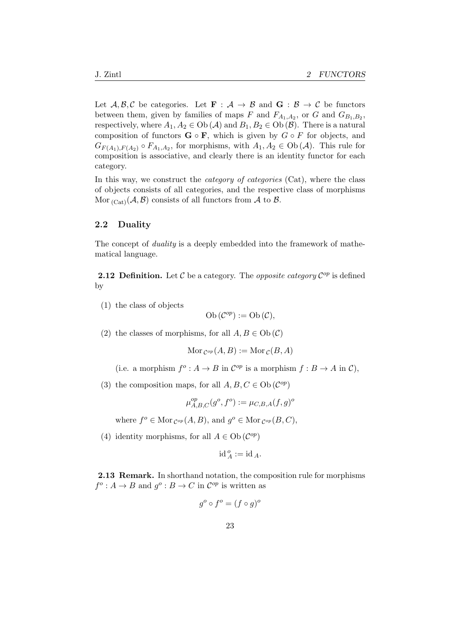Let  $A, B, C$  be categories. Let  $\mathbf{F} : A \to B$  and  $\mathbf{G} : B \to C$  be functors between them, given by families of maps F and  $F_{A_1,A_2}$ , or G and  $G_{B_1,B_2}$ , respectively, where  $A_1, A_2 \in Ob(\mathcal{A})$  and  $B_1, B_2 \in Ob(\mathcal{B})$ . There is a natural composition of functors  $G \circ F$ , which is given by  $G \circ F$  for objects, and  $G_{F(A_1),F(A_2)} \circ F_{A_1,A_2}$ , for morphisms, with  $A_1, A_2 \in Ob(\mathcal{A})$ . This rule for composition is associative, and clearly there is an identity functor for each category.

In this way, we construct the *category of categories* (Cat), where the class of objects consists of all categories, and the respective class of morphisms Mor  $_{(Cat)}(\mathcal{A}, \mathcal{B})$  consists of all functors from  $\mathcal{A}$  to  $\mathcal{B}$ .

#### 2.2 Duality

The concept of duality is a deeply embedded into the framework of mathematical language.

**2.12 Definition.** Let  $\mathcal C$  be a category. The *opposite category*  $\mathcal C^{op}$  is defined by

(1) the class of objects

Ob 
$$
(\mathcal{C}^{op}) := Ob(\mathcal{C}),
$$

(2) the classes of morphisms, for all  $A, B \in Ob(\mathcal{C})$ 

$$
Mor_{\mathcal{C}^{op}}(A, B) := Mor_{\mathcal{C}}(B, A)
$$

- (i.e. a morphism  $f^o: A \to B$  in  $\mathcal{C}^{op}$  is a morphism  $f: B \to A$  in  $\mathcal{C}$ ),
- (3) the composition maps, for all  $A, B, C \in Ob(\mathcal{C}^{op})$

$$
\mu_{A,B,C}^{op}(g^o, f^o) := \mu_{C,B,A}(f,g)^o
$$

where  $f^o \in \text{Mor}_{\mathcal{C}^{op}}(A, B)$ , and  $g^o \in \text{Mor}_{\mathcal{C}^{op}}(B, C)$ ,

(4) identity morphisms, for all  $A \in Ob \, (C^{op})$ 

$$
\mathrm{id}_{\,A}^{\,o}:=\mathrm{id}_{\,A}.
$$

2.13 Remark. In shorthand notation, the composition rule for morphisms  $f^o: A \to B$  and  $g^o: B \to C$  in  $\mathcal{C}^{op}$  is written as

$$
g^o \circ f^o = (f \circ g)^o
$$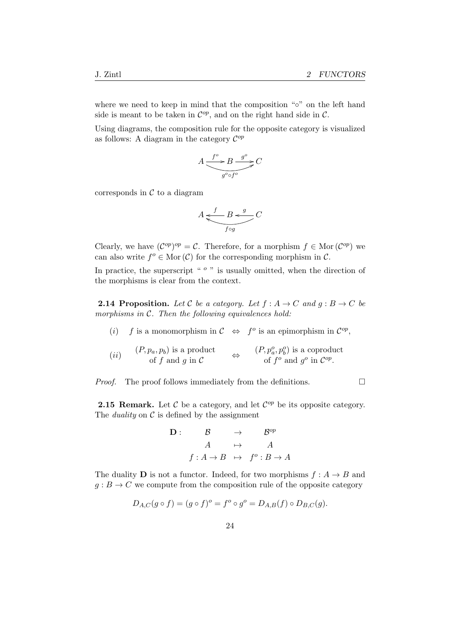where we need to keep in mind that the composition "∘" on the left hand side is meant to be taken in  $\mathcal{C}^{op}$ , and on the right hand side in  $\mathcal{C}$ .

Using diagrams, the composition rule for the opposite category is visualized as follows: A diagram in the category  $\mathcal{C}^{op}$ 

$$
A \xrightarrow{f^o} B \xrightarrow{g^o} C
$$

corresponds in  $\mathcal C$  to a diagram

$$
A \underbrace{\underbrace{f \qquad B \prec^g}_{f \circ g} C}
$$

Clearly, we have  $(\mathcal{C}^{op})^{op} = \mathcal{C}$ . Therefore, for a morphism  $f \in \text{Mor}(\mathcal{C}^{op})$  we can also write  $f^o \in \text{Mor}(\mathcal{C})$  for the corresponding morphism in  $\mathcal{C}$ .

In practice, the superscript " $\degree$ " is usually omitted, when the direction of the morphisms is clear from the context.

**2.14 Proposition.** Let C be a category. Let  $f : A \rightarrow C$  and  $g : B \rightarrow C$  be morphisms in  $C$ . Then the following equivalences hold:

- (i) f is a monomorphism in  $\mathcal{C} \Leftrightarrow f^o$  is an epimorphism in  $\mathcal{C}^{op}$ ,
- $(ii)$  $(P, p_a, p_b)$  is a product of  $f$  and  $g$  in  $\mathcal C$ ⇔  $(P,p_a^o,p_b^o)$  is a coproduct of  $f^o$  and  $g^o$  in  $\mathcal{C}^{op}$ .

*Proof.* The proof follows immediately from the definitions.  $\Box$ 

**2.15 Remark.** Let  $\mathcal{C}$  be a category, and let  $\mathcal{C}^{op}$  be its opposite category. The *duality* on  $\mathcal C$  is defined by the assignment

$$
\begin{array}{cccc}\n\mathbf{D}: & \mathcal{B} & \rightarrow & \mathcal{B}^{op} \\
A & \mapsto & A \\
f: A \rightarrow B & \mapsto & f^o: B \rightarrow A\n\end{array}
$$

The duality **D** is not a functor. Indeed, for two morphisms  $f : A \rightarrow B$  and  $q: B \to C$  we compute from the composition rule of the opposite category

$$
D_{A,C}(g \circ f) = (g \circ f)^{\circ} = f^{\circ} \circ g^{\circ} = D_{A,B}(f) \circ D_{B,C}(g).
$$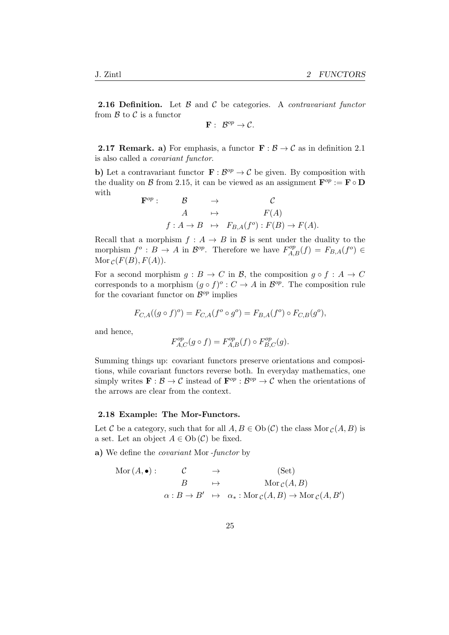**2.16 Definition.** Let  $\beta$  and  $\beta$  be categories. A *contravariant functor* from  $\beta$  to  $\beta$  is a functor

 $\mathbf{F}: \ \mathcal{B}^{op} \to \mathcal{C}.$ 

**2.17 Remark. a)** For emphasis, a functor  $\mathbf{F} : \mathcal{B} \to \mathcal{C}$  as in definition 2.1 is also called a covariant functor.

b) Let a contravariant functor  $\mathbf{F} : \mathcal{B}^{op} \to \mathcal{C}$  be given. By composition with the duality on B from 2.15, it can be viewed as an assignment  $\mathbf{F}^{op} := \mathbf{F} \circ \mathbf{D}$ with

$$
\begin{array}{rcl}\n\mathbf{F}^{op} : & \mathcal{B} & \to & \mathcal{C} \\
A & \mapsto & F(A) \\
f: A \to B & \mapsto & F_{B,A}(f^o) : F(B) \to F(A).\n\end{array}
$$

Recall that a morphism  $f : A \to B$  in B is sent under the duality to the morphism  $f^o: B \to A$  in  $\mathcal{B}^{op}$ . Therefore we have  $F_{A,B}^{op}(f) = F_{B,A}(f^o) \in$ Mor  $c(F(B), F(A))$ .

For a second morphism  $g : B \to C$  in B, the composition  $g \circ f : A \to C$ corresponds to a morphism  $(g \circ f)^{\circ}: C \to A$  in  $\mathcal{B}^{op}$ . The composition rule for the covariant functor on  $\mathcal{B}^{op}$  implies

$$
F_{C,A}((g \circ f)^o) = F_{C,A}(f^o \circ g^o) = F_{B,A}(f^o) \circ F_{C,B}(g^o),
$$

and hence,

$$
F_{A,C}^{op}(g \circ f) = F_{A,B}^{op}(f) \circ F_{B,C}^{op}(g).
$$

Summing things up: covariant functors preserve orientations and compositions, while covariant functors reverse both. In everyday mathematics, one simply writes  $\mathbf{F} : \mathcal{B} \to \mathcal{C}$  instead of  $\mathbf{F}^{op} : \mathcal{B}^{op} \to \mathcal{C}$  when the orientations of the arrows are clear from the context.

#### 2.18 Example: The Mor-Functors.

Let C be a category, such that for all  $A, B \in Ob(\mathcal{C})$  the class Mor  $_{\mathcal{C}}(A, B)$  is a set. Let an object  $A \in Ob(\mathcal{C})$  be fixed.

a) We define the covariant Mor-functor by

$$
Mor(A, \bullet): C \rightarrow (Set)
$$
  
\n
$$
B \rightarrow Mor_{\mathcal{C}}(A, B)
$$
  
\n
$$
\alpha: B \rightarrow B' \rightarrow \alpha_*: Mor_{\mathcal{C}}(A, B) \rightarrow Mor_{\mathcal{C}}(A, B')
$$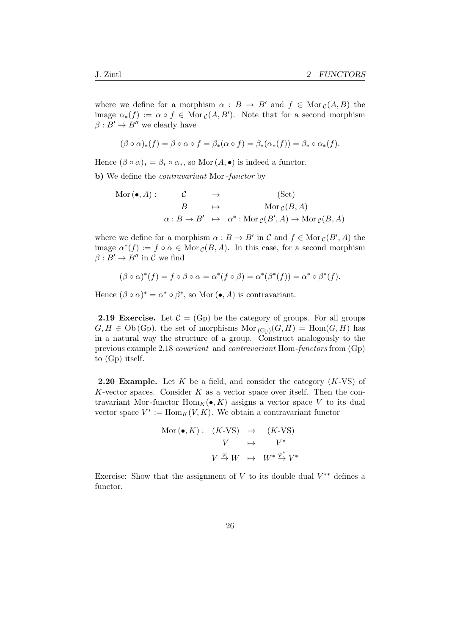where we define for a morphism  $\alpha : B \to B'$  and  $f \in \text{Mor}_{\mathcal{C}}(A, B)$  the image  $\alpha_*(f) := \alpha \circ f \in \text{Mor}_{\mathcal{C}}(A, B')$ . Note that for a second morphism  $\beta: B' \to B''$  we clearly have

$$
(\beta \circ \alpha)_*(f) = \beta \circ \alpha \circ f = \beta_*(\alpha \circ f) = \beta_*(\alpha_*(f)) = \beta_* \circ \alpha_*(f).
$$

Hence  $(\beta \circ \alpha)_* = \beta_* \circ \alpha_*$ , so Mor  $(A, \bullet)$  is indeed a functor.

b) We define the *contravariant* Mor-functor by

$$
\begin{array}{cccc}\n\text{Mor}(\bullet, A): & \mathcal{C} & \rightarrow & (\text{Set}) \\
& B & \mapsto & \text{Mor}_{\mathcal{C}}(B, A) \\
& \alpha: B \rightarrow B' & \mapsto & \alpha^* : \text{Mor}_{\mathcal{C}}(B', A) \rightarrow \text{Mor}_{\mathcal{C}}(B, A)\n\end{array}
$$

where we define for a morphism  $\alpha : B \to B'$  in  $\mathcal C$  and  $f \in \text{Mor}_{\mathcal C}(B', A)$  the image  $\alpha^*(f) := f \circ \alpha \in \text{Mor}_{\mathcal{C}}(B, A)$ . In this case, for a second morphism  $\beta: B' \to B''$  in C we find

$$
(\beta \circ \alpha)^*(f) = f \circ \beta \circ \alpha = \alpha^*(f \circ \beta) = \alpha^*(\beta^*(f)) = \alpha^* \circ \beta^*(f).
$$

Hence  $(\beta \circ \alpha)^* = \alpha^* \circ \beta^*$ , so Mor  $(\bullet, A)$  is contravariant.

**2.19 Exercise.** Let  $C = (Gp)$  be the category of groups. For all groups  $G, H \in Ob(Gp)$ , the set of morphisms  $Mor_{(Gp)}(G, H) = Hom(G, H)$  has in a natural way the structure of a group. Construct analogously to the previous example 2.18 covariant and contravariant Hom-functors from (Gp) to (Gp) itself.

**2.20 Example.** Let K be a field, and consider the category  $(K\text{-}VS)$  of K-vector spaces. Consider  $K$  as a vector space over itself. Then the contravariant Mor-functor  $\text{Hom}_K(\bullet, K)$  assigns a vector space V to its dual vector space  $V^* := \text{Hom}_K(V, K)$ . We obtain a contravariant functor

$$
\begin{array}{rcl}\n\text{Mor} \left( \bullet, K \right) : & (K\text{-}VS) & \to & (K\text{-}VS) \\
& V & \mapsto & V^* \\
& V \xrightarrow{\varphi} W & \mapsto & W^* \xrightarrow{\varphi^*} V^* \\
\end{array}
$$

Exercise: Show that the assignment of  $V$  to its double dual  $V^{**}$  defines a functor.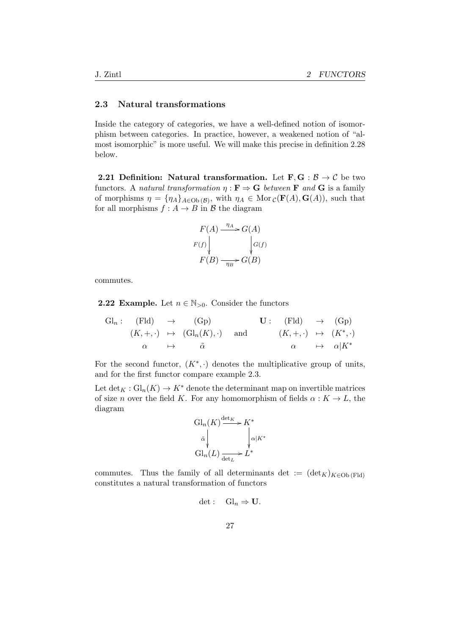#### 2.3 Natural transformations

Inside the category of categories, we have a well-defined notion of isomorphism between categories. In practice, however, a weakened notion of "almost isomorphic" is more useful. We will make this precise in definition 2.28 below.

2.21 Definition: Natural transformation. Let  $\mathbf{F}, \mathbf{G} : \mathcal{B} \to \mathcal{C}$  be two functors. A natural transformation  $\eta : \mathbf{F} \to \mathbf{G}$  between **F** and **G** is a family of morphisms  $\eta = \{\eta_A\}_{A\in Ob(\mathcal{B})}$ , with  $\eta_A \in Mor_{\mathcal{C}}(\mathbf{F}(A), \mathbf{G}(A)),$  such that for all morphisms  $f : A \to B$  in B the diagram

$$
F(A) \xrightarrow{\eta_A} G(A)
$$
  

$$
F(f) \downarrow \qquad \qquad G(f)
$$
  

$$
F(B) \xrightarrow{\eta_B} G(B)
$$

commutes.

**2.22 Example.** Let  $n \in \mathbb{N}_{>0}$ . Consider the functors

$$
\begin{array}{ccccccc}\n\mathrm{Gl}_n: & (\mathrm{Fld}) & \to & (\mathrm{Gp}) & \mathbf{U}: & (\mathrm{Fld}) & \to & (\mathrm{Gp}) \\
(K, +, \cdot) & \mapsto & (\mathrm{Gl}_n(K), \cdot) & \text{and} & (K, +, \cdot) & \mapsto & (K^*, \cdot) \\
\alpha & \mapsto & \tilde{\alpha} & \alpha & \mapsto & \alpha|K^* & \end{array}
$$

For the second functor,  $(K^*, \cdot)$  denotes the multiplicative group of units, and for the first functor compare example 2.3.

Let  $\det_K: Gl_n(K) \to K^*$  denote the determinant map on invertible matrices of size *n* over the field K. For any homomorphism of fields  $\alpha : K \to L$ , the diagram

$$
Gl_n(K) \xrightarrow{\det_K} K^*
$$
  
\n
$$
\tilde{\alpha} \downarrow \qquad \qquad \downarrow \alpha_K
$$
  
\n
$$
Gl_n(L) \xrightarrow{\det_L} L^*
$$

commutes. Thus the family of all determinants det :=  $(\det_K)_{K \in Ob (Fld)}$ constitutes a natural transformation of functors

$$
\det: \quad \mathrm{Gl}_n \Rightarrow \mathbf{U}.
$$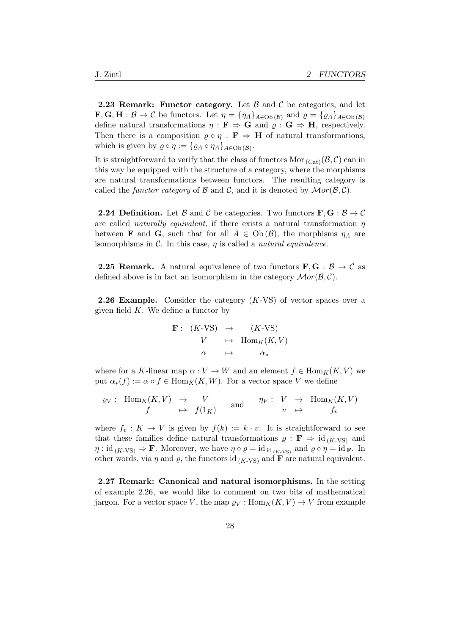**2.23 Remark: Functor category.** Let  $\beta$  and  $\beta$  be categories, and let  $\mathbf{F}, \mathbf{G}, \mathbf{H} : \mathcal{B} \to \mathcal{C}$  be functors. Let  $\eta = {\eta_A}_{A \in Ob(\mathcal{B})}$  and  $\varrho = {\varrho_A}_{A \in Ob(\mathcal{B})}$ define natural transformations  $\eta : \mathbf{F} \Rightarrow \mathbf{G}$  and  $\rho : \mathbf{G} \Rightarrow \mathbf{H}$ , respectively. Then there is a composition  $\rho \circ \eta : \mathbf{F} \Rightarrow \mathbf{H}$  of natural transformations, which is given by  $\rho \circ \eta := \{ \varrho_A \circ \eta_A \}_{A \in Ob(\mathcal{B})}$ .

It is straightforward to verify that the class of functors Mor  $_{(Cat)}(\mathcal{B}, \mathcal{C})$  can in this way be equipped with the structure of a category, where the morphisms are natural transformations between functors. The resulting category is called the functor category of  $\mathcal B$  and  $\mathcal C$ , and it is denoted by  $\mathcal Mor(\mathcal B, \mathcal C)$ .

**2.24 Definition.** Let B and C be categories. Two functors  $\mathbf{F}, \mathbf{G} : \mathcal{B} \to \mathcal{C}$ are called *naturally equivalent*, if there exists a natural transformation  $\eta$ between **F** and **G**, such that for all  $A \in Ob(\mathcal{B})$ , the morphisms  $\eta_A$  are isomorphisms in  $\mathcal{C}$ . In this case,  $\eta$  is called a *natural equivalence*.

**2.25 Remark.** A natural equivalence of two functors  $\mathbf{F}, \mathbf{G} : \mathcal{B} \to \mathcal{C}$  as defined above is in fact an isomorphism in the category  $Mor(\mathcal{B}, \mathcal{C})$ .

**2.26 Example.** Consider the category  $(K-VS)$  of vector spaces over a given field  $K$ . We define a functor by

$$
\begin{array}{cccc}\n\mathbf{F}: & (K\text{-}VS) & \to & (K\text{-}VS) \\
& V & \mapsto & \text{Hom}_K(K, V) \\
& \alpha & \mapsto & \alpha_*\n\end{array}
$$

where for a K-linear map  $\alpha: V \to W$  and an element  $f \in Hom_K(K, V)$  we put  $\alpha_*(f) := \alpha \circ f \in \text{Hom}_K(K, W)$ . For a vector space V we define

$$
\varrho_V: \text{ Hom}_K(K, V) \rightarrow V \text{ and } \eta_V: V \rightarrow \text{Hom}_K(K, V) \n f(1_K) \text{ and } \eta_V: V \rightarrow \text{Hom}_K(K, V)
$$

where  $f_v: K \to V$  is given by  $f(k) := k \cdot v$ . It is straightforward to see that these families define natural transformations  $\varrho : \mathbf{F} \Rightarrow id_{(K-VS)}$  and  $\eta : \text{id}_{(K\text{-}VS)} \Rightarrow \mathbf{F}$ . Moreover, we have  $\eta \circ \varrho = \text{id}_{\text{id}_{(K\text{-}VS)}}$  and  $\varrho \circ \eta = \text{id}_{\mathbf{F}}$ . In other words, via  $\eta$  and  $\rho$ , the functors id (K-VS) and **F** are natural equivalent.

2.27 Remark: Canonical and natural isomorphisms. In the setting of example 2.26, we would like to comment on two bits of mathematical jargon. For a vector space V, the map  $\rho_V : \text{Hom}_K(K, V) \to V$  from example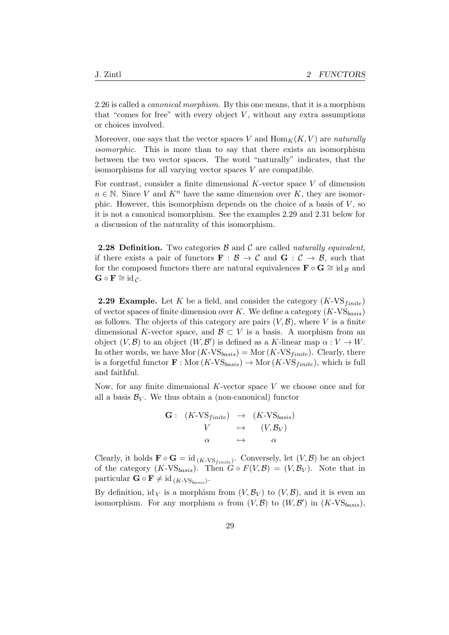2.26 is called a *canonical morphism*. By this one means, that it is a morphism that "comes for free" with every object  $V$ , without any extra assumptions or choices involved.

Moreover, one says that the vector spaces V and  $\text{Hom}_K(K, V)$  are naturally isomorphic. This is more than to say that there exists an isomorphism between the two vector spaces. The word "naturally" indicates, that the isomorphisms for all varying vector spaces  $V$  are compatible.

For contrast, consider a finite dimensional  $K$ -vector space  $V$  of dimension  $n \in \mathbb{N}$ . Since V and  $K^n$  have the same dimension over K, they are isomorphic. However, this isomorphism depends on the choice of a basis of  $V$ , so it is not a canonical isomorphism. See the examples 2.29 and 2.31 below for a discussion of the naturality of this isomorphism.

**2.28 Definition.** Two categories  $\beta$  and  $\beta$  are called naturally equivalent, if there exists a pair of functors  $\mathbf{F}: \mathcal{B} \to \mathcal{C}$  and  $\mathbf{G}: \mathcal{C} \to \mathcal{B}$ , such that for the composed functors there are natural equivalences  $\mathbf{F} \circ \mathbf{G} \cong id_{\mathcal{B}}$  and  $\mathbf{G} \circ \mathbf{F} \cong \mathrm{id}_{\mathcal{C}}.$ 

**2.29 Example.** Let K be a field, and consider the category  $(K\text{-VS}_{finite})$ of vector spaces of finite dimension over K. We define a category  $(K\text{-}VS_{basis})$ as follows. The objects of this category are pairs  $(V, \mathcal{B})$ , where V is a finite dimensional K-vector space, and  $\mathcal{B} \subset V$  is a basis. A morphism from an object  $(V, \mathcal{B})$  to an object  $(W, \mathcal{B}')$  is defined as a K-linear map  $\alpha : V \to W$ . In other words, we have Mor  $(K\text{-}VS_{basis}) = \text{Mor}(K\text{-}VS_{finite})$ . Clearly, there is a forgetful functor  $\mathbf{F} : \text{Mor}(K\text{-}VS_{basis}) \to \text{Mor}(K\text{-}VS_{finite})$ , which is full and faithful.

Now, for any finite dimensional  $K$ -vector space  $V$  we choose once and for all a basis  $\mathcal{B}_V$ . We thus obtain a (non-canonical) functor

$$
\begin{array}{cccc} \mathbf{G}: & (K\text{-}VS_{finite}) & \to & (K\text{-}VS_{basis}) \\ & V & \mapsto & (V,\mathcal{B}_V) \\ & \alpha & \mapsto & \alpha \end{array}
$$

Clearly, it holds  $\mathbf{F} \circ \mathbf{G} = id_{(K\text{-VS}_{finite})}$ . Conversely, let  $(V, \mathcal{B})$  be an object of the category  $(K\text{-}VS_{basis})$ . Then  $G \circ F(V,\mathcal{B}) = (V,\mathcal{B}_V)$ . Note that in particular  $\mathbf{G} \circ \mathbf{F} \neq \text{id}_{(K\text{-VS}_{basis})}.$ 

By definition, id v is a morphism from  $(V, \mathcal{B}_V)$  to  $(V, \mathcal{B})$ , and it is even an isomorphism. For any morphism  $\alpha$  from  $(V, \mathcal{B})$  to  $(W, \mathcal{B}')$  in  $(K\text{-}VS_{basis})$ ,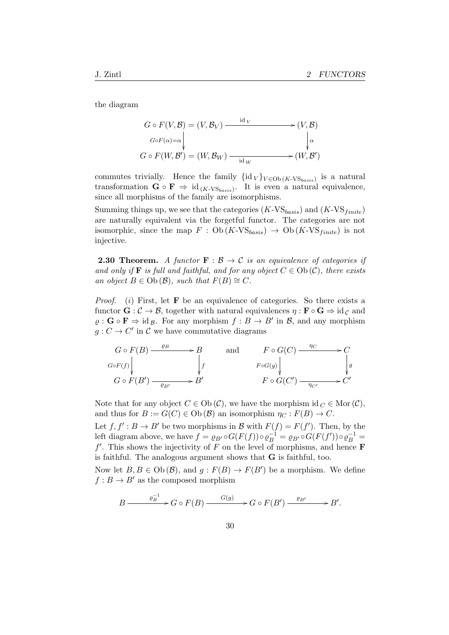the diagram

$$
G \circ F(V, \mathcal{B}) = (V, \mathcal{B}_V) \xrightarrow{\text{id } V} (V, \mathcal{B})
$$
  
\n
$$
G \circ F(\alpha) = \alpha \qquad \downarrow \alpha
$$
  
\n
$$
G \circ F(W, \mathcal{B}') = (W, \mathcal{B}_W) \xrightarrow{\text{id } W} (W, \mathcal{B}')
$$

commutes trivially. Hence the family  $\{id_V\}_{V \in Ob(K\text{-}VS_{basis})}$  is a natural transformation  $\mathbf{G} \circ \mathbf{F} \Rightarrow \mathrm{id}_{(K\text{-}VS_{basis})}$ . It is even a natural equivalence, since all morphisms of the family are isomorphisms.

Summing things up, we see that the categories  $(K\text{-}VS_{basis})$  and  $(K\text{-}VS_{finite})$ are naturally equivalent via the forgetful functor. The categories are not isomorphic, since the map  $F : Ob(K\text{-}VS_{basis}) \to Ob(K\text{-}VS_{finite})$  is not injective.

**2.30 Theorem.** A functor  $\mathbf{F}: \mathcal{B} \to \mathcal{C}$  is an equivalence of categories if and only if **F** is full and faithful, and for any object  $C \in Ob(C)$ , there exists an object  $B \in Ob(\mathcal{B})$ , such that  $F(B) \cong C$ .

*Proof.* (i) First, let **F** be an equivalence of categories. So there exists a functor  $\mathbf{G} : \mathcal{C} \to \mathcal{B}$ , together with natural equivalences  $\eta : \mathbf{F} \circ \mathbf{G} \Rightarrow id_{\mathcal{C}}$  and  $\varrho$ :  $\mathbf{G} \circ \mathbf{F} \Rightarrow \text{id}_{\mathcal{B}}$ . For any morphism  $f : B \to B'$  in  $\mathcal{B}$ , and any morphism  $g: C \to C'$  in C we have commutative diagrams



Note that for any object  $C \in Ob(\mathcal{C})$ , we have the morphism  $id_C \in Mor(\mathcal{C})$ , and thus for  $B := G(C) \in Ob(B)$  an isomorphism  $\eta_C : F(B) \to C$ .

Let  $f, f' : B \to B'$  be two morphisms in B with  $F(f) = F(f')$ . Then, by the left diagram above, we have  $f = \varrho_{B'} \circ G(F(f)) \circ \varrho_B^{-1} = \varrho_{B'} \circ G(F(f')) \circ \varrho_B^{-1} =$  $f'$ . This shows the injectivity of F on the level of morphisms, and hence **F** is faithful. The analogous argument shows that G is faithful, too.

Now let  $B, B \in Ob(\mathcal{B})$ , and  $g: F(B) \to F(B')$  be a morphism. We define  $f : B \to B'$  as the composed morphism

$$
B \xrightarrow{\varrho_B^{-1}} G \circ F(B) \xrightarrow{G(g)} G \circ F(B') \xrightarrow{\varrho_{B'}} B'.
$$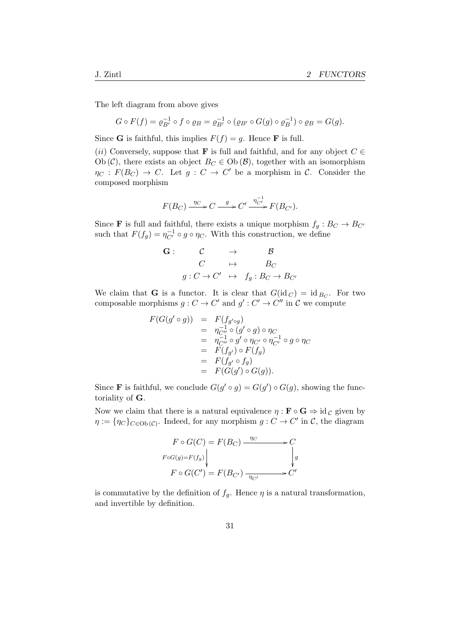The left diagram from above gives

$$
G \circ F(f) = \varrho_{B'}^{-1} \circ f \circ \varrho_B = \varrho_{B'}^{-1} \circ (\varrho_{B'} \circ G(g) \circ \varrho_B^{-1}) \circ \varrho_B = G(g).
$$

Since **G** is faithful, this implies  $F(f) = g$ . Hence **F** is full.

(ii) Conversely, suppose that **F** is full and faithful, and for any object  $C \in$ Ob (C), there exists an object  $B_C \in Ob(\mathcal{B})$ , together with an isomorphism  $\eta_C : F(B_C) \to C$ . Let  $g : C \to C'$  be a morphism in C. Consider the composed morphism

$$
F(B_C) \xrightarrow{\eta_C} C \xrightarrow{g} C' \xrightarrow{\eta_{C'}^{-1}} F(B_{C'}).
$$

Since **F** is full and faithful, there exists a unique morphism  $f_g : B_C \to B_{C'}$ such that  $F(f_g) = \eta_{C'}^{-1} \circ g \circ \eta_C$ . With this construction, we define

$$
\begin{array}{cccc}\nG: & C & \rightarrow & B \\
C & \mapsto & B_C \\
g: C \rightarrow C' & \mapsto & f_g: B_C \rightarrow B_{C'}\n\end{array}
$$

We claim that **G** is a functor. It is clear that  $G(\mathrm{id}_C) = \mathrm{id}_{B_C}$ . For two composable morphisms  $g: C \to C'$  and  $g': C' \to C''$  in C we compute

$$
F(G(g' \circ g)) = F(f_{g' \circ g})
$$
  
=  $\eta_{C''}^{-1} \circ (g' \circ g) \circ \eta_C$   
=  $\eta_{C''}^{-1} \circ g' \circ \eta_{C'} \circ \eta_{C'}^{-1} \circ g \circ \eta_C$   
=  $F(f_{g'}) \circ F(f_g)$   
=  $F(f_{g'} \circ f_g)$   
=  $F(G(g') \circ G(g)).$ 

Since **F** is faithful, we conclude  $G(g' \circ g) = G(g') \circ G(g)$ , showing the functoriality of G.

Now we claim that there is a natural equivalence  $\eta : \mathbf{F} \circ \mathbf{G} \Rightarrow id_{\mathcal{C}}$  given by  $\eta := \{\eta_C\}_{C \in Ob(\mathcal{C})}$ . Indeed, for any morphism  $g: C \to C'$  in  $\mathcal{C}$ , the diagram

$$
F \circ G(C) = F(B_C) \xrightarrow{\eta_C} C
$$
  
\n
$$
F \circ G(g) = F(f_g)
$$
\n
$$
F \circ G(C') = F(B_{C'}) \xrightarrow{\eta_{C'}} C'
$$

is commutative by the definition of  $f_g$ . Hence  $\eta$  is a natural transformation, and invertible by definition.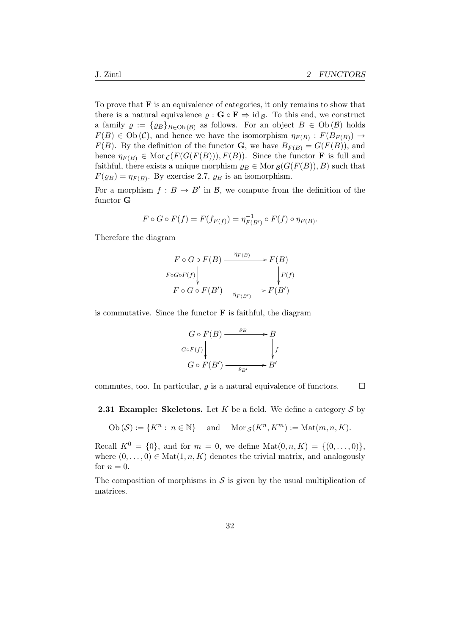To prove that  $\bf{F}$  is an equivalence of categories, it only remains to show that there is a natural equivalence  $\rho : \mathbf{G} \circ \mathbf{F} \Rightarrow id_B$ . To this end, we construct a family  $\varrho := {\varrho_B}_{B \in Ob(B)}$  as follows. For an object  $B \in Ob(B)$  holds  $F(B) \in Ob(\mathcal{C})$ , and hence we have the isomorphism  $\eta_{F(B)} : F(B_{F(B)}) \to$  $F(B)$ . By the definition of the functor **G**, we have  $B_{F(B)} = G(F(B))$ , and hence  $\eta_{F(B)} \in \text{Mor}_{\mathcal{C}}(F(G(F(B))), F(B)).$  Since the functor **F** is full and faithful, there exists a unique morphism  $\rho_B \in \text{Mor}_{\mathcal{B}}(G(F(B)), B)$  such that  $F(\varrho_B) = \eta_{F(B)}$ . By exercise 2.7,  $\varrho_B$  is an isomorphism.

For a morphism  $f : B \to B'$  in B, we compute from the definition of the functor G

$$
F \circ G \circ F(f) = F(f_{F(f)}) = \eta_{F(B')}^{-1} \circ F(f) \circ \eta_{F(B)}.
$$

Therefore the diagram

$$
F \circ G \circ F(B) \xrightarrow{\eta_{F(B)}} F(B)
$$
  

$$
F \circ G \circ F(f) \downarrow \qquad \qquad F(f)
$$
  

$$
F \circ G \circ F(B') \xrightarrow{\eta_{F(B')}} F(B')
$$

is commutative. Since the functor  $\bf{F}$  is faithful, the diagram

$$
G \circ F(B) \xrightarrow{\varrho_B} B
$$
  
\n
$$
G \circ F(f) \downarrow \qquad \qquad \downarrow f
$$
  
\n
$$
G \circ F(B') \xrightarrow{\varrho_B} B'
$$

commutes, too. In particular,  $\rho$  is a natural equivalence of functors.  $\Box$ 

**2.31 Example: Skeletons.** Let K be a field. We define a category  $S$  by

 $Ob(\mathcal{S}) := \{K^n : n \in \mathbb{N}\}\$ and  $Mor_{\mathcal{S}}(K^n, K^m) := Mat(m, n, K).$ 

Recall  $K^0 = \{0\}$ , and for  $m = 0$ , we define  $\text{Mat}(0, n, K) = \{(0, \ldots, 0)\},\$ where  $(0, \ldots, 0) \in \text{Mat}(1, n, K)$  denotes the trivial matrix, and analogously for  $n = 0$ .

The composition of morphisms in  $\mathcal S$  is given by the usual multiplication of matrices.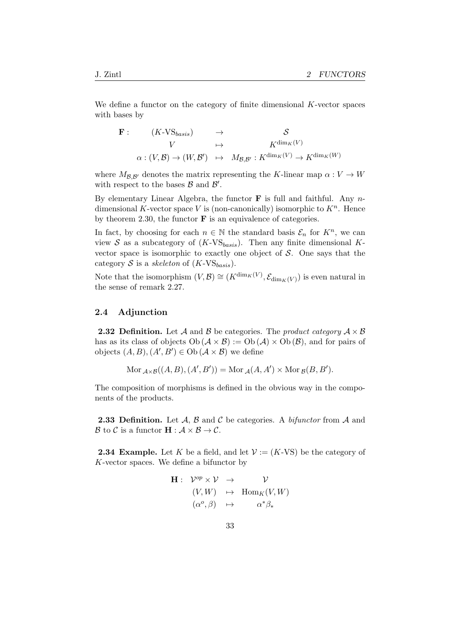We define a functor on the category of finite dimensional K-vector spaces with bases by

$$
\begin{array}{cccc}\n\mathbf{F}: & (K\text{-}V\mathbf{S}_{basis}) & \rightarrow & \mathcal{S} \\
& V & \mapsto & K^{\dim_K(V)} \\
\alpha: (V, \mathcal{B}) \rightarrow (W, \mathcal{B}') & \mapsto & M_{\mathcal{B}, \mathcal{B}'}: K^{\dim_K(V)} \rightarrow K^{\dim_K(W)}\n\end{array}
$$

where  $M_{\mathcal{B},\mathcal{B}'}$  denotes the matrix representing the K-linear map  $\alpha: V \to W$ with respect to the bases  $\beta$  and  $\beta'$ .

By elementary Linear Algebra, the functor  $\bf{F}$  is full and faithful. Any ndimensional K-vector space V is (non-canonically) isomorphic to  $K<sup>n</sup>$ . Hence by theorem 2.30, the functor  $\bf{F}$  is an equivalence of categories.

In fact, by choosing for each  $n \in \mathbb{N}$  the standard basis  $\mathcal{E}_n$  for  $K^n$ , we can view S as a subcategory of  $(K\text{-}VS_{basis})$ . Then any finite dimensional Kvector space is isomorphic to exactly one object of  $S$ . One says that the category S is a skeleton of  $(K\text{-}VS_{basis})$ .

Note that the isomorphism  $(V, \mathcal{B}) \cong (K^{\dim_K(V)}, \mathcal{E}_{\dim_K(V)})$  is even natural in the sense of remark 2.27.

#### 2.4 Adjunction

**2.32 Definition.** Let A and B be categories. The product category  $A \times B$ has as its class of objects  $Ob (\mathcal{A} \times \mathcal{B}) := Ob (\mathcal{A}) \times Ob (\mathcal{B})$ , and for pairs of objects  $(A, B), (A', B') \in Ob (\mathcal{A} \times \mathcal{B})$  we define

Mor  $_{\mathcal{A}\times\mathcal{B}}((A, B), (A', B')) = \text{Mor}_{\mathcal{A}}(A, A') \times \text{Mor}_{\mathcal{B}}(B, B').$ 

The composition of morphisms is defined in the obvious way in the components of the products.

**2.33 Definition.** Let  $\mathcal{A}, \mathcal{B}$  and  $\mathcal{C}$  be categories. A *bifunctor* from  $\mathcal{A}$  and B to C is a functor  $\mathbf{H} : \mathcal{A} \times \mathcal{B} \to \mathcal{C}$ .

**2.34 Example.** Let K be a field, and let  $\mathcal{V} := (K\text{-}VS)$  be the category of K-vector spaces. We define a bifunctor by

$$
\begin{array}{rcl}\n\mathbf{H}: & \mathcal{V}^{op} \times \mathcal{V} \rightarrow & \mathcal{V} \\
& (V, W) & \mapsto & \text{Hom}_K(V, W) \\
& (\alpha^o, \beta) & \mapsto & \alpha^* \beta_*\n\end{array}
$$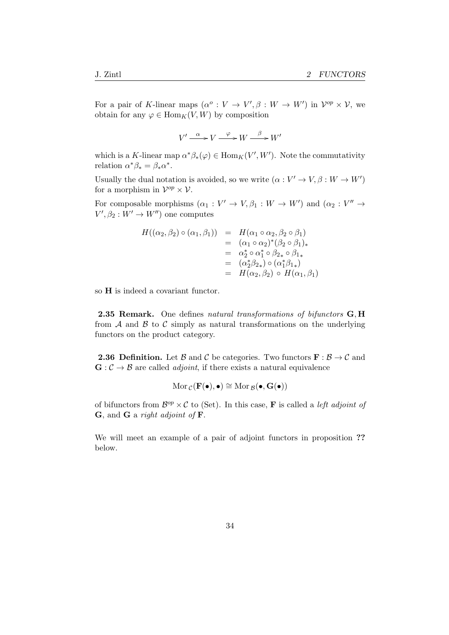For a pair of K-linear maps  $(\alpha^o: V \to V', \beta: W \to W')$  in  $V^{op} \times V$ , we obtain for any  $\varphi \in \text{Hom}_K(V, W)$  by composition

 $V' \xrightarrow{\alpha} V \xrightarrow{\varphi} W \xrightarrow{\beta} W'$ 

which is a K-linear map  $\alpha^* \beta_*(\varphi) \in \text{Hom}_K(V',W')$ . Note the commutativity relation  $\alpha^* \beta_* = \beta_* \alpha^*$ .

Usually the dual notation is avoided, so we write  $(\alpha: V' \to V, \beta: W \to W')$ for a morphism in  $\mathcal{V}^{op} \times \mathcal{V}$ .

For composable morphisms  $(\alpha_1 : V' \to V, \beta_1 : W \to W')$  and  $(\alpha_2 : V'' \to$  $V', \beta_2 : W' \to W'$  one computes

$$
H((\alpha_2, \beta_2) \circ (\alpha_1, \beta_1)) = H(\alpha_1 \circ \alpha_2, \beta_2 \circ \beta_1)
$$
  
=  $(\alpha_1 \circ \alpha_2)^*(\beta_2 \circ \beta_1)_*$   
=  $\alpha_2^* \circ \alpha_1^* \circ \beta_{2*} \circ \beta_{1*}$   
=  $(\alpha_2^* \beta_{2*}) \circ (\alpha_1^* \beta_{1*})$   
=  $H(\alpha_2, \beta_2) \circ H(\alpha_1, \beta_1)$ 

so H is indeed a covariant functor.

2.35 Remark. One defines natural transformations of bifunctors G, H from  $A$  and  $B$  to  $C$  simply as natural transformations on the underlying functors on the product category.

**2.36 Definition.** Let B and C be categories. Two functors  $\mathbf{F}: \mathcal{B} \to \mathcal{C}$  and  $\mathbf{G}: \mathcal{C} \to \mathcal{B}$  are called *adjoint*, if there exists a natural equivalence

$$
\operatorname{Mor}_{\mathcal{C}}(F(\bullet), \bullet) \cong \operatorname{Mor}_{\mathcal{B}}(\bullet, G(\bullet))
$$

of bifunctors from  $\mathcal{B}^{op} \times \mathcal{C}$  to (Set). In this case, **F** is called a *left adjoint of* G, and G a right adjoint of F.

We will meet an example of a pair of adjoint functors in proposition ?? below.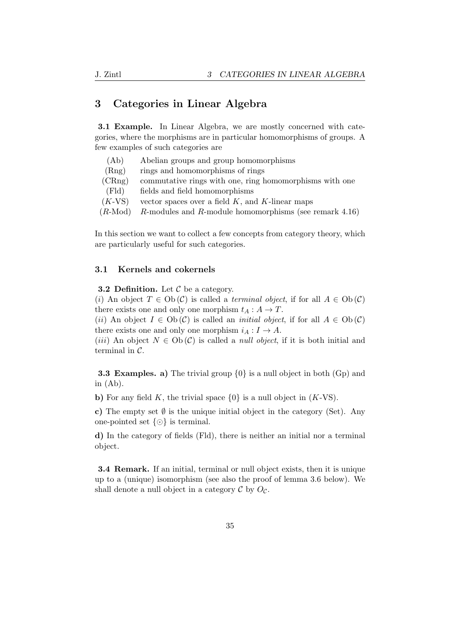## 3 Categories in Linear Algebra

3.1 Example. In Linear Algebra, we are mostly concerned with categories, where the morphisms are in particular homomorphisms of groups. A few examples of such categories are

| (Ab)               | Abelian groups and group homomorphisms                       |
|--------------------|--------------------------------------------------------------|
| (Rng)              | rings and homomorphisms of rings                             |
| (CRng)             | commutative rings with one, ring homomorphisms with one      |
| $( \mathrm{Fld} )$ | fields and field homomorphisms                               |
| $(K\text{-}VS)$    | vector spaces over a field $K$ , and $K$ -linear maps        |
| $(R\text{-Mod})$   | $R$ -modules and $R$ -module homomorphisms (see remark 4.16) |
|                    |                                                              |

In this section we want to collect a few concepts from category theory, which are particularly useful for such categories.

#### 3.1 Kernels and cokernels

**3.2 Definition.** Let  $\mathcal C$  be a category.

(i) An object  $T \in Ob(\mathcal{C})$  is called a terminal object, if for all  $A \in Ob(\mathcal{C})$ there exists one and only one morphism  $t_A : A \to T$ .

(ii) An object  $I \in Ob(\mathcal{C})$  is called an *initial object*, if for all  $A \in Ob(\mathcal{C})$ there exists one and only one morphism  $i_A : I \to A$ .

(iii) An object  $N \in Ob(\mathcal{C})$  is called a *null object*, if it is both initial and terminal in C.

**3.3 Examples. a)** The trivial group  $\{0\}$  is a null object in both  $(Gp)$  and in  $(Ab)$ .

b) For any field K, the trivial space  $\{0\}$  is a null object in  $(K\text{-}VS)$ .

c) The empty set  $\emptyset$  is the unique initial object in the category (Set). Any one-pointed set  $\{\odot\}$  is terminal.

d) In the category of fields (Fld), there is neither an initial nor a terminal object.

3.4 Remark. If an initial, terminal or null object exists, then it is unique up to a (unique) isomorphism (see also the proof of lemma 3.6 below). We shall denote a null object in a category  $\mathcal C$  by  $O_{\mathcal C}$ .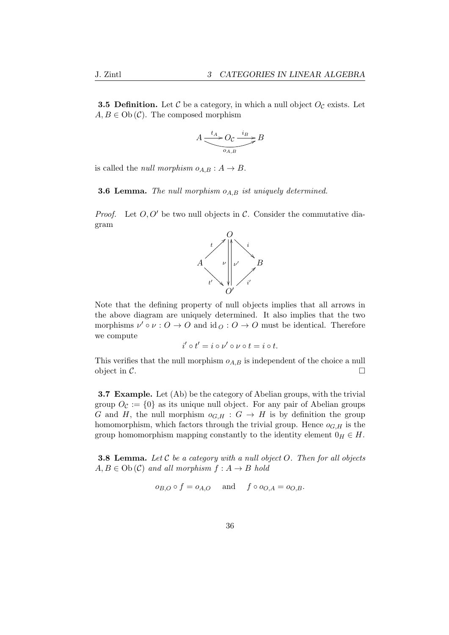**3.5 Definition.** Let  $\mathcal{C}$  be a category, in which a null object  $O_{\mathcal{C}}$  exists. Let  $A, B \in Ob(\mathcal{C})$ . The composed morphism

$$
A \underbrace{\xrightarrow{t_A} O_{\mathcal{C}} \xrightarrow{i_B} B}_{o_{A,B}} B
$$

is called the *null morphism*  $o_{A,B}: A \rightarrow B$ .

**3.6 Lemma.** The null morphism  $o_{A,B}$  ist uniquely determined.

*Proof.* Let  $O, O'$  be two null objects in C. Consider the commutative diagram



Note that the defining property of null objects implies that all arrows in the above diagram are uniquely determined. It also implies that the two morphisms  $\nu' \circ \nu : O \to O$  and  $\mathrm{id}_O : O \to O$  must be identical. Therefore we compute

$$
i' \circ t' = i \circ \nu' \circ \nu \circ t = i \circ t.
$$

This verifies that the null morphism  $o_{A,B}$  is independent of the choice a null object in  $\mathcal{C}$ .

3.7 Example. Let (Ab) be the category of Abelian groups, with the trivial group  $O_{\mathcal{C}} := \{0\}$  as its unique null object. For any pair of Abelian groups G and H, the null morphism  $o_{G,H}: G \to H$  is by definition the group homomorphism, which factors through the trivial group. Hence  $o_{G,H}$  is the group homomorphism mapping constantly to the identity element  $0_H \in H$ .

**3.8 Lemma.** Let  $C$  be a category with a null object  $O$ . Then for all objects  $A, B \in Ob \, (C)$  and all morphism  $f : A \to B$  hold

$$
o_{B,O} \circ f = o_{A,O}
$$
 and  $f \circ o_{O,A} = o_{O,B}$ .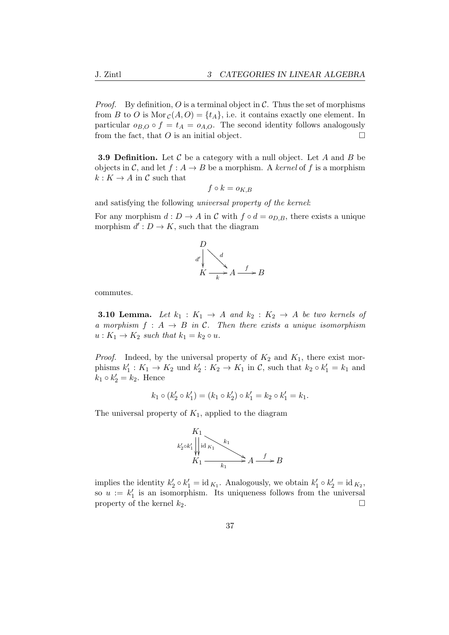*Proof.* By definition, O is a terminal object in  $\mathcal{C}$ . Thus the set of morphisms from B to O is Mor  $c(A, O) = \{t_A\}$ , i.e. it contains exactly one element. In particular  $o_{B,O} \circ f = t_A = o_{A,O}$ . The second identity follows analogously from the fact, that  $O$  is an initial object.  $\Box$ 

**3.9 Definition.** Let  $\mathcal C$  be a category with a null object. Let  $A$  and  $B$  be objects in C, and let  $f : A \to B$  be a morphism. A kernel of f is a morphism  $k: K \to A$  in C such that

$$
f \circ k = o_{K,B}
$$

and satisfying the following universal property of the kernel:

For any morphism  $d: D \to A$  in C with  $f \circ d = o_{D,B}$ , there exists a unique morphism  $d' : D \to K$ , such that the diagram



commutes.

**3.10 Lemma.** Let  $k_1 : K_1 \rightarrow A$  and  $k_2 : K_2 \rightarrow A$  be two kernels of a morphism  $f : A \rightarrow B$  in C. Then there exists a unique isomorphism  $u: K_1 \to K_2$  such that  $k_1 = k_2 \circ u$ .

*Proof.* Indeed, by the universal property of  $K_2$  and  $K_1$ , there exist morphisms  $k'_1: K_1 \to K_2$  und  $k'_2: K_2 \to K_1$  in  $\mathcal{C}$ , such that  $k_2 \circ k'_1 = k_1$  and  $k_1 \circ k_2' = k_2$ . Hence

$$
k_1 \circ (k'_2 \circ k'_1) = (k_1 \circ k'_2) \circ k'_1 = k_2 \circ k'_1 = k_1.
$$

The universal property of  $K_1$ , applied to the diagram



implies the identity  $k'_2 \circ k'_1 = \text{id}_{K_1}$ . Analogously, we obtain  $k'_1 \circ k'_2 = \text{id}_{K_2}$ , so  $u := k'_1$  is an isomorphism. Its uniqueness follows from the universal property of the kernel  $k_2$ .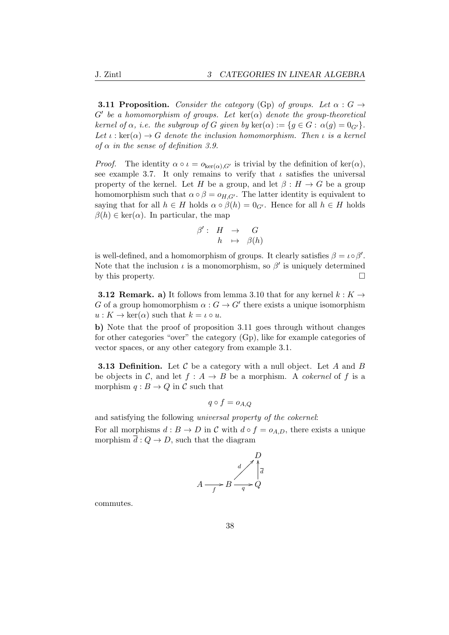**3.11 Proposition.** Consider the category (Gp) of groups. Let  $\alpha : G \rightarrow$  $G'$  be a homomorphism of groups. Let  $\ker(\alpha)$  denote the group-theoretical kernel of  $\alpha$ , i.e. the subgroup of G given by ker $(\alpha) := \{g \in G : \alpha(g) = 0_{G'}\}.$ Let  $\iota : \ker(\alpha) \to G$  denote the inclusion homomorphism. Then  $\iota$  is a kernel of  $\alpha$  in the sense of definition 3.9.

*Proof.* The identity  $\alpha \circ \iota = o_{\ker(\alpha),G'}$  is trivial by the definition of  $\ker(\alpha)$ , see example 3.7. It only remains to verify that  $\iota$  satisfies the universal property of the kernel. Let H be a group, and let  $\beta : H \to G$  be a group homomorphism such that  $\alpha \circ \beta = o_{H,G'}$ . The latter identity is equivalent to saying that for all  $h \in H$  holds  $\alpha \circ \beta(h) = 0_{G'}$ . Hence for all  $h \in H$  holds  $\beta(h) \in \text{ker}(\alpha)$ . In particular, the map

$$
\begin{array}{rccc}\n\beta':&H&\to&G\\
h&\mapsto&\beta(h)\n\end{array}
$$

is well-defined, and a homomorphism of groups. It clearly satisfies  $\beta = \iota \circ \beta'$ . Note that the inclusion  $\iota$  is a monomorphism, so  $\beta'$  is uniquely determined by this property.  $\Box$ 

**3.12 Remark. a)** It follows from lemma 3.10 that for any kernel  $k : K \rightarrow$ G of a group homomorphism  $\alpha: G \to G'$  there exists a unique isomorphism  $u: K \to \text{ker}(\alpha)$  such that  $k = \iota \circ u$ .

b) Note that the proof of proposition 3.11 goes through without changes for other categories "over" the category (Gp), like for example categories of vector spaces, or any other category from example 3.1.

**3.13 Definition.** Let  $\mathcal C$  be a category with a null object. Let  $A$  and  $B$ be objects in C, and let  $f : A \rightarrow B$  be a morphism. A *cokernel* of f is a morphism  $q : B \to Q$  in C such that

$$
q \circ f = o_{A,Q}
$$

and satisfying the following universal property of the cokernel:

For all morphisms  $d : B \to D$  in C with  $d \circ f = o_{A,D}$ , there exists a unique morphism  $\overline{d}: Q \to D$ , such that the diagram



commutes.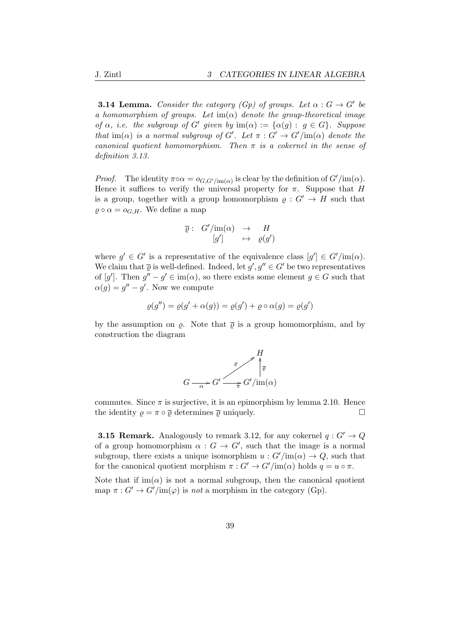**3.14 Lemma.** Consider the category (Gp) of groups. Let  $\alpha : G \to G'$  be a homomorphism of groups. Let  $\text{im}(\alpha)$  denote the group-theoretical image of  $\alpha$ , i.e. the subgroup of G' given by  $\text{im}(\alpha) := {\alpha(g) : g \in G}$ . Suppose that im( $\alpha$ ) is a normal subgroup of G'. Let  $\pi: G' \to G'/\text{im}(\alpha)$  denote the canonical quotient homomorphism. Then  $\pi$  is a cokernel in the sense of definition 3.13.

*Proof.* The identity  $\pi \circ \alpha = o_{G, G'/\text{im}(\alpha)}$  is clear by the definition of  $G'/\text{im}(\alpha)$ . Hence it suffices to verify the universal property for  $\pi$ . Suppose that H is a group, together with a group homomorphism  $\rho: G' \to H$  such that  $\rho \circ \alpha = o_{G,H}$ . We define a map

$$
\overline{\varrho}: G'/\text{im}(\alpha) \rightarrow H
$$
  

$$
[g'] \rightarrow \varrho(g')
$$

where  $g' \in G'$  is a representative of the equivalence class  $[g'] \in G'/\text{im}(\alpha)$ . We claim that  $\overline{\varrho}$  is well-defined. Indeed, let  $g', g'' \in G'$  be two representatives of [g']. Then  $g'' - g' \in \text{im}(\alpha)$ , so there exists some element  $g \in G$  such that  $\alpha(g) = g'' - g'$ . Now we compute

$$
\varrho(g'') = \varrho(g' + \alpha(g)) = \varrho(g') + \varrho \circ \alpha(g) = \varrho(g')
$$

by the assumption on  $\rho$ . Note that  $\bar{\rho}$  is a group homomorphism, and by construction the diagram



commutes. Since  $\pi$  is surjective, it is an epimorphism by lemma 2.10. Hence the identity  $\rho = \pi \circ \overline{\rho}$  determines  $\overline{\rho}$  uniquely.

**3.15 Remark.** Analogously to remark 3.12, for any cokernel  $q: G' \to Q$ of a group homomorphism  $\alpha: G \to G'$ , such that the image is a normal subgroup, there exists a unique isomorphism  $u : G'/\text{im}(\alpha) \to Q$ , such that for the canonical quotient morphism  $\pi: G' \to G'/\text{im}(\alpha)$  holds  $q = u \circ \pi$ .

Note that if  $\text{im}(\alpha)$  is not a normal subgroup, then the canonical quotient map  $\pi: G' \to G'/\text{im}(\varphi)$  is not a morphism in the category (Gp).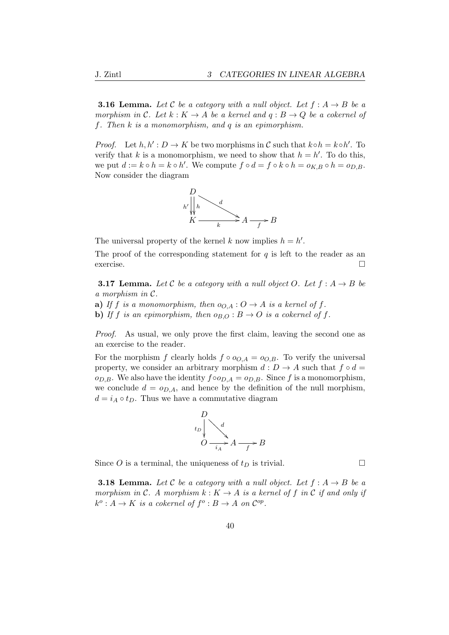**3.16 Lemma.** Let C be a category with a null object. Let  $f : A \rightarrow B$  be a morphism in C. Let  $k: K \to A$  be a kernel and  $q: B \to Q$  be a cokernel of f. Then k is a monomorphism, and q is an epimorphism.

*Proof.* Let  $h, h' : D \to K$  be two morphisms in C such that  $k \circ h = k \circ h'$ . To verify that k is a monomorphism, we need to show that  $h = h'$ . To do this, we put  $d := k \circ h = k \circ h'$ . We compute  $f \circ d = f \circ k \circ h = o_{K,B} \circ h = o_{D,B}$ . Now consider the diagram



The universal property of the kernel k now implies  $h = h'$ .

The proof of the corresponding statement for  $q$  is left to the reader as an exercise.

**3.17 Lemma.** Let C be a category with a null object O. Let  $f : A \rightarrow B$  be a morphism in C.

- a) If f is a monomorphism, then  $o_{O,A}: O \to A$  is a kernel of f.
- b) If f is an epimorphism, then  $o_{B,O}: B \to O$  is a cokernel of f.

Proof. As usual, we only prove the first claim, leaving the second one as an exercise to the reader.

For the morphism f clearly holds  $f \circ o_{O,A} = o_{O,B}$ . To verify the universal property, we consider an arbitrary morphism  $d : D \to A$  such that  $f \circ d =$  $o_{D,B}$ . We also have the identity  $f \circ o_{D,A} = o_{D,B}$ . Since f is a monomorphism, we conclude  $d = o_{D,A}$ , and hence by the definition of the null morphism,  $d = i_A \circ t_D$ . Thus we have a commutative diagram



Since O is a terminal, the uniqueness of  $t_D$  is trivial.

**3.18 Lemma.** Let C be a category with a null object. Let  $f : A \rightarrow B$  be a morphism in C. A morphism  $k: K \to A$  is a kernel of f in C if and only if  $k^o: A \to K$  is a cokernel of  $f^o: B \to A$  on  $\mathcal{C}^{op}.$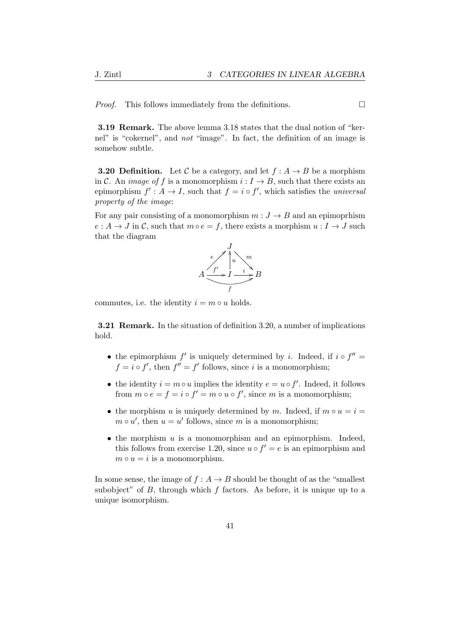*Proof.* This follows immediately from the definitions.  $\Box$ 

3.19 Remark. The above lemma 3.18 states that the dual notion of "kernel" is "cokernel", and not "image". In fact, the definition of an image is somehow subtle.

**3.20 Definition.** Let C be a category, and let  $f : A \rightarrow B$  be a morphism in C. An *image of f* is a monomorphism  $i: I \rightarrow B$ , such that there exists an epimorphism  $f' : A \to I$ , such that  $f = i \circ f'$ , which satisfies the *universal* property of the image:

For any pair consisting of a monomorphism  $m: J \rightarrow B$  and an epimoprhism  $e: A \to J$  in C, such that  $m \circ e = f$ , there exists a morphism  $u: I \to J$  such that the diagram



commutes, i.e. the identity  $i = m \circ u$  holds.

3.21 Remark. In the situation of definition 3.20, a number of implications hold.

- the epimorphism  $f'$  is uniquely determined by i. Indeed, if  $i \circ f'' =$  $f = i \circ f'$ , then  $f'' = f'$  follows, since i is a monomorphism;
- the identity  $i = m \circ u$  implies the identity  $e = u \circ f'$ . Indeed, it follows from  $m \circ e = f = i \circ f' = m \circ u \circ f'$ , since m is a monomorphism;
- the morphism u is uniquely determined by m. Indeed, if  $m \circ u = i =$  $m \circ u'$ , then  $u = u'$  follows, since m is a monomorphism;
- $\bullet$  the morphism  $u$  is a monomorphism and an epimorphism. Indeed, this follows from exercise 1.20, since  $u \circ f' = e$  is an epimorphism and  $m \circ u = i$  is a monomorphism.

In some sense, the image of  $f : A \to B$  should be thought of as the "smallest" subobject" of  $B$ , through which  $f$  factors. As before, it is unique up to a unique isomorphism.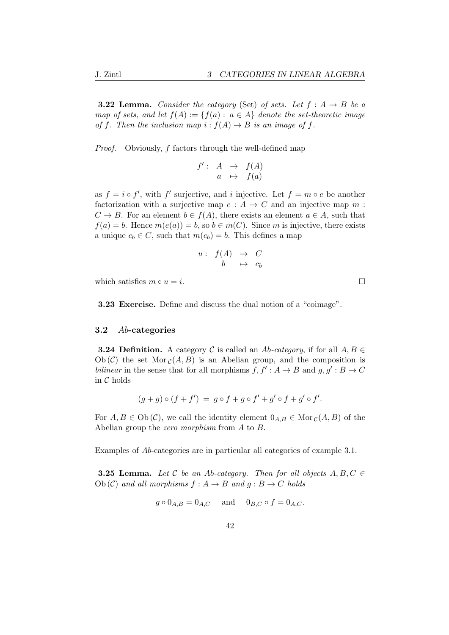**3.22 Lemma.** Consider the category (Set) of sets. Let  $f : A \rightarrow B$  be a map of sets, and let  $f(A) := \{f(a) : a \in A\}$  denote the set-theoretic image of f. Then the inclusion map  $i : f(A) \to B$  is an image of f.

Proof. Obviously, f factors through the well-defined map

$$
f': A \rightarrow f(A)
$$

$$
a \mapsto f(a)
$$

as  $f = i \circ f'$ , with f' surjective, and i injective. Let  $f = m \circ e$  be another factorization with a surjective map  $e : A \to C$  and an injective map m :  $C \to B$ . For an element  $b \in f(A)$ , there exists an element  $a \in A$ , such that  $f(a) = b$ . Hence  $m(e(a)) = b$ , so  $b \in m(C)$ . Since m is injective, there exists a unique  $c_b \in C$ , such that  $m(c_b) = b$ . This defines a map

$$
\begin{array}{rcl} u: & f(A) & \to & C \\ & b & \mapsto & c_b \end{array}
$$

which satisfies  $m \circ u = i$ .

3.23 Exercise. Define and discuss the dual notion of a "coimage".

#### 3.2 Ab-categories

**3.24 Definition.** A category C is called an Ab-category, if for all  $A, B \in$  $Ob(\mathcal{C})$  the set Mor  $_{\mathcal{C}}(A, B)$  is an Abelian group, and the composition is bilinear in the sense that for all morphisms  $f, f' : A \rightarrow B$  and  $g, g' : B \rightarrow C$ in C holds

$$
(g+g)\circ (f+f') = g\circ f + g\circ f' + g'\circ f + g'\circ f'.
$$

For  $A, B \in Ob(\mathcal{C})$ , we call the identity element  $0_{A,B} \in Mor_{\mathcal{C}}(A, B)$  of the Abelian group the zero morphism from A to B.

Examples of Ab-categories are in particular all categories of example 3.1.

**3.25 Lemma.** Let C be an Ab-category. Then for all objects  $A, B, C \in$ Ob (C) and all morphisms  $f : A \rightarrow B$  and  $q : B \rightarrow C$  holds

$$
g \circ 0_{A,B} = 0_{A,C}
$$
 and  $0_{B,C} \circ f = 0_{A,C}$ .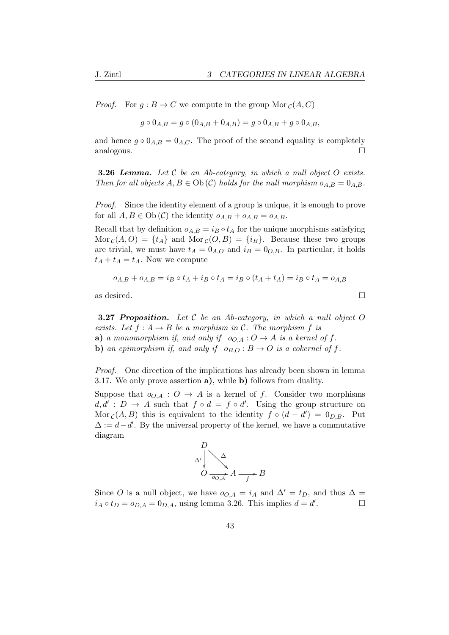*Proof.* For  $g : B \to C$  we compute in the group Mor  $_c(A, C)$ 

$$
g \circ 0_{A,B} = g \circ (0_{A,B} + 0_{A,B}) = g \circ 0_{A,B} + g \circ 0_{A,B},
$$

and hence  $g \circ 0_{A,B} = 0_{A,C}$ . The proof of the second equality is completely analogous.

**3.26 Lemma.** Let  $C$  be an Ab-category, in which a null object  $O$  exists. Then for all objects  $A, B \in Ob(\mathcal{C})$  holds for the null morphism  $o_{A,B} = 0_{A,B}$ .

*Proof.* Since the identity element of a group is unique, it is enough to prove for all  $A, B \in Ob(\mathcal{C})$  the identity  $o_{A,B} + o_{A,B} = o_{A,B}$ .

Recall that by definition  $o_{A,B} = i_B \circ t_A$  for the unique morphisms satisfying  $\text{Mor}_{\mathcal{C}}(A, O) = \{t_A\}$  and  $\text{Mor}_{\mathcal{C}}(O, B) = \{i_B\}.$  Because these two groups are trivial, we must have  $t_A = 0_{A,O}$  and  $i_B = 0_{O,B}$ . In particular, it holds  $t_A + t_A = t_A$ . Now we compute

$$
o_{A,B} + o_{A,B} = i_B \circ t_A + i_B \circ t_A = i_B \circ (t_A + t_A) = i_B \circ t_A = o_{A,B}
$$

as desired.  $\Box$ 

**3.27 Proposition.** Let  $C$  be an Ab-category, in which a null object  $O$ exists. Let  $f : A \rightarrow B$  be a morphism in C. The morphism f is a) a monomorphism if, and only if  $o_{O,A}: O \to A$  is a kernel of f. **b)** an epimorphism if, and only if  $o_{B,O}: B \to O$  is a cokernel of f.

Proof. One direction of the implications has already been shown in lemma 3.17. We only prove assertion a), while b) follows from duality.

Suppose that  $o_{O,A}: O \to A$  is a kernel of f. Consider two morphisms  $d, d' : D \to A$  such that  $f \circ d = f \circ d'$ . Using the group structure on Mor  $c(A, B)$  this is equivalent to the identity  $f \circ (d - d') = 0_{D,B}$ . Put  $\Delta := d - d'$ . By the universal property of the kernel, we have a commutative diagram



Since O is a null object, we have  $o_{O,A} = i_A$  and  $\Delta' = t_D$ , and thus  $\Delta =$  $i_A \circ t_D = o_{D,A} = 0_{D,A}$ , using lemma 3.26. This implies  $d = d'$ .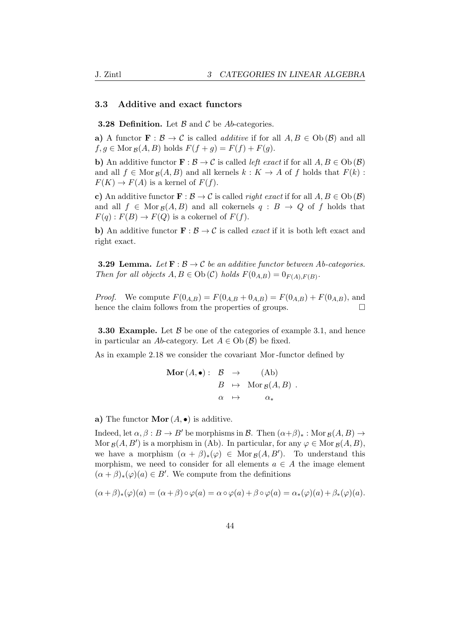#### 3.3 Additive and exact functors

**3.28 Definition.** Let  $\beta$  and  $\beta$  be Ab-categories.

a) A functor  $\mathbf{F}: \mathcal{B} \to \mathcal{C}$  is called *additive* if for all  $A, B \in Ob(\mathcal{B})$  and all  $f, g \in \text{Mor}_{\mathcal{B}}(A, B)$  holds  $F(f + g) = F(f) + F(g)$ .

**b**) An additive functor  $\mathbf{F} : \mathcal{B} \to \mathcal{C}$  is called *left exact* if for all  $A, B \in Ob(\mathcal{B})$ and all  $f \in \text{Mor}_{\mathcal{B}}(A, B)$  and all kernels  $k : K \to A$  of f holds that  $F(k)$ :  $F(K) \to F(A)$  is a kernel of  $F(f)$ .

c) An additive functor  $\mathbf{F} : \mathcal{B} \to \mathcal{C}$  is called *right exact* if for all  $A, B \in Ob(\mathcal{B})$ and all  $f \in \text{Mor}_{\mathcal{B}}(A, B)$  and all cokernels  $q : B \to Q$  of f holds that  $F(q): F(B) \to F(Q)$  is a cokernel of  $F(f)$ .

b) An additive functor  $\mathbf{F} : \mathcal{B} \to \mathcal{C}$  is called *exact* if it is both left exact and right exact.

**3.29 Lemma.** Let  $\mathbf{F} : \mathcal{B} \to \mathcal{C}$  be an additive functor between Ab-categories. Then for all objects  $A, B \in Ob(\mathcal{C})$  holds  $F(0_{A,B}) = 0_{F(A),F(B)}$ .

*Proof.* We compute  $F(0_{A,B}) = F(0_{A,B} + 0_{A,B}) = F(0_{A,B}) + F(0_{A,B})$ , and hence the claim follows from the properties of groups.  $\Box$ 

**3.30 Example.** Let  $\beta$  be one of the categories of example 3.1, and hence in particular an Ab-category. Let  $A \in Ob(\mathcal{B})$  be fixed.

As in example 2.18 we consider the covariant Mor -functor defined by

$$
\begin{array}{rcl}\n\textbf{Mor}\,(A,\bullet):& \mathcal{B} & \to & \textbf{(Ab)} \\
B & \mapsto & \textbf{Mor}\,g(A,B) \\
\alpha & \mapsto & \alpha_*\n\end{array}.
$$

a) The functor  $\mathbf{Mor}(A, \bullet)$  is additive.

Indeed, let  $\alpha, \beta : B \to B'$  be morphisms in B. Then  $(\alpha + \beta)_* : \text{Mor}_{\mathcal{B}}(A, B) \to$ Mor  $g(A, B')$  is a morphism in (Ab). In particular, for any  $\varphi \in \text{Mor } g(A, B)$ , we have a morphism  $(\alpha + \beta)_*(\varphi) \in \text{Mor}_{\mathcal{B}}(A, B')$ . To understand this morphism, we need to consider for all elements  $a \in A$  the image element  $(\alpha + \beta)_*(\varphi)(a) \in B'$ . We compute from the definitions

$$
(\alpha + \beta)_*(\varphi)(a) = (\alpha + \beta) \circ \varphi(a) = \alpha \circ \varphi(a) + \beta \circ \varphi(a) = \alpha_*(\varphi)(a) + \beta_*(\varphi)(a).
$$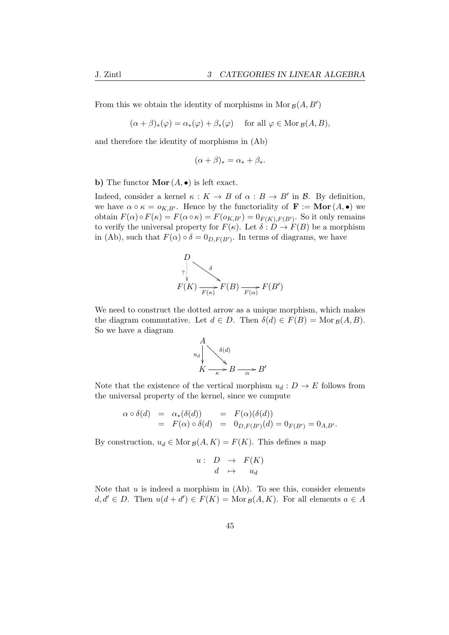From this we obtain the identity of morphisms in Mor  $g(A, B')$ 

 $(\alpha + \beta)_*(\varphi) = \alpha_*(\varphi) + \beta_*(\varphi)$  for all  $\varphi \in \text{Mor}_{\mathcal{B}}(A, B),$ 

and therefore the identity of morphisms in (Ab)

$$
(\alpha + \beta)_* = \alpha_* + \beta_*.
$$

b) The functor  $\mathbf{Mor}(A, \bullet)$  is left exact.

Indeed, consider a kernel  $\kappa : K \to B$  of  $\alpha : B \to B'$  in B. By definition, we have  $\alpha \circ \kappa = o_{K,B'}$ . Hence by the functoriality of  $\mathbf{F} := \mathbf{Mor}(A, \bullet)$  we obtain  $F(\alpha) \circ F(\kappa) = F(\alpha \circ \kappa) = F(o_{K,B'}) = 0_{F(K),F(B')}$ . So it only remains to verify the universal property for  $F(\kappa)$ . Let  $\delta : D \to F(B)$  be a morphism in (Ab), such that  $F(\alpha) \circ \delta = 0_{D,F(B')}$ . In terms of diagrams, we have



We need to construct the dotted arrow as a unique morphism, which makes the diagram commutative. Let  $d \in D$ . Then  $\delta(d) \in F(B) = \text{Mor}_B(A, B)$ . So we have a diagram



Note that the existence of the vertical morphism  $u_d : D \to E$  follows from the universal property of the kernel, since we compute

$$
\begin{array}{rcl}\n\alpha \circ \delta(d) & = & \alpha_*(\delta(d)) \\
& = & F(\alpha) \circ \delta(d) \\
& = & F(\alpha) \circ \delta(d) \\
& = & 0_{D,F(B')}(d) = 0_{F(B')} = 0_{A,B'}.\n\end{array}
$$

By construction,  $u_d \in \text{Mor}_{\mathcal{B}}(A, K) = F(K)$ . This defines a map

$$
\begin{array}{rcl} u: & D & \to & F(K) \\ d & \mapsto & u_d \end{array}
$$

Note that  $u$  is indeed a morphism in  $(Ab)$ . To see this, consider elements  $d, d' \in D$ . Then  $u(d + d') \in F(K) = \text{Mor}_{\mathcal{B}}(A, K)$ . For all elements  $a \in A$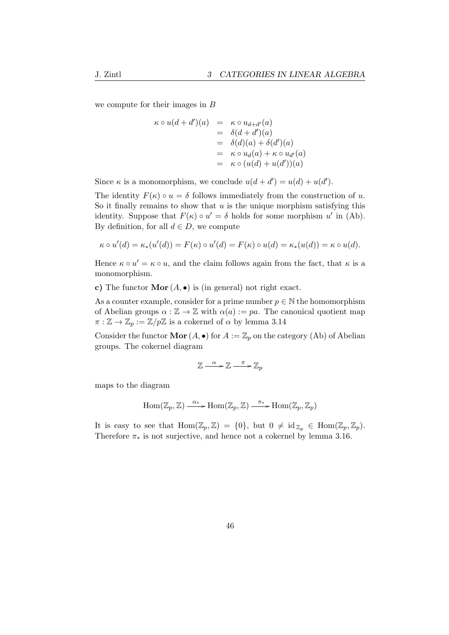we compute for their images in  $\cal B$ 

$$
\kappa \circ u(d + d')(a) = \kappa \circ u_{d + d'}(a)
$$
  
=  $\delta(d + d')(a)$   
=  $\delta(d)(a) + \delta(d')(a)$   
=  $\kappa \circ u_d(a) + \kappa \circ u_{d'}(a)$   
=  $\kappa \circ (u(d) + u(d'))(a)$ 

Since  $\kappa$  is a monomorphism, we conclude  $u(d + d') = u(d) + u(d')$ .

The identity  $F(\kappa) \circ u = \delta$  follows immediately from the construction of u. So it finally remains to show that  $u$  is the unique morphism satisfying this identity. Suppose that  $F(\kappa) \circ u' = \delta$  holds for some morphism u' in (Ab). By definition, for all  $d \in D$ , we compute

$$
\kappa \circ u'(d) = \kappa_*(u'(d)) = F(\kappa) \circ u'(d) = F(\kappa) \circ u(d) = \kappa_*(u(d)) = \kappa \circ u(d).
$$

Hence  $\kappa \circ u' = \kappa \circ u$ , and the claim follows again from the fact, that  $\kappa$  is a monomorphism.

c) The functor  $\mathbf{Mor}(A, \bullet)$  is (in general) not right exact.

As a counter example, consider for a prime number  $p \in \mathbb{N}$  the homomorphism of Abelian groups  $\alpha : \mathbb{Z} \to \mathbb{Z}$  with  $\alpha(a) := pa$ . The canonical quotient map  $\pi : \mathbb{Z} \to \mathbb{Z}_p := \mathbb{Z}/p\mathbb{Z}$  is a cokernel of  $\alpha$  by lemma 3.14

Consider the functor **Mor**  $(A, \bullet)$  for  $A := \mathbb{Z}_p$  on the category  $(Ab)$  of Abelian groups. The cokernel diagram

$$
\mathbb{Z} \xrightarrow{\alpha} \mathbb{Z} \xrightarrow{\pi} \mathbb{Z}_p
$$

maps to the diagram

$$
\operatorname{Hom}(\mathbb{Z}_p,\mathbb{Z}) \xrightarrow{\alpha_*} \operatorname{Hom}(\mathbb{Z}_p,\mathbb{Z}) \xrightarrow{\pi_*} \operatorname{Hom}(\mathbb{Z}_p,\mathbb{Z}_p)
$$

It is easy to see that  $\text{Hom}(\mathbb{Z}_p, \mathbb{Z}) = \{0\}$ , but  $0 \neq \text{id}_{\mathbb{Z}_p} \in \text{Hom}(\mathbb{Z}_p, \mathbb{Z}_p)$ . Therefore  $\pi_*$  is not surjective, and hence not a cokernel by lemma 3.16.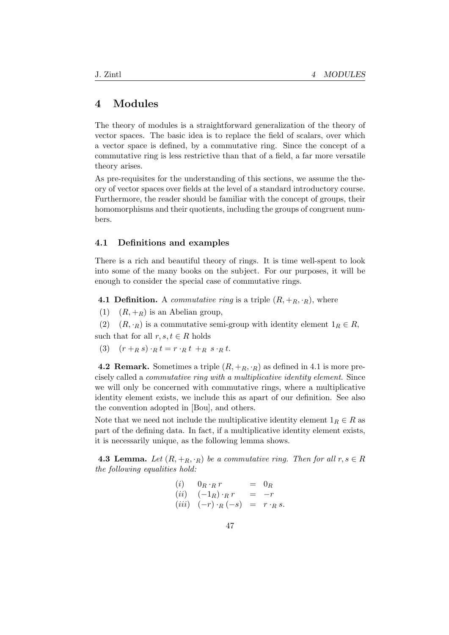## 4 Modules

The theory of modules is a straightforward generalization of the theory of vector spaces. The basic idea is to replace the field of scalars, over which a vector space is defined, by a commutative ring. Since the concept of a commutative ring is less restrictive than that of a field, a far more versatile theory arises.

As pre-requisites for the understanding of this sections, we assume the theory of vector spaces over fields at the level of a standard introductory course. Furthermore, the reader should be familiar with the concept of groups, their homomorphisms and their quotients, including the groups of congruent numbers.

#### 4.1 Definitions and examples

There is a rich and beautiful theory of rings. It is time well-spent to look into some of the many books on the subject. For our purposes, it will be enough to consider the special case of commutative rings.

**4.1 Definition.** A *commutative ring* is a triple  $(R, +_R, \cdot_R)$ , where

(1)  $(R, +_R)$  is an Abelian group,

(2)  $(R, \cdot_R)$  is a commutative semi-group with identity element  $1_R \in R$ , such that for all  $r, s, t \in R$  holds

(3)  $(r +_R s) \cdot_R t = r \cdot_R t +_R s \cdot_R t$ .

**4.2 Remark.** Sometimes a triple  $(R, +_R, \cdot_R)$  as defined in 4.1 is more precisely called a commutative ring with a multiplicative identity element. Since we will only be concerned with commutative rings, where a multiplicative identity element exists, we include this as apart of our definition. See also the convention adopted in [Bou], and others.

Note that we need not include the multiplicative identity element  $1_R \in R$  as part of the defining data. In fact, if a multiplicative identity element exists, it is necessarily unique, as the following lemma shows.

**4.3 Lemma.** Let  $(R, +_R, \cdot_R)$  be a commutative ring. Then for all  $r, s \in R$ the following equalities hold:

$$
\begin{array}{rcl}\n(i) & 0_R \cdot_R r & = & 0_R \\
(ii) & (-1_R) \cdot_R r & = & -r \\
(iii) & (-r) \cdot_R (-s) & = & r \cdot_R s.\n\end{array}
$$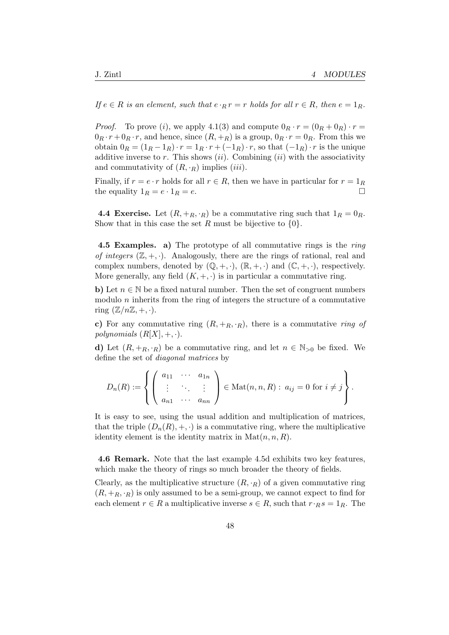If  $e \in R$  is an element, such that  $e \cdot_R r = r$  holds for all  $r \in R$ , then  $e = 1_R$ .

*Proof.* To prove (i), we apply 4.1(3) and compute  $0_R \cdot r = (0_R + 0_R) \cdot r =$  $0_R \cdot r + 0_R \cdot r$ , and hence, since  $(R, +_R)$  is a group,  $0_R \cdot r = 0_R$ . From this we obtain  $0_R = (1_R - 1_R) \cdot r = 1_R \cdot r + (-1_R) \cdot r$ , so that  $(-1_R) \cdot r$  is the unique additive inverse to r. This shows  $(ii)$ . Combining  $(ii)$  with the associativity and commutativity of  $(R, \cdot_R)$  implies  $(iii)$ .

Finally, if  $r = e \cdot r$  holds for all  $r \in R$ , then we have in particular for  $r = 1_R$ the equality  $1_R = e \cdot 1_R = e$ .

**4.4 Exercise.** Let  $(R, +_R, \cdot_R)$  be a commutative ring such that  $1_R = 0_R$ . Show that in this case the set R must be bijective to  $\{0\}$ .

4.5 Examples. a) The prototype of all commutative rings is the ring of integers  $(\mathbb{Z}, +, \cdot)$ . Analogously, there are the rings of rational, real and complex numbers, denoted by  $(\mathbb{Q}, +, \cdot)$ ,  $(\mathbb{R}, +, \cdot)$  and  $(\mathbb{C}, +, \cdot)$ , respectively. More generally, any field  $(K, +, \cdot)$  is in particular a commutative ring.

b) Let  $n \in \mathbb{N}$  be a fixed natural number. Then the set of congruent numbers modulo  $n$  inherits from the ring of integers the structure of a commutative ring  $(\mathbb{Z}/n\mathbb{Z}, +, \cdot).$ 

c) For any commutative ring  $(R, +_R, \cdot_R)$ , there is a commutative ring of polynomials  $(R[X], +, \cdot)$ .

d) Let  $(R, +_R, \cdot_R)$  be a commutative ring, and let  $n \in \mathbb{N}_{>0}$  be fixed. We define the set of diagonal matrices by

$$
D_n(R) := \left\{ \left( \begin{array}{ccc} a_{11} & \cdots & a_{1n} \\ \vdots & \ddots & \vdots \\ a_{n1} & \cdots & a_{nn} \end{array} \right) \in \text{Mat}(n, n, R) : a_{ij} = 0 \text{ for } i \neq j \right\}.
$$

It is easy to see, using the usual addition and multiplication of matrices, that the triple  $(D_n(R), +, \cdot)$  is a commutative ring, where the multiplicative identity element is the identity matrix in  $\text{Mat}(n, n, R)$ .

4.6 Remark. Note that the last example 4.5d exhibits two key features, which make the theory of rings so much broader the theory of fields.

Clearly, as the multiplicative structure  $(R, \cdot_R)$  of a given commutative ring  $(R, +_R, \cdot_R)$  is only assumed to be a semi-group, we cannot expect to find for each element  $r \in R$  a multiplicative inverse  $s \in R$ , such that  $r \cdot_R s = 1_R$ . The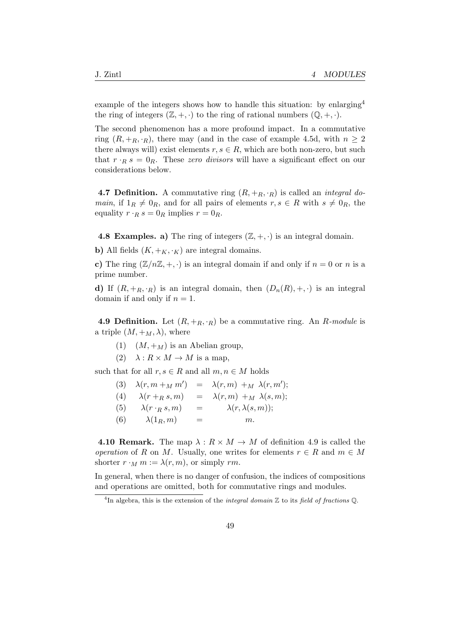example of the integers shows how to handle this situation: by enlarging<sup>4</sup> the ring of integers  $(\mathbb{Z}, +, \cdot)$  to the ring of rational numbers  $(\mathbb{Q}, +, \cdot)$ .

The second phenomenon has a more profound impact. In a commutative ring  $(R, +_R, \cdot_R)$ , there may (and in the case of example 4.5d, with  $n \geq 2$ there always will) exist elements  $r, s \in R$ , which are both non-zero, but such that  $r \cdot_R s = 0_R$ . These zero divisors will have a significant effect on our considerations below.

**4.7 Definition.** A commutative ring  $(R, +_R, \cdot_R)$  is called an *integral domain*, if  $1_R \neq 0_R$ , and for all pairs of elements  $r, s \in R$  with  $s \neq 0_R$ , the equality  $r \cdot_R s = 0_R$  implies  $r = 0_R$ .

4.8 Examples. a) The ring of integers  $(\mathbb{Z}, +, \cdot)$  is an integral domain.

b) All fields  $(K, +_K, \cdot_K)$  are integral domains.

c) The ring  $(\mathbb{Z}/n\mathbb{Z}, +, \cdot)$  is an integral domain if and only if  $n = 0$  or n is a prime number.

d) If  $(R, +_R, \cdot_R)$  is an integral domain, then  $(D_n(R), +, \cdot)$  is an integral domain if and only if  $n = 1$ .

**4.9 Definition.** Let  $(R, +_R, \cdot_R)$  be a commutative ring. An R-module is a triple  $(M, +_M, \lambda)$ , where

- (1)  $(M, +_M)$  is an Abelian group,
- (2)  $\lambda: R \times M \to M$  is a map,

such that for all  $r, s \in R$  and all  $m, n \in M$  holds

|  | (3) $\lambda(r, m +_M m') = \lambda(r, m) +_M \lambda(r, m');$ |  |  |  |  |
|--|----------------------------------------------------------------|--|--|--|--|
|--|----------------------------------------------------------------|--|--|--|--|

- (4)  $\lambda(r +_R s, m) = \lambda(r, m) +_M \lambda(s, m);$
- (5)  $\lambda(r \cdot_R s, m)$  =  $\lambda(r, \lambda(s, m));$
- (6)  $\lambda(1_R, m)$  = m.

**4.10 Remark.** The map  $\lambda : R \times M \rightarrow M$  of definition 4.9 is called the operation of R on M. Usually, one writes for elements  $r \in R$  and  $m \in M$ shorter  $r \cdot_M m := \lambda(r, m)$ , or simply rm.

In general, when there is no danger of confusion, the indices of compositions and operations are omitted, both for commutative rings and modules.

<sup>&</sup>lt;sup>4</sup>In algebra, this is the extension of the *integral domain*  $\mathbb Z$  to its *field of fractions*  $\mathbb Q$ .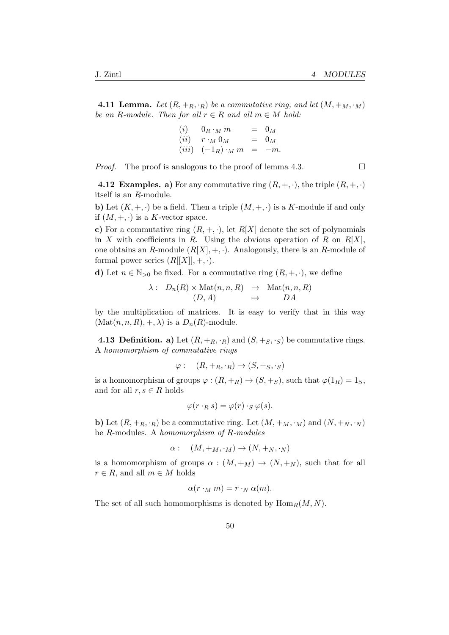**4.11 Lemma.** Let  $(R, +_R, \cdot_R)$  be a commutative ring, and let  $(M, +_M, \cdot_M)$ be an R-module. Then for all  $r \in R$  and all  $m \in M$  hold:

> $(i)$  0 $R \cdot_M m$  = 0 $_M$  $(ii)$   $r \cdot_M 0_M$  =  $0_M$  $(iii)$   $(-1_R) \cdot_M m = -m$ .

*Proof.* The proof is analogous to the proof of lemma 4.3.

4.12 Examples. a) For any commutative ring  $(R, +, \cdot)$ , the triple  $(R, +, \cdot)$ itself is an R-module.

**b**) Let  $(K, +, \cdot)$  be a field. Then a triple  $(M, +, \cdot)$  is a K-module if and only if  $(M, +, \cdot)$  is a K-vector space.

c) For a commutative ring  $(R, +, \cdot)$ , let  $R[X]$  denote the set of polynomials in X with coefficients in R. Using the obvious operation of R on  $R[X]$ , one obtains an R-module  $(R[X], +, \cdot)$ . Analogously, there is an R-module of formal power series  $(R[[X]], +, \cdot).$ 

d) Let  $n \in \mathbb{N}_{>0}$  be fixed. For a commutative ring  $(R, +, \cdot)$ , we define

$$
\lambda: D_n(R) \times \text{Mat}(n, n, R) \rightarrow \text{Mat}(n, n, R) (D, A) \rightarrow DA
$$

by the multiplication of matrices. It is easy to verify that in this way  $(\text{Mat}(n, n, R), +, \lambda)$  is a  $D_n(R)$ -module.

**4.13 Definition. a)** Let  $(R, +_R, \cdot_R)$  and  $(S, +_S, \cdot_S)$  be commutative rings. A homomorphism of commutative rings

$$
\varphi: (R, +_R, \cdot_R) \to (S, +_S, \cdot_S)
$$

is a homomorphism of groups  $\varphi : (R, +_R) \to (S, +_S)$ , such that  $\varphi(1_R) = 1_S$ , and for all  $r, s \in R$  holds

$$
\varphi(r \cdot_R s) = \varphi(r) \cdot_S \varphi(s).
$$

**b**) Let  $(R, +_R, \cdot_R)$  be a commutative ring. Let  $(M, +_M, \cdot_M)$  and  $(N, +_N, \cdot_N)$ be R-modules. A homomorphism of R-modules

$$
\alpha: \quad (M, +_M, \cdot_M) \to (N, +_N, \cdot_N)
$$

is a homomorphism of groups  $\alpha : (M, +_M) \to (N, +_N)$ , such that for all  $r \in R$ , and all  $m \in M$  holds

$$
\alpha(r \cdot_M m) = r \cdot_N \alpha(m).
$$

The set of all such homomorphisms is denoted by  $\text{Hom}_R(M, N)$ .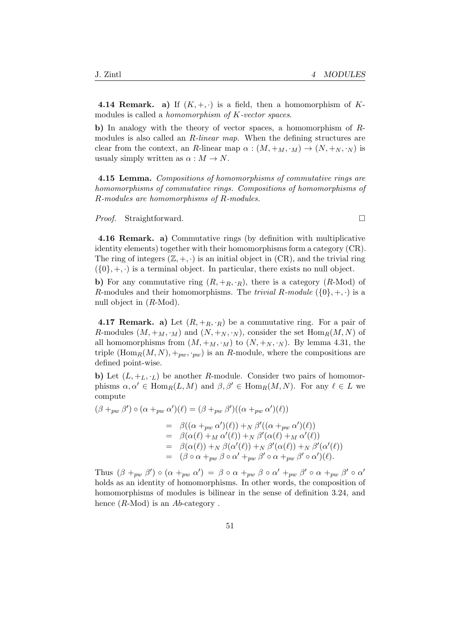4.14 Remark. a) If  $(K, +, \cdot)$  is a field, then a homomorphism of Kmodules is called a homomorphism of K-vector spaces.

b) In analogy with the theory of vector spaces, a homomorphism of Rmodules is also called an R-linear map. When the defining structures are clear from the context, an R-linear map  $\alpha : (M, +_M, \cdot_M) \to (N, +_N, \cdot_N)$  is usualy simply written as  $\alpha : M \to N$ .

4.15 Lemma. Compositions of homomorphisms of commutative rings are homomorphisms of commutative rings. Compositions of homomorphisms of R-modules are homomorphisms of R-modules.

*Proof.* Straightforward. □

4.16 Remark. a) Commutative rings (by definition with multiplicative identity elements) together with their homomorphisms form a category (CR). The ring of integers  $(\mathbb{Z}, +, \cdot)$  is an initial object in (CR), and the trivial ring  $(\{0\}, +, \cdot)$  is a terminal object. In particular, there exists no null object.

b) For any commutative ring  $(R, +_R, \cdot_R)$ , there is a category  $(R\text{-Mod})$  of R-modules and their homomorphisms. The *trivial R-module*  $({0}, +, \cdot)$  is a null object in  $(R\text{-Mod})$ .

**4.17 Remark.** a) Let  $(R, +_R, \cdot_R)$  be a commutative ring. For a pair of R-modules  $(M, +_M, \cdot_M)$  and  $(N, +_N, \cdot_N)$ , consider the set  $\text{Hom}_R(M, N)$  of all homomorphisms from  $(M, +_M, \cdot_M)$  to  $(N, +_N, \cdot_N)$ . By lemma 4.31, the triple  $(\text{Hom}_R(M, N), +_{pw}, \cdot_{pw})$  is an R-module, where the compositions are defined point-wise.

**b**) Let  $(L, +_L, \cdot_L)$  be another R-module. Consider two pairs of homomorphisms  $\alpha, \alpha' \in \text{Hom}_{R}(L, M)$  and  $\beta, \beta' \in \text{Hom}_{R}(M, N)$ . For any  $\ell \in L$  we compute

$$
(\beta +_{pw} \beta') \circ (\alpha +_{pw} \alpha')(\ell) = (\beta +_{pw} \beta')((\alpha +_{pw} \alpha')(\ell))
$$
  
= 
$$
\beta((\alpha +_{pw} \alpha')(\ell)) +_{N} \beta'((\alpha +_{pw} \alpha')(\ell))
$$
  
= 
$$
\beta(\alpha(\ell) +_{M} \alpha'(\ell)) +_{N} \beta'(\alpha(\ell) +_{M} \alpha'(\ell))
$$
  
= 
$$
\beta(\alpha(\ell)) +_{N} \beta(\alpha'(\ell)) +_{N} \beta'(\alpha(\ell)) +_{N} \beta'(\alpha'(\ell))
$$
  
= 
$$
(\beta \circ \alpha +_{pw} \beta \circ \alpha' +_{pw} \beta' \circ \alpha +_{pw} \beta' \circ \alpha')(\ell).
$$

Thus  $(\beta +_{pw} \beta') \circ (\alpha +_{pw} \alpha') = \beta \circ \alpha +_{pw} \beta \circ \alpha' +_{pw} \beta' \circ \alpha +_{pw} \beta' \circ \alpha'$ holds as an identity of homomorphisms. In other words, the composition of homomorphisms of modules is bilinear in the sense of definition 3.24, and hence  $(R\text{-Mod})$  is an  $Ab\text{-category}$ .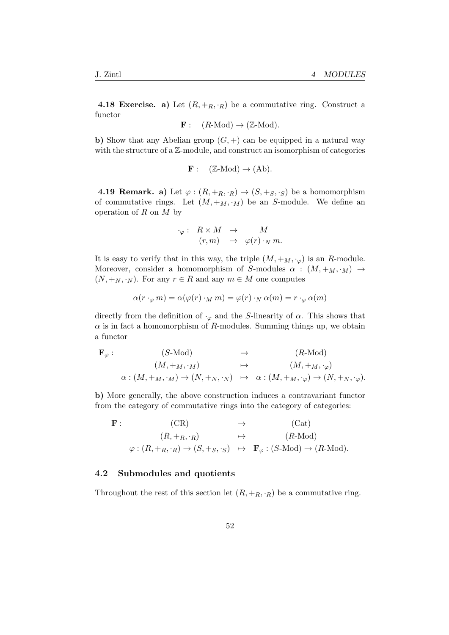**4.18 Exercise.** a) Let  $(R, +_R, \cdot_R)$  be a commutative ring. Construct a functor

$$
\mathbf{F}: (R\text{-Mod}) \to (\mathbb{Z}\text{-Mod}).
$$

b) Show that any Abelian group  $(G,+)$  can be equipped in a natural way with the structure of a  $\mathbb{Z}$ -module, and construct an isomorphism of categories

$$
\mathbf{F}: (\mathbb{Z}\text{-Mod}) \to (\mathrm{Ab}).
$$

**4.19 Remark.** a) Let  $\varphi : (R, +_R, \cdot_R) \to (S, +_S, \cdot_S)$  be a homomorphism of commutative rings. Let  $(M, +_M, \cdot_M)$  be an S-module. We define an operation of  $R$  on  $M$  by

$$
\begin{array}{rccc}\n\cdot_{\varphi} : & R \times M & \to & M \\
(r, m) & \mapsto & \varphi(r) \cdot_N m.\n\end{array}
$$

It is easy to verify that in this way, the triple  $(M, +_M, \cdot_\varphi)$  is an R-module. Moreover, consider a homomorphism of S-modules  $\alpha$  :  $(M, +_M, \cdot_M) \rightarrow$  $(N, +_N, \cdot_N)$ . For any  $r \in R$  and any  $m \in M$  one computes

$$
\alpha(r \cdot_{\varphi} m) = \alpha(\varphi(r) \cdot_M m) = \varphi(r) \cdot_N \alpha(m) = r \cdot_{\varphi} \alpha(m)
$$

directly from the definition of  $\cdot_{\varphi}$  and the S-linearity of  $\alpha$ . This shows that  $\alpha$  is in fact a homomorphism of R-modules. Summing things up, we obtain a functor

$$
\mathbf{F}_{\varphi} : (S\text{-Mod}) \rightarrow (R\text{-Mod})
$$
  
\n
$$
(M, +_M, \cdot_M) \rightarrow (M, +_M, \cdot_{\varphi})
$$
  
\n
$$
\alpha : (M, +_M, \cdot_M) \rightarrow (N, +_N, \cdot_N) \rightarrow \alpha : (M, +_M, \cdot_{\varphi}) \rightarrow (N, +_N, \cdot_{\varphi}).
$$

b) More generally, the above construction induces a contravariant functor from the category of commutative rings into the category of categories:

 $\mathbf{F}: \text{ }$   $(\text{CR})$   $\rightarrow$   $(\text{Cat})$  $(R, +_R, \cdot_R) \rightarrow (R\text{-Mod})$  $\varphi : (R, +_R, \cdot_R) \to (S, +_S, \cdot_S) \mapsto \mathbf{F}_{\varphi} : (S\text{-Mod}) \to (R\text{-Mod}).$ 

#### 4.2 Submodules and quotients

Throughout the rest of this section let  $(R, +_R, \cdot_R)$  be a commutative ring.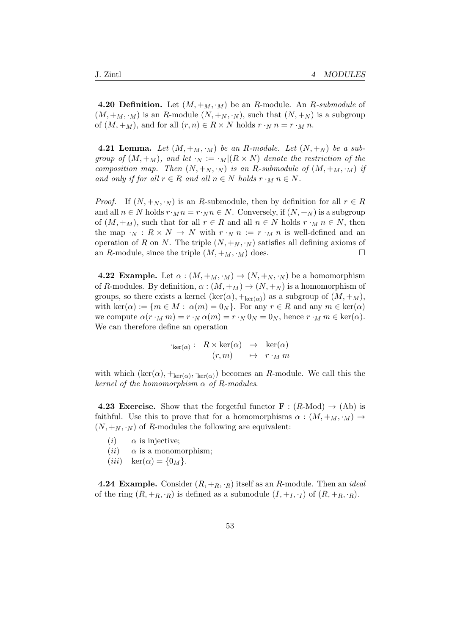**4.20 Definition.** Let  $(M, +_M, \cdot_M)$  be an R-module. An R-submodule of  $(M, +_M, \cdot_M)$  is an R-module  $(N, +_N, \cdot_N)$ , such that  $(N, +_N)$  is a subgroup of  $(M, +_M)$ , and for all  $(r, n) \in R \times N$  holds  $r \cdot_N n = r \cdot_M n$ .

**4.21 Lemma.** Let  $(M, +_M, \cdot_M)$  be an R-module. Let  $(N, +_N)$  be a subgroup of  $(M, +_M)$ , and let  $\cdot_N := \cdot_M | (R \times N)$  denote the restriction of the composition map. Then  $(N, +_N, \cdot_N)$  is an R-submodule of  $(M, +_M, \cdot_M)$  if and only if for all  $r \in R$  and all  $n \in N$  holds  $r \cdot_M n \in N$ .

*Proof.* If  $(N, +_N, \cdot_N)$  is an R-submodule, then by definition for all  $r \in R$ and all  $n \in N$  holds  $r \cdot_M n = r \cdot_N n \in N$ . Conversely, if  $(N, +_N)$  is a subgroup of  $(M, +_M)$ , such that for all  $r \in R$  and all  $n \in N$  holds  $r \cdot_M n \in N$ , then the map  $\cdot_N$  :  $R \times N \to N$  with  $r \cdot_N n := r \cdot_M n$  is well-defined and an operation of R on N. The triple  $(N, +_N, \cdot_N)$  satisfies all defining axioms of an R-module, since the triple  $(M, +_M, \cdot_M)$  does.

**4.22 Example.** Let  $\alpha : (M, +_M, \cdot_M) \to (N, +_N, \cdot_N)$  be a homomorphism of R-modules. By definition,  $\alpha : (M, +_M) \to (N, +_N)$  is a homomorphism of groups, so there exists a kernel  $(\ker(\alpha), +_{\ker(\alpha)})$  as a subgroup of  $(M, +_M)$ , with ker( $\alpha$ ) := { $m \in M$  :  $\alpha(m) = 0_N$ }. For any  $r \in R$  and any  $m \in \text{ker}(\alpha)$ we compute  $\alpha(r \cdot_M m) = r \cdot_N \alpha(m) = r \cdot_N 0_N = 0_N$ , hence  $r \cdot_M m \in \text{ker}(\alpha)$ . We can therefore define an operation

$$
\begin{array}{rccc}\n\text{Ker}(\alpha) : & R \times \text{ker}(\alpha) & \to & \text{ker}(\alpha) \\
(r, m) & \mapsto & r \cdot_M m\n\end{array}
$$

with which  $(\text{ker}(\alpha), +_{\text{ker}(\alpha)}, \cdot_{\text{ker}(\alpha)})$  becomes an R-module. We call this the kernel of the homomorphism  $\alpha$  of R-modules.

**4.23 Exercise.** Show that the forgetful functor  $\mathbf{F} : (R\text{-Mod}) \to (\text{Ab})$  is faithful. Use this to prove that for a homomorphisms  $\alpha : (M, +_M, \cdot_M) \rightarrow$  $(N, +_N, \cdot_N)$  of R-modules the following are equivalent:

- (*i*)  $\alpha$  is injective;
- (*ii*)  $\alpha$  is a monomorphism;
- $(iii) \quad \ker(\alpha) = \{0_M\}.$

**4.24 Example.** Consider  $(R, +_R, \cdot_R)$  itself as an R-module. Then an *ideal* of the ring  $(R, +_R, \cdot_R)$  is defined as a submodule  $(I, +_I, \cdot_I)$  of  $(R, +_R, \cdot_R)$ .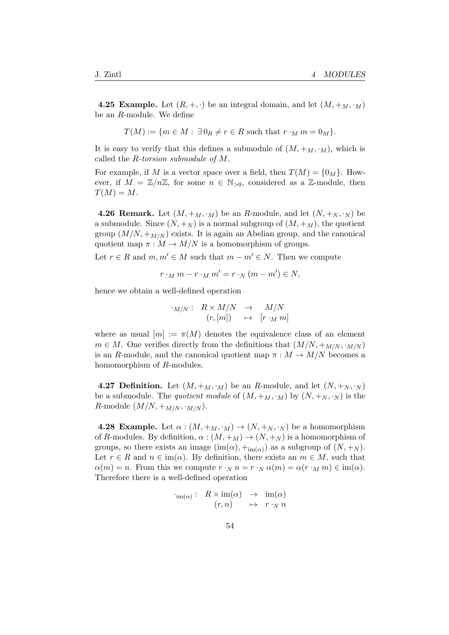**4.25 Example.** Let  $(R, +, \cdot)$  be an integral domain, and let  $(M, +_M, \cdot_M)$ be an R-module. We define

$$
T(M) := \{ m \in M : \exists 0_R \neq r \in R \text{ such that } r \cdot_M m = 0_M \}.
$$

It is easy to verify that this defines a submodule of  $(M, +_M, \cdot_M)$ , which is called the R-torsion submodule of M.

For example, if M is a vector space over a field, then  $T(M) = \{0_M\}$ . However, if  $M = \mathbb{Z}/n\mathbb{Z}$ , for some  $n \in \mathbb{N}_{>0}$ , considered as a  $\mathbb{Z}$ -module, then  $T(M) = M$ .

**4.26 Remark.** Let  $(M, +_M, \cdot_M)$  be an R-module, and let  $(N, +_N, \cdot_N)$  be a submodule. Since  $(N, +_N)$  is a normal subgroup of  $(M, +_M)$ , the quotient group  $(M/N, +_{M/N})$  exists. It is again an Abelian group, and the canonical quotient map  $\pi : M \to M/N$  is a homomorphism of groups.

Let  $r \in R$  and  $m, m' \in M$  such that  $m - m' \in N$ . Then we compute

$$
r \cdot_M m - r \cdot_M m' = r \cdot_N (m - m') \in N,
$$

hence we obtain a well-defined operation

$$
\begin{array}{rcl}\n\cdot_{M/N}:& R\times M/N & \to & M/N \\
(r,[m]) & \mapsto & [r\cdot_M m]\n\end{array}
$$

where as usual  $[m] := \pi(M)$  denotes the equivalence class of an element  $m \in M$ . One verifies directly from the definitions that  $(M/N, +_{M/N}, \cdot_{M/N})$ is an R-module, and the canonical quotient map  $\pi : M \to M/N$  becomes a homomorphism of R-modules.

**4.27 Definition.** Let  $(M, +_M, \cdot_M)$  be an R-module, and let  $(N, +_N, \cdot_N)$ be a submodule. The quotient module of  $(M, +_M, \cdot_M)$  by  $(N, +_N, \cdot_N)$  is the R-module  $(M/N, +_{M/N}, \cdot_{M/N})$ .

**4.28 Example.** Let  $\alpha$  :  $(M, +_M, \cdot_M) \rightarrow (N, +_N, \cdot_N)$  be a homomorphism of R-modules. By definition,  $\alpha : (M, +_M) \to (N, +_N)$  is a homomorphism of groups, so there exists an image  $(\text{im}(\alpha), +_{\text{im}(\alpha)})$  as a subgroup of  $(N, +_N)$ . Let  $r \in R$  and  $n \in \text{im}(\alpha)$ . By definition, there exists an  $m \in M$ , such that  $\alpha(m) = n$ . From this we compute  $r \cdot_N n = r \cdot_N \alpha(m) = \alpha(r \cdot_M m) \in \text{im}(\alpha)$ . Therefore there is a well-defined operation

$$
\begin{array}{rcl}\n\text{Im}(\alpha): & R \times \text{im}(\alpha) & \to & \text{im}(\alpha) \\
(r, n) & \mapsto & r \cdot_N n\n\end{array}
$$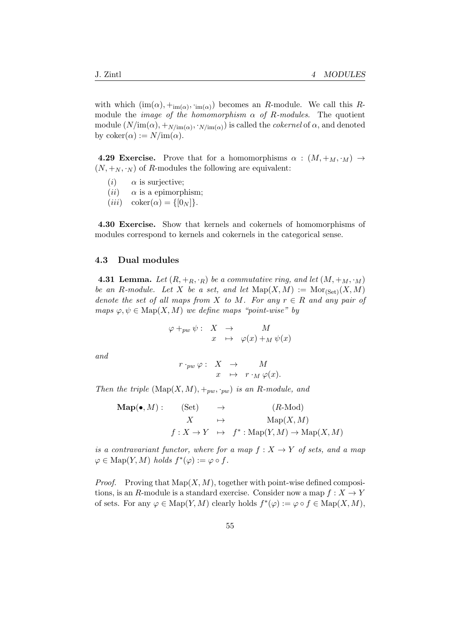with which  $(\text{im}(\alpha), +_{\text{im}(\alpha)}, \cdot, \cdot_{\text{im}(\alpha)})$  becomes an R-module. We call this Rmodule the *image of the homomorphism*  $\alpha$  of R-modules. The quotient module  $(N/\text{im}(\alpha), +_{N/\text{im}(\alpha)}, \cdot_{N/\text{im}(\alpha)})$  is called the *cokernel* of  $\alpha$ , and denoted by  $\mathrm{coker}(\alpha) := N/\mathrm{im}(\alpha)$ .

**4.29 Exercise.** Prove that for a homomorphisms  $\alpha : (M, +_M, \cdot_M) \rightarrow$  $(N, +_N, \cdot_N)$  of R-modules the following are equivalent:

- (*i*)  $\alpha$  is surjective;
- $(ii)$   $\alpha$  is a epimorphism;
- $(iii) \quad \text{coker}(\alpha) = \{0_N\}.$

4.30 Exercise. Show that kernels and cokernels of homomorphisms of modules correspond to kernels and cokernels in the categorical sense.

#### 4.3 Dual modules

**4.31 Lemma.** Let  $(R, +_R, \cdot_R)$  be a commutative ring, and let  $(M, +_M, \cdot_M)$ be an R-module. Let X be a set, and let  $\mathrm{Map}(X, M) := \mathrm{Mor}_{\mathrm{Set}}(X, M)$ denote the set of all maps from X to M. For any  $r \in R$  and any pair of maps  $\varphi, \psi \in \text{Map}(X, M)$  we define maps "point-wise" by

$$
\varphi +_{pw} \psi : X \to M
$$
  

$$
x \mapsto \varphi(x) +_M \psi(x)
$$

and

$$
\begin{array}{rcl} r \cdot_{pw} \varphi :& X & \to & M \\ & x & \mapsto & r \cdot_M \varphi(x). \end{array}
$$

Then the triple  $(\text{Map}(X, M), +_{pw}, \cdot_{pw})$  is an R-module, and

$$
\begin{array}{rcl}\n\mathbf{Map}(\bullet, M): & (\mathbf{Set}) & \rightarrow & (R\text{-Mod}) \\
& X & \mapsto & \mathbf{Map}(X, M) \\
& f: X \rightarrow Y & \mapsto & f^* : \mathbf{Map}(Y, M) \rightarrow \mathbf{Map}(X, M)\n\end{array}
$$

is a contravariant functor, where for a map  $f: X \to Y$  of sets, and a map  $\varphi \in \text{Map}(Y, M)$  holds  $f^*(\varphi) := \varphi \circ f$ .

*Proof.* Proving that  $\text{Map}(X, M)$ , together with point-wise defined compositions, is an R-module is a standard exercise. Consider now a map  $f: X \to Y$ of sets. For any  $\varphi \in \text{Map}(Y, M)$  clearly holds  $f^*(\varphi) := \varphi \circ f \in \text{Map}(X, M)$ ,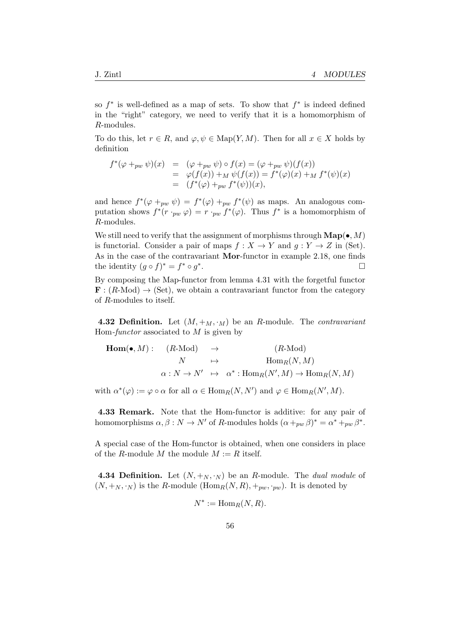so  $f^*$  is well-defined as a map of sets. To show that  $f^*$  is indeed defined in the "right" category, we need to verify that it is a homomorphism of R-modules.

To do this, let  $r \in R$ , and  $\varphi, \psi \in \text{Map}(Y, M)$ . Then for all  $x \in X$  holds by definition

$$
f^*(\varphi +_{pw} \psi)(x) = (\varphi +_{pw} \psi) \circ f(x) = (\varphi +_{pw} \psi)(f(x))
$$
  
= 
$$
\varphi(f(x)) + M \psi(f(x)) = f^*(\varphi)(x) + M f^*(\psi)(x)
$$
  
= 
$$
(f^*(\varphi) +_{pw} f^*(\psi))(x),
$$

and hence  $f^*(\varphi +_{pw} \psi) = f^*(\varphi) +_{pw} f^*(\psi)$  as maps. An analogous computation shows  $f^*(r \cdot_{pw} \varphi) = r \cdot_{pw} f^*(\varphi)$ . Thus  $f^*$  is a homomorphism of R-modules.

We still need to verify that the assignment of morphisms through  $\mathbf{Map}(\bullet, M)$ is functorial. Consider a pair of maps  $f : X \to Y$  and  $q : Y \to Z$  in (Set). As in the case of the contravariant Mor-functor in example 2.18, one finds the identity  $(g \circ f)^* = f^* \circ g^*$ .

By composing the Map-functor from lemma 4.31 with the forgetful functor  $\mathbf{F}$ :  $(R\text{-Mod}) \rightarrow (\text{Set})$ , we obtain a contravariant functor from the category of R-modules to itself.

**4.32 Definition.** Let  $(M, +_M, \cdot_M)$  be an R-module. The *contravariant* Hom-functor associated to  $M$  is given by

$$
\begin{array}{cccc}\n\text{Hom}(\bullet, M): & (R\text{-Mod}) & \to & (R\text{-Mod}) \\
N & \mapsto & \text{Hom}_R(N, M) \\
\alpha: N \to N' & \mapsto & \alpha^*: \text{Hom}_R(N', M) \to \text{Hom}_R(N, M)\n\end{array}
$$

with  $\alpha^*(\varphi) := \varphi \circ \alpha$  for all  $\alpha \in \text{Hom}_R(N, N')$  and  $\varphi \in \text{Hom}_R(N', M)$ .

4.33 Remark. Note that the Hom-functor is additive: for any pair of homomorphisms  $\alpha, \beta : N \to N'$  of R-modules holds  $(\alpha +_{pw} \beta)^* = \alpha^* +_{pw} \beta^*$ .

A special case of the Hom-functor is obtained, when one considers in place of the R-module M the module  $M := R$  itself.

**4.34 Definition.** Let  $(N, +_N, \cdot_N)$  be an R-module. The *dual module* of  $(N, +_N, \cdot_N)$  is the R-module  $(Hom_R(N, R), +_{pw}, \cdot_{pw})$ . It is denoted by

$$
N^* := \operatorname{Hom}_R(N, R).
$$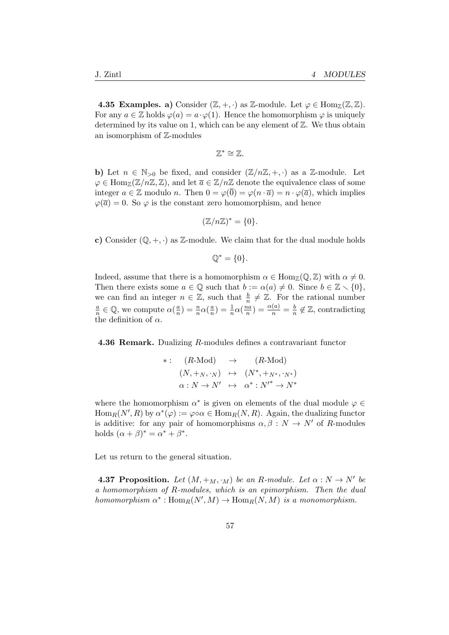**4.35 Examples. a)** Consider  $(\mathbb{Z}, +, \cdot)$  as  $\mathbb{Z}$ -module. Let  $\varphi \in \text{Hom}_{\mathbb{Z}}(\mathbb{Z}, \mathbb{Z})$ . For any  $a \in \mathbb{Z}$  holds  $\varphi(a) = a \cdot \varphi(1)$ . Hence the homomorphism  $\varphi$  is uniquely determined by its value on 1, which can be any element of  $\mathbb{Z}$ . We thus obtain an isomorphism of Z-modules

$$
\mathbb{Z}^* \cong \mathbb{Z}.
$$

b) Let  $n \in \mathbb{N}_{>0}$  be fixed, and consider  $(\mathbb{Z}/n\mathbb{Z}, +, \cdot)$  as a  $\mathbb{Z}$ -module. Let  $\varphi \in \text{Hom}_{\mathbb{Z}}(\mathbb{Z}/n\mathbb{Z}, \mathbb{Z})$ , and let  $\overline{a} \in \mathbb{Z}/n\mathbb{Z}$  denote the equivalence class of some integer  $a \in \mathbb{Z}$  modulo n. Then  $0 = \varphi(\overline{0}) = \varphi(n \cdot \overline{a}) = n \cdot \varphi(\overline{a})$ , which implies  $\varphi(\overline{a}) = 0$ . So  $\varphi$  is the constant zero homomorphism, and hence

$$
(\mathbb{Z}/n\mathbb{Z})^* = \{0\}.
$$

c) Consider  $(\mathbb{Q}, +, \cdot)$  as Z-module. We claim that for the dual module holds

$$
\mathbb{Q}^* = \{0\}.
$$

Indeed, assume that there is a homomorphism  $\alpha \in \text{Hom}_{\mathbb{Z}}(\mathbb{Q}, \mathbb{Z})$  with  $\alpha \neq 0$ . Then there exists some  $a \in \mathbb{Q}$  such that  $b := \alpha(a) \neq 0$ . Since  $b \in \mathbb{Z} \setminus \{0\},$ we can find an integer  $n \in \mathbb{Z}$ , such that  $\frac{b}{n} \neq \mathbb{Z}$ . For the rational number a  $\frac{a}{n} \in \mathbb{Q}$ , we compute  $\alpha(\frac{a}{n})$  $\frac{a}{n}$ ) =  $\frac{n}{n}\alpha(\frac{a}{n})$  $\frac{a}{n}$ ) =  $\frac{1}{n}\alpha(\frac{na}{n})$  $\frac{na}{n}$ ) =  $\frac{\alpha(a)}{n}$  =  $\frac{b}{n}$  $\frac{b}{n} \notin \mathbb{Z}$ , contradicting the definition of  $\alpha$ .

4.36 Remark. Dualizing R-modules defines a contravariant functor

$$
\begin{array}{rcl}\n\ast: & (R\text{-Mod}) & \to & (R\text{-Mod}) \\
(N, +_N, \cdot_N) & \mapsto & (N^*, +_{N^*}, \cdot_{N^*}) \\
\alpha: N \to N' & \mapsto & \alpha^*: N'^* \to N^*\n\end{array}
$$

where the homomorphism  $\alpha^*$  is given on elements of the dual module  $\varphi \in$  $\text{Hom}_R(N',R)$  by  $\alpha^*(\varphi) := \varphi \circ \alpha \in \text{Hom}_R(N,R)$ . Again, the dualizing functor is additive: for any pair of homomorphisms  $\alpha, \beta : N \to N'$  of R-modules holds  $(\alpha + \beta)^* = \alpha^* + \beta^*$ .

Let us return to the general situation.

**4.37 Proposition.** Let  $(M, +_M, \cdot_M)$  be an R-module. Let  $\alpha : N \to N'$  be a homomorphism of R-modules, which is an epimorphism. Then the dual homomorphism  $\alpha^* : \text{Hom}_R(N',M) \to \text{Hom}_R(N,M)$  is a monomorphism.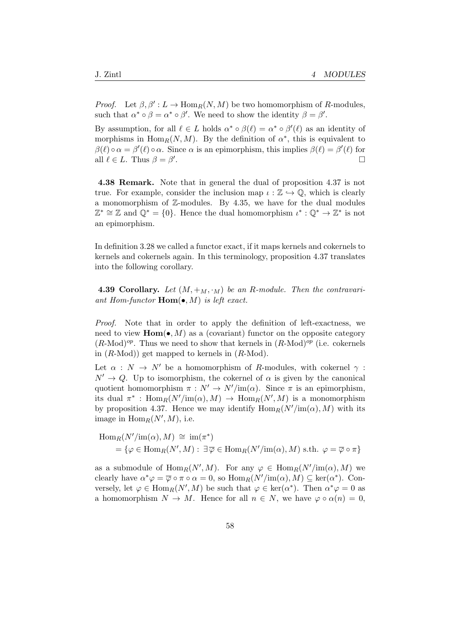*Proof.* Let  $\beta$ ,  $\beta'$  :  $L \to \text{Hom}_R(N, M)$  be two homomorphism of R-modules, such that  $\alpha^* \circ \beta = \alpha^* \circ \beta'$ . We need to show the identity  $\beta = \beta'$ .

By assumption, for all  $\ell \in L$  holds  $\alpha^* \circ \beta(\ell) = \alpha^* \circ \beta'(\ell)$  as an identity of morphisms in  $\text{Hom}_R(N,M)$ . By the definition of  $\alpha^*$ , this is equivalent to  $\beta(\ell) \circ \alpha = \beta'(\ell) \circ \alpha$ . Since  $\alpha$  is an epimorphism, this implies  $\beta(\ell) = \beta'(\ell)$  for all  $\ell \in L$ . Thus  $\beta = \beta'$ .

4.38 Remark. Note that in general the dual of proposition 4.37 is not true. For example, consider the inclusion map  $\iota : \mathbb{Z} \hookrightarrow \mathbb{Q}$ , which is clearly a monomorphism of Z-modules. By 4.35, we have for the dual modules  $\mathbb{Z}^* \cong \mathbb{Z}$  and  $\mathbb{Q}^* = \{0\}$ . Hence the dual homomorphism  $\iota^* : \mathbb{Q}^* \to \mathbb{Z}^*$  is not an epimorphism.

In definition 3.28 we called a functor exact, if it maps kernels and cokernels to kernels and cokernels again. In this terminology, proposition 4.37 translates into the following corollary.

**4.39 Corollary.** Let  $(M, +_M, \cdot_M)$  be an R-module. Then the contravariant Hom-functor  $\text{Hom}(\bullet, M)$  is left exact.

Proof. Note that in order to apply the definition of left-exactness, we need to view  $\text{Hom}(\bullet, M)$  as a (covariant) functor on the opposite category  $(R\text{-Mod})^{op}$ . Thus we need to show that kernels in  $(R\text{-Mod})^{op}$  (i.e. cokernels in  $(R\text{-Mod})$  get mapped to kernels in  $(R\text{-Mod})$ .

Let  $\alpha : N \to N'$  be a homomorphism of R-modules, with cokernel  $\gamma$ :  $N' \rightarrow Q$ . Up to isomorphism, the cokernel of  $\alpha$  is given by the canonical quotient homomorphism  $\pi : N' \to N'/\text{im}(\alpha)$ . Since  $\pi$  is an epimorphism, its dual  $\pi^*$ :  $\text{Hom}_R(N'/\text{im}(\alpha), M) \to \text{Hom}_R(N', M)$  is a monomorphism by proposition 4.37. Hence we may identify  $\text{Hom}_R(N'/\text{im}(\alpha), M)$  with its image in  $\text{Hom}_R(N',M)$ , i.e.

$$
\text{Hom}_{R}(N'/\text{im}(\alpha), M) \cong \text{im}(\pi^{*})
$$
  
=  $\{\varphi \in \text{Hom}_{R}(N', M) : \exists \overline{\varphi} \in \text{Hom}_{R}(N'/\text{im}(\alpha), M) \text{ s.th. } \varphi = \overline{\varphi} \circ \pi\}$ 

as a submodule of  $\text{Hom}_R(N', M)$ . For any  $\varphi \in \text{Hom}_R(N'/\text{im}(\alpha), M)$  we clearly have  $\alpha^*\varphi = \overline{\varphi} \circ \pi \circ \alpha = 0$ , so  $\text{Hom}_R(N'/\text{im}(\alpha), M) \subseteq \text{ker}(\alpha^*)$ . Conversely, let  $\varphi \in \text{Hom}_R(N',M)$  be such that  $\varphi \in \text{ker}(\alpha^*)$ . Then  $\alpha^*\varphi = 0$  as a homomorphism  $N \to M$ . Hence for all  $n \in N$ , we have  $\varphi \circ \alpha(n) = 0$ ,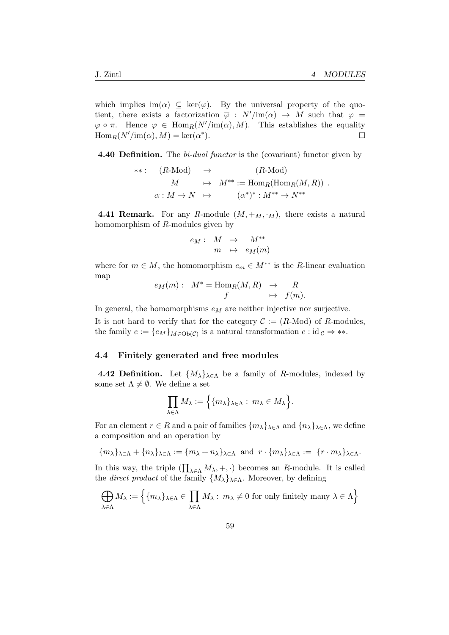which implies im( $\alpha$ )  $\subseteq$  ker( $\varphi$ ). By the universal property of the quotient, there exists a factorization  $\overline{\varphi}$  :  $N'/\text{im}(\alpha) \rightarrow M$  such that  $\varphi =$  $\overline{\varphi} \circ \pi$ . Hence  $\varphi \in \text{Hom}_R(N'/\text{im}(\alpha), M)$ . This establishes the equality  $\text{Hom}_R(N'/\text{im}(\alpha), M) = \text{ker}(\alpha^*)$  $\Box$ 

4.40 Definition. The bi-dual functor is the (covariant) functor given by

$$
**: (R\text{-Mod}) \rightarrow (R\text{-Mod})
$$
  
\n
$$
M \rightarrow M^{**} := \text{Hom}_R(\text{Hom}_R(M, R))
$$
  
\n
$$
\alpha: M \rightarrow N \rightarrow (\alpha^*)^* : M^{**} \rightarrow N^{**}
$$

**4.41 Remark.** For any R-module  $(M, +_M, \cdot_M)$ , there exists a natural homomorphism of R-modules given by

$$
e_M: M \rightarrow M^{**} \nm \rightarrow e_M(m)
$$

where for  $m \in M$ , the homomorphism  $e_m \in M^{**}$  is the R-linear evaluation map

$$
e_M(m): M^* = \text{Hom}_R(M, R) \rightarrow R
$$
  

$$
f \mapsto f(m).
$$

In general, the homomorphisms  $e_M$  are neither injective nor surjective.

It is not hard to verify that for the category  $\mathcal{C} := (R\text{-Mod})$  of R-modules, the family  $e := \{e_M\}_{M \in Ob(\mathcal{C})}$  is a natural transformation  $e : id_{\mathcal{C}} \Rightarrow **$ .

#### 4.4 Finitely generated and free modules

**4.42 Definition.** Let  $\{M_{\lambda}\}_{\lambda \in \Lambda}$  be a family of R-modules, indexed by some set  $\Lambda \neq \emptyset$ . We define a set

$$
\prod_{\lambda \in \Lambda} M_{\lambda} := \Big\{ \{ m_{\lambda} \}_{\lambda \in \Lambda} : m_{\lambda} \in M_{\lambda} \Big\}.
$$

For an element  $r \in R$  and a pair of families  $\{m_{\lambda}\}_{{\lambda}\in\Lambda}$  and  $\{n_{\lambda}\}_{{\lambda}\in\Lambda}$ , we define a composition and an operation by

 $\{m_\lambda\}_{\lambda\in\Lambda}+\{n_\lambda\}_{\lambda\in\Lambda}:=\{m_\lambda+n_\lambda\}_{\lambda\in\Lambda} \ \ \text{and} \ \ r\cdot\{m_\lambda\}_{\lambda\in\Lambda}:=\ \{r\cdot m_\lambda\}_{\lambda\in\Lambda}.$ 

In this way, the triple  $(\prod_{\lambda \in \Lambda} M_{\lambda}, +, \cdot)$  becomes an R-module. It is called the *direct product* of the family  $\{M_{\lambda}\}_{\lambda \in \Lambda}$ . Moreover, by defining

$$
\bigoplus_{\lambda \in \Lambda} M_{\lambda} := \left\{ \{ m_{\lambda} \}_{\lambda \in \Lambda} \in \prod_{\lambda \in \Lambda} M_{\lambda} : m_{\lambda} \neq 0 \text{ for only finitely many } \lambda \in \Lambda \right\}
$$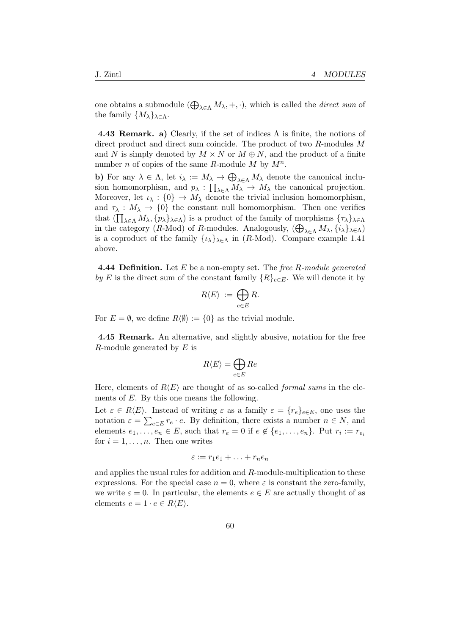one obtains a submodule  $(\bigoplus_{\lambda \in \Lambda} M_{\lambda}, +, \cdot)$ , which is called the *direct sum* of the family  $\{M_{\lambda}\}_{{\lambda}\in\Lambda}$ .

4.43 Remark. a) Clearly, if the set of indices  $\Lambda$  is finite, the notions of direct product and direct sum coincide. The product of two R-modules M and N is simply denoted by  $M \times N$  or  $M \oplus N$ , and the product of a finite number *n* of copies of the same *R*-module *M* by  $M^n$ .

b) For any  $\lambda \in \Lambda$ , let  $i_{\lambda} := M_{\lambda} \to \bigoplus_{\lambda \in \Lambda} M_{\lambda}$  denote the canonical inclusion homomorphism, and  $p_{\lambda} : \prod_{\lambda \in \Lambda} M_{\lambda} \to M_{\lambda}$  the canonical projection. Moreover, let  $\iota_{\lambda} : \{0\} \to M_{\lambda}$  denote the trivial inclusion homomorphism, and  $\tau_{\lambda}: M_{\lambda} \to \{0\}$  the constant null homomorphism. Then one verifies that  $(\prod_{\lambda \in \Lambda} M_{\lambda}, \{p_{\lambda}\}_{\lambda \in \Lambda})$  is a product of the family of morphisms  $\{\tau_{\lambda}\}_{\lambda \in \Lambda}$ in the category (R-Mod) of R-modules. Analogously,  $(\bigoplus_{\lambda \in \Lambda} M_{\lambda}, \{i_{\lambda}\}_{\lambda \in \Lambda})$ is a coproduct of the family  $\{\iota_{\lambda}\}_{\lambda \in \Lambda}$  in (R-Mod). Compare example 1.41 above.

**4.44 Definition.** Let  $E$  be a non-empty set. The free  $R$ -module generated by E is the direct sum of the constant family  ${R}_{eeE}$ . We will denote it by

$$
R\langle E\rangle\;:=\;\bigoplus_{e\in E}R.
$$

For  $E = \emptyset$ , we define  $R\langle\emptyset\rangle := \{0\}$  as the trivial module.

4.45 Remark. An alternative, and slightly abusive, notation for the free R-module generated by  $E$  is

$$
R\langle E\rangle = \bigoplus_{e\in E} Re
$$

Here, elements of  $R\langle E\rangle$  are thought of as so-called *formal sums* in the elements of E. By this one means the following.

Let  $\varepsilon \in R\langle E \rangle$ . Instead of writing  $\varepsilon$  as a family  $\varepsilon = \{r_e\}_{e \in E}$ , one uses the notation  $\varepsilon = \sum_{e \in E} r_e \cdot e$ . By definition, there exists a number  $n \in N$ , and elements  $e_1, \ldots, e_n \in E$ , such that  $r_e = 0$  if  $e \notin \{e_1, \ldots, e_n\}$ . Put  $r_i := r_{e_i}$ for  $i = 1, \ldots, n$ . Then one writes

$$
\varepsilon := r_1 e_1 + \ldots + r_n e_n
$$

and applies the usual rules for addition and R-module-multiplication to these expressions. For the special case  $n = 0$ , where  $\varepsilon$  is constant the zero-family, we write  $\varepsilon = 0$ . In particular, the elements  $e \in E$  are actually thought of as elements  $e = 1 \cdot e \in R\langle E \rangle$ .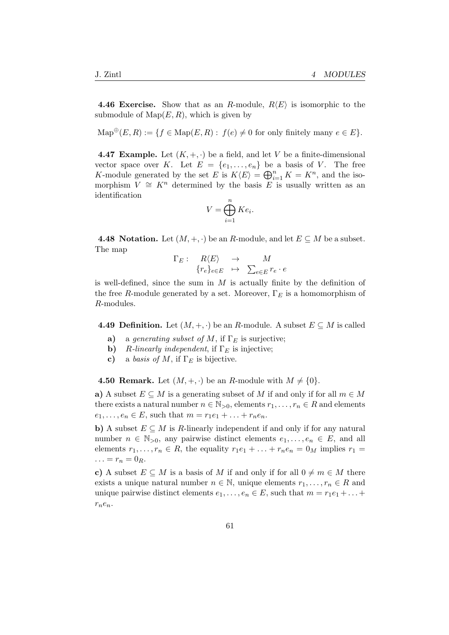**4.46 Exercise.** Show that as an R-module,  $R\langle E \rangle$  is isomorphic to the submodule of  $\text{Map}(E, R)$ , which is given by

 $\operatorname{Map}^{\oplus}(E, R) := \{f \in \operatorname{Map}(E, R): f(e) \neq 0 \text{ for only finitely many } e \in E\}.$ 

4.47 Example. Let  $(K, +, \cdot)$  be a field, and let V be a finite-dimensional vector space over K. Let  $E = \{e_1, \ldots, e_n\}$  be a basis of V. The free K-module generated by the set E is  $K\langle E\rangle = \bigoplus_{i=1}^n K = K^n$ , and the isomorphism  $V \cong K^n$  determined by the basis E is usually written as an identification

$$
V = \bigoplus_{i=1}^{n} Ke_i.
$$

4.48 Notation. Let  $(M, +, \cdot)$  be an R-module, and let  $E \subseteq M$  be a subset. The map

$$
\Gamma_E: R\langle E \rangle \rightarrow M
$$
  
\n
$$
\{r_e\}_{e \in E} \rightarrow \sum_{e \in E} r_e \cdot e
$$

is well-defined, since the sum in  $M$  is actually finite by the definition of the free R-module generated by a set. Moreover,  $\Gamma_E$  is a homomorphism of R-modules.

**4.49 Definition.** Let  $(M, +, \cdot)$  be an R-module. A subset  $E \subseteq M$  is called

- a) a generating subset of M, if  $\Gamma_E$  is surjective;
- **b**) R-linearly independent, if  $\Gamma_E$  is injective;
- c) a basis of M, if  $\Gamma_F$  is bijective.

**4.50 Remark.** Let  $(M, +, \cdot)$  be an R-module with  $M \neq \{0\}$ .

a) A subset  $E \subseteq M$  is a generating subset of M if and only if for all  $m \in M$ there exists a natural number  $n \in \mathbb{N}_{>0}$ , elements  $r_1, \ldots, r_n \in R$  and elements  $e_1, ..., e_n \in E$ , such that  $m = r_1 e_1 + ... + r_n e_n$ .

b) A subset  $E \subseteq M$  is R-linearly independent if and only if for any natural number  $n \in \mathbb{N}_{>0}$ , any pairwise distinct elements  $e_1, \ldots, e_n \in E$ , and all elements  $r_1, \ldots, r_n \in R$ , the equality  $r_1e_1 + \ldots + r_ne_n = 0_M$  implies  $r_1 =$  $\ldots = r_n = 0_R.$ 

c) A subset  $E \subseteq M$  is a basis of M if and only if for all  $0 \neq m \in M$  there exists a unique natural number  $n \in \mathbb{N}$ , unique elements  $r_1, \ldots, r_n \in R$  and unique pairwise distinct elements  $e_1, \ldots, e_n \in E$ , such that  $m = r_1e_1 + \ldots +$  $r_ne_n$ .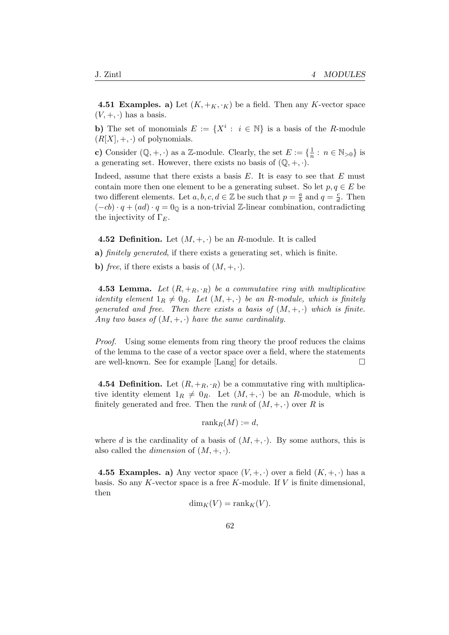**4.51 Examples. a)** Let  $(K, +_K, \cdot_K)$  be a field. Then any K-vector space  $(V, +, \cdot)$  has a basis.

**b**) The set of monomials  $E := \{X^i : i \in \mathbb{N}\}\$ is a basis of the R-module  $(R[X], +, \cdot)$  of polynomials.

c) Consider  $(\mathbb{Q}, +, \cdot)$  as a Z-module. Clearly, the set  $E := \{\frac{1}{n}\}$  $\frac{1}{n}$ :  $n \in \mathbb{N}_{>0}$  is a generating set. However, there exists no basis of  $(\mathbb{Q}, +, \cdot)$ .

Indeed, assume that there exists a basis  $E$ . It is easy to see that  $E$  must contain more then one element to be a generating subset. So let  $p, q \in E$  be two different elements. Let  $a, b, c, d \in \mathbb{Z}$  be such that  $p = \frac{a}{b}$  $\frac{a}{b}$  and  $q = \frac{c}{d}$  $\frac{c}{d}$ . Then  $(-cb) \cdot q + (ad) \cdot q = 0$  is a non-trivial Z-linear combination, contradicting the injectivity of  $\Gamma_E$ .

4.52 Definition. Let  $(M, +, \cdot)$  be an R-module. It is called

a) finitely generated, if there exists a generating set, which is finite.

b) free, if there exists a basis of  $(M, +, \cdot)$ .

**4.53 Lemma.** Let  $(R, +_R, \cdot_R)$  be a commutative ring with multiplicative identity element  $1_R \neq 0_R$ . Let  $(M, +, \cdot)$  be an R-module, which is finitely generated and free. Then there exists a basis of  $(M, +, \cdot)$  which is finite. Any two bases of  $(M, +, \cdot)$  have the same cardinality.

Proof. Using some elements from ring theory the proof reduces the claims of the lemma to the case of a vector space over a field, where the statements are well-known. See for example [Lang] for details.

**4.54 Definition.** Let  $(R, +_R, \cdot_R)$  be a commutative ring with multiplicative identity element  $1_R \neq 0_R$ . Let  $(M, +, \cdot)$  be an R-module, which is finitely generated and free. Then the *rank* of  $(M, +, \cdot)$  over R is

 $\operatorname{rank}_R(M) := d$ ,

where d is the cardinality of a basis of  $(M, +, \cdot)$ . By some authors, this is also called the *dimension* of  $(M, +, \cdot)$ .

**4.55 Examples. a)** Any vector space  $(V, +, \cdot)$  over a field  $(K, +, \cdot)$  has a basis. So any K-vector space is a free K-module. If  $V$  is finite dimensional, then

$$
\dim_K(V) = \operatorname{rank}_K(V).
$$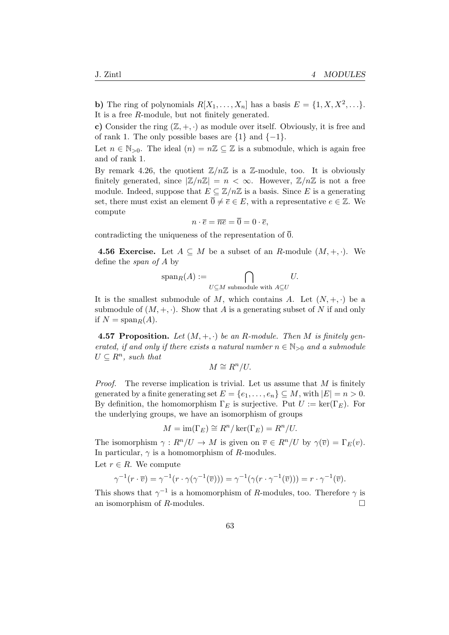**b**) The ring of polynomials  $R[X_1, \ldots, X_n]$  has a basis  $E = \{1, X, X^2, \ldots\}$ . It is a free R-module, but not finitely generated.

c) Consider the ring  $(\mathbb{Z}, +, \cdot)$  as module over itself. Obviously, it is free and of rank 1. The only possible bases are  $\{1\}$  and  $\{-1\}$ .

Let  $n \in \mathbb{N}_{>0}$ . The ideal  $(n) = n\mathbb{Z} \subseteq \mathbb{Z}$  is a submodule, which is again free and of rank 1.

By remark 4.26, the quotient  $\mathbb{Z}/n\mathbb{Z}$  is a  $\mathbb{Z}$ -module, too. It is obviously finitely generated, since  $|\mathbb{Z}/n\mathbb{Z}| = n < \infty$ . However,  $\mathbb{Z}/n\mathbb{Z}$  is not a free module. Indeed, suppose that  $E \subseteq \mathbb{Z}/n\mathbb{Z}$  is a basis. Since E is a generating set, there must exist an element  $\overline{0} \neq \overline{e} \in E$ , with a representative  $e \in \mathbb{Z}$ . We compute

$$
n \cdot \overline{e} = \overline{ne} = \overline{0} = 0 \cdot \overline{e},
$$

contradicting the uniqueness of the representation of  $\overline{0}$ .

**4.56 Exercise.** Let  $A \subseteq M$  be a subset of an R-module  $(M, +, \cdot)$ . We define the span of A by

$$
\operatorname{span}_R(A) := \bigcap_{U \subseteq M \text{ submodule with } A \subseteq U} U.
$$

It is the smallest submodule of M, which contains A. Let  $(N, +, \cdot)$  be a submodule of  $(M, +, \cdot)$ . Show that A is a generating subset of N if and only if  $N = \text{span}_R(A)$ .

**4.57 Proposition.** Let  $(M, +, \cdot)$  be an R-module. Then M is finitely generated, if and only if there exists a natural number  $n \in \mathbb{N}_{\geq 0}$  and a submodule  $U \subseteq R^n$ , such that

$$
M \cong R^n/U.
$$

*Proof.* The reverse implication is trivial. Let us assume that  $M$  is finitely generated by a finite generating set  $E = \{e_1, \ldots, e_n\} \subseteq M$ , with  $|E| = n > 0$ . By definition, the homomorphism  $\Gamma_E$  is surjective. Put  $U := \text{ker}(\Gamma_E)$ . For the underlying groups, we have an isomorphism of groups

$$
M = \operatorname{im}(\Gamma_E) \cong R^n / \operatorname{ker}(\Gamma_E) = R^n / U.
$$

The isomorphism  $\gamma: R^n/U \to M$  is given on  $\overline{v} \in R^n/U$  by  $\gamma(\overline{v}) = \Gamma_E(v)$ . In particular,  $\gamma$  is a homomorphism of R-modules. Let  $r \in R$ . We compute

$$
\gamma^{-1}(r \cdot \overline{v}) = \gamma^{-1}(r \cdot \gamma(\gamma^{-1}(\overline{v}))) = \gamma^{-1}(\gamma(r \cdot \gamma^{-1}(\overline{v}))) = r \cdot \gamma^{-1}(\overline{v}).
$$

This shows that  $\gamma^{-1}$  is a homomorphism of R-modules, too. Therefore  $\gamma$  is an isomorphism of  $R$ -modules.  $\Box$